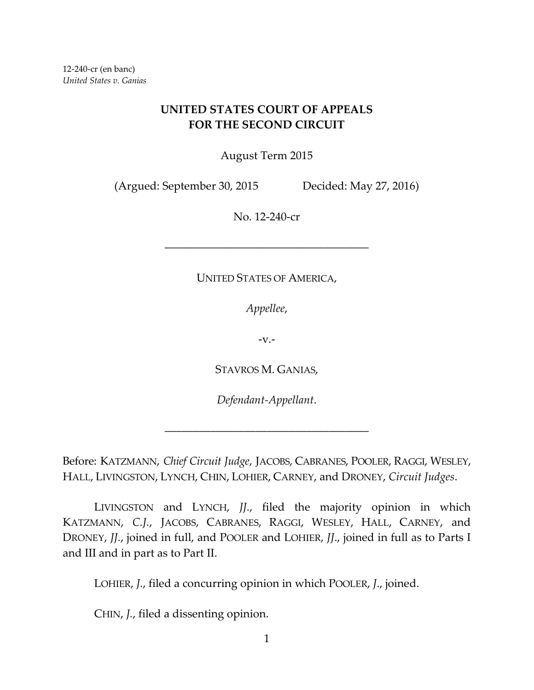## **UNITED STATES COURT OF APPEALS FOR THE SECOND CIRCUIT**

August Term 2015

(Argued: September 30, 2015 Decided: May 27, 2016)

No. 12-240-cr

## UNITED STATES OF AMERICA,

––––––––––––––––––––––––––––––––––––

*Appellee*,

-v.-

STAVROS M. GANIAS,

*Defendant-Appellant*.

––––––––––––––––––––––––––––––––––––

Before: KATZMANN, *Chief Circuit Judge*, JACOBS, CABRANES, POOLER, RAGGI, WESLEY, HALL, LIVINGSTON, LYNCH, CHIN, LOHIER, CARNEY, and DRONEY, *Circuit Judges*.

LIVINGSTON and LYNCH, *JJ.*, filed the majority opinion in which KATZMANN, *C.J.*, JACOBS, CABRANES, RAGGI, WESLEY, HALL, CARNEY, and DRONEY, *JJ.*, joined in full, and POOLER and LOHIER, *JJ*., joined in full as to Parts I and III and in part as to Part II.

LOHIER, *J.*, filed a concurring opinion in which POOLER, *J*., joined.

CHIN, *J.*, filed a dissenting opinion.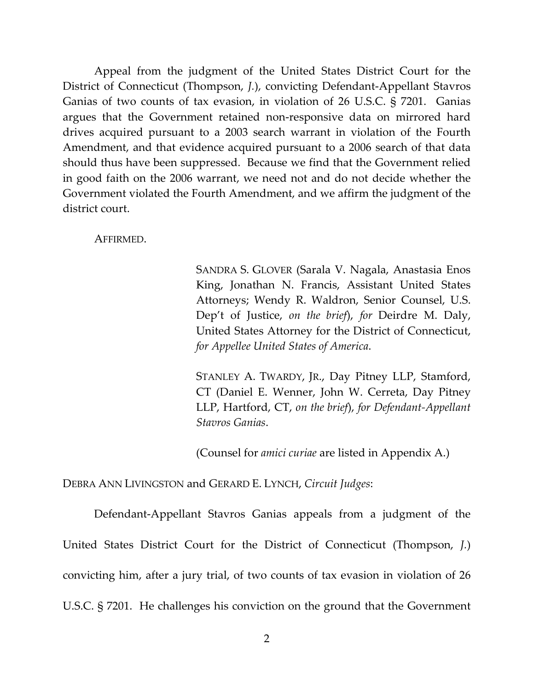Appeal from the judgment of the United States District Court for the District of Connecticut (Thompson, *J.*), convicting Defendant-Appellant Stavros Ganias of two counts of tax evasion, in violation of 26 U.S.C. § 7201. Ganias argues that the Government retained non-responsive data on mirrored hard drives acquired pursuant to a 2003 search warrant in violation of the Fourth Amendment, and that evidence acquired pursuant to a 2006 search of that data should thus have been suppressed. Because we find that the Government relied in good faith on the 2006 warrant, we need not and do not decide whether the Government violated the Fourth Amendment, and we affirm the judgment of the district court.

AFFIRMED.

SANDRA S. GLOVER (Sarala V. Nagala, Anastasia Enos King, Jonathan N. Francis, Assistant United States Attorneys; Wendy R. Waldron, Senior Counsel, U.S. Dep't of Justice, *on the brief*), *for* Deirdre M. Daly, United States Attorney for the District of Connecticut, *for Appellee United States of America*.

STANLEY A. TWARDY, JR., Day Pitney LLP, Stamford, CT (Daniel E. Wenner, John W. Cerreta, Day Pitney LLP, Hartford, CT, *on the brief*), *for Defendant-Appellant Stavros Ganias*.

(Counsel for *amici curiae* are listed in Appendix A.)

DEBRA ANN LIVINGSTON and GERARD E. LYNCH, *Circuit Judges*:

Defendant-Appellant Stavros Ganias appeals from a judgment of the United States District Court for the District of Connecticut (Thompson, *J.*) convicting him, after a jury trial, of two counts of tax evasion in violation of 26 U.S.C. § 7201. He challenges his conviction on the ground that the Government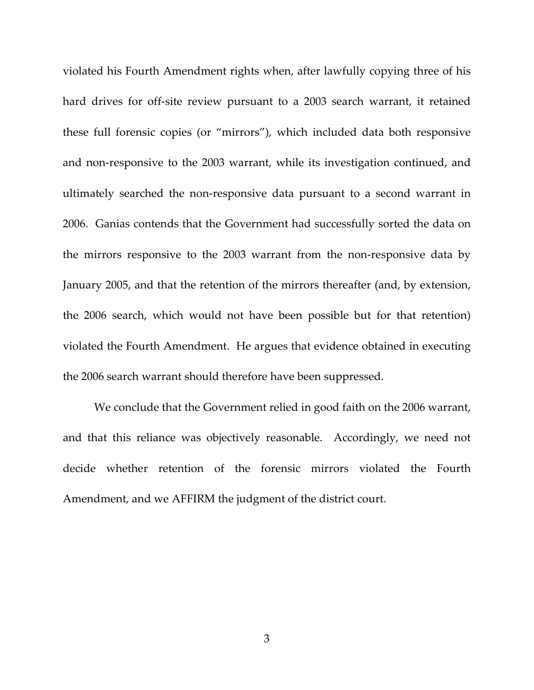violated his Fourth Amendment rights when, after lawfully copying three of his hard drives for off-site review pursuant to a 2003 search warrant, it retained these full forensic copies (or "mirrors"), which included data both responsive and non-responsive to the 2003 warrant, while its investigation continued, and ultimately searched the non-responsive data pursuant to a second warrant in 2006. Ganias contends that the Government had successfully sorted the data on the mirrors responsive to the 2003 warrant from the non-responsive data by January 2005, and that the retention of the mirrors thereafter (and, by extension, the 2006 search, which would not have been possible but for that retention) violated the Fourth Amendment. He argues that evidence obtained in executing the 2006 search warrant should therefore have been suppressed.

We conclude that the Government relied in good faith on the 2006 warrant, and that this reliance was objectively reasonable. Accordingly, we need not decide whether retention of the forensic mirrors violated the Fourth Amendment, and we AFFIRM the judgment of the district court.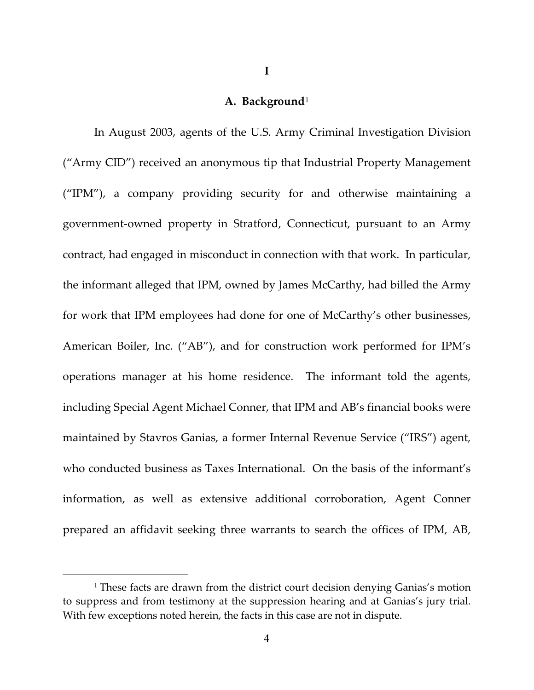## **A. Background**[1](#page-3-0)

**I**

<span id="page-3-0"></span>In August 2003, agents of the U.S. Army Criminal Investigation Division ("Army CID") received an anonymous tip that Industrial Property Management ("IPM"), a company providing security for and otherwise maintaining a government-owned property in Stratford, Connecticut, pursuant to an Army contract, had engaged in misconduct in connection with that work. In particular, the informant alleged that IPM, owned by James McCarthy, had billed the Army for work that IPM employees had done for one of McCarthy's other businesses, American Boiler, Inc. ("AB"), and for construction work performed for IPM's operations manager at his home residence. The informant told the agents, including Special Agent Michael Conner, that IPM and AB's financial books were maintained by Stavros Ganias, a former Internal Revenue Service ("IRS") agent, who conducted business as Taxes International. On the basis of the informant's information, as well as extensive additional corroboration, Agent Conner prepared an affidavit seeking three warrants to search the offices of IPM, AB,

<sup>&</sup>lt;sup>1</sup> These facts are drawn from the district court decision denying Ganias's motion to suppress and from testimony at the suppression hearing and at Ganias's jury trial. With few exceptions noted herein, the facts in this case are not in dispute.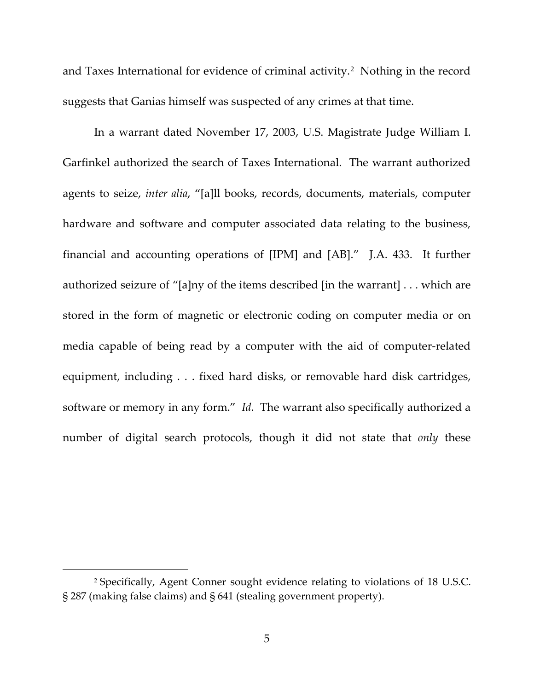and Taxes International for evidence of criminal activity.<sup>[2](#page-4-0)</sup> Nothing in the record suggests that Ganias himself was suspected of any crimes at that time.

In a warrant dated November 17, 2003, U.S. Magistrate Judge William I. Garfinkel authorized the search of Taxes International. The warrant authorized agents to seize, *inter alia*, "[a]ll books, records, documents, materials, computer hardware and software and computer associated data relating to the business, financial and accounting operations of [IPM] and [AB]." J.A. 433. It further authorized seizure of "[a]ny of the items described [in the warrant] . . . which are stored in the form of magnetic or electronic coding on computer media or on media capable of being read by a computer with the aid of computer-related equipment, including . . . fixed hard disks, or removable hard disk cartridges, software or memory in any form." *Id.* The warrant also specifically authorized a number of digital search protocols, though it did not state that *only* these

<span id="page-4-0"></span><sup>2</sup> Specifically, Agent Conner sought evidence relating to violations of 18 U.S.C. § 287 (making false claims) and § 641 (stealing government property).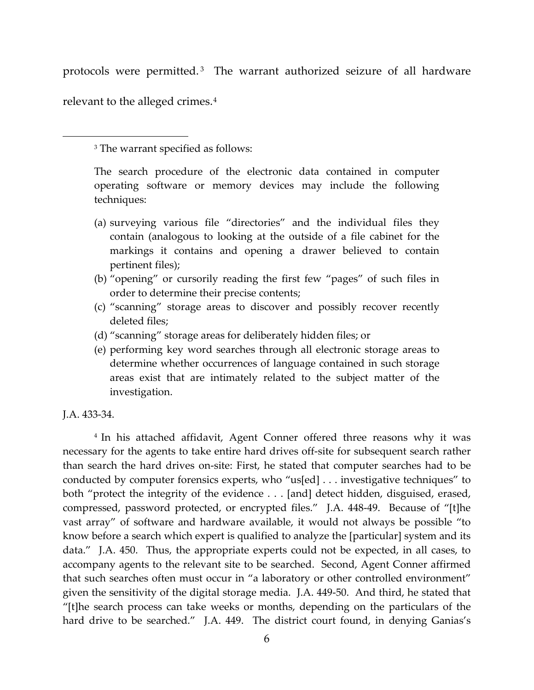protocols were permitted. [3](#page-5-0) The warrant authorized seizure of all hardware relevant to the alleged crimes.[4](#page-5-1)

<sup>3</sup> The warrant specified as follows:

The search procedure of the electronic data contained in computer operating software or memory devices may include the following techniques:

- (a) surveying various file "directories" and the individual files they contain (analogous to looking at the outside of a file cabinet for the markings it contains and opening a drawer believed to contain pertinent files);
- (b) "opening" or cursorily reading the first few "pages" of such files in order to determine their precise contents;
- (c) "scanning" storage areas to discover and possibly recover recently deleted files;
- (d) "scanning" storage areas for deliberately hidden files; or
- (e) performing key word searches through all electronic storage areas to determine whether occurrences of language contained in such storage areas exist that are intimately related to the subject matter of the investigation.

J.A. 433-34.

<span id="page-5-0"></span> $\overline{\phantom{a}}$ 

<span id="page-5-1"></span><sup>4</sup> In his attached affidavit, Agent Conner offered three reasons why it was necessary for the agents to take entire hard drives off-site for subsequent search rather than search the hard drives on-site: First, he stated that computer searches had to be conducted by computer forensics experts, who "us[ed] . . . investigative techniques" to both "protect the integrity of the evidence . . . [and] detect hidden, disguised, erased, compressed, password protected, or encrypted files." J.A. 448-49. Because of "[t]he vast array" of software and hardware available, it would not always be possible "to know before a search which expert is qualified to analyze the [particular] system and its data." J.A. 450. Thus, the appropriate experts could not be expected, in all cases, to accompany agents to the relevant site to be searched. Second, Agent Conner affirmed that such searches often must occur in "a laboratory or other controlled environment" given the sensitivity of the digital storage media. J.A. 449-50. And third, he stated that "[t]he search process can take weeks or months, depending on the particulars of the hard drive to be searched." J.A. 449. The district court found, in denying Ganias's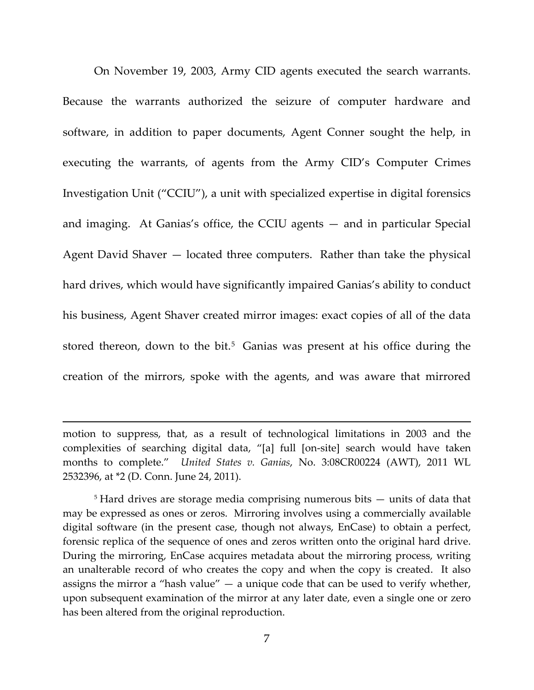On November 19, 2003, Army CID agents executed the search warrants. Because the warrants authorized the seizure of computer hardware and software, in addition to paper documents, Agent Conner sought the help, in executing the warrants, of agents from the Army CID's Computer Crimes Investigation Unit ("CCIU"), a unit with specialized expertise in digital forensics and imaging. At Ganias's office, the CCIU agents — and in particular Special Agent David Shaver — located three computers. Rather than take the physical hard drives, which would have significantly impaired Ganias's ability to conduct his business, Agent Shaver created mirror images: exact copies of all of the data stored thereon, down to the bit.<sup>[5](#page-6-0)</sup> Ganias was present at his office during the creation of the mirrors, spoke with the agents, and was aware that mirrored

l

<span id="page-6-0"></span><sup>5</sup> Hard drives are storage media comprising numerous bits — units of data that may be expressed as ones or zeros. Mirroring involves using a commercially available digital software (in the present case, though not always, EnCase) to obtain a perfect, forensic replica of the sequence of ones and zeros written onto the original hard drive. During the mirroring, EnCase acquires metadata about the mirroring process, writing an unalterable record of who creates the copy and when the copy is created. It also assigns the mirror a "hash value"  $-$  a unique code that can be used to verify whether, upon subsequent examination of the mirror at any later date, even a single one or zero has been altered from the original reproduction.

motion to suppress, that, as a result of technological limitations in 2003 and the complexities of searching digital data, "[a] full [on-site] search would have taken months to complete." *United States v. Ganias*, No. 3:08CR00224 (AWT), 2011 WL 2532396, at \*2 (D. Conn. June 24, 2011).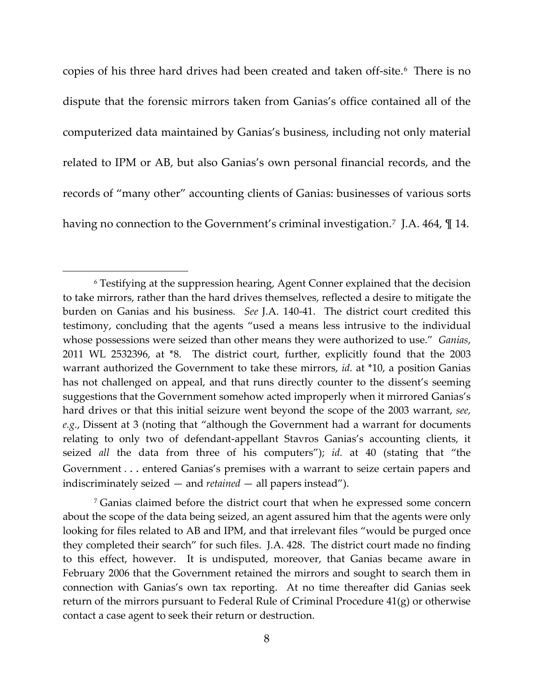copies of his three hard drives had been created and taken off-site.[6](#page-7-0) There is no dispute that the forensic mirrors taken from Ganias's office contained all of the computerized data maintained by Ganias's business, including not only material related to IPM or AB, but also Ganias's own personal financial records, and the records of "many other" accounting clients of Ganias: businesses of various sorts having no connection to the Government's criminal investigation.<sup>7</sup> J.A. 464,  $\mathbb{I}$  14.

<span id="page-7-0"></span><sup>6</sup> Testifying at the suppression hearing, Agent Conner explained that the decision to take mirrors, rather than the hard drives themselves, reflected a desire to mitigate the burden on Ganias and his business. *See* J.A. 140-41. The district court credited this testimony, concluding that the agents "used a means less intrusive to the individual whose possessions were seized than other means they were authorized to use." *Ganias*, 2011 WL 2532396, at \*8. The district court, further, explicitly found that the 2003 warrant authorized the Government to take these mirrors, *id.* at \*10, a position Ganias has not challenged on appeal, and that runs directly counter to the dissent's seeming suggestions that the Government somehow acted improperly when it mirrored Ganias's hard drives or that this initial seizure went beyond the scope of the 2003 warrant, *see, e.g.*, Dissent at 3 (noting that "although the Government had a warrant for documents relating to only two of defendant-appellant Stavros Ganias's accounting clients, it seized *all* the data from three of his computers"); *id.* at 40 (stating that "the Government . . . entered Ganias's premises with a warrant to seize certain papers and indiscriminately seized — and *retained* — all papers instead").

<span id="page-7-1"></span><sup>7</sup> Ganias claimed before the district court that when he expressed some concern about the scope of the data being seized, an agent assured him that the agents were only looking for files related to AB and IPM, and that irrelevant files "would be purged once they completed their search" for such files. J.A. 428.The district court made no finding to this effect, however. It is undisputed, moreover, that Ganias became aware in February 2006 that the Government retained the mirrors and sought to search them in connection with Ganias's own tax reporting. At no time thereafter did Ganias seek return of the mirrors pursuant to Federal Rule of Criminal Procedure 41(g) or otherwise contact a case agent to seek their return or destruction.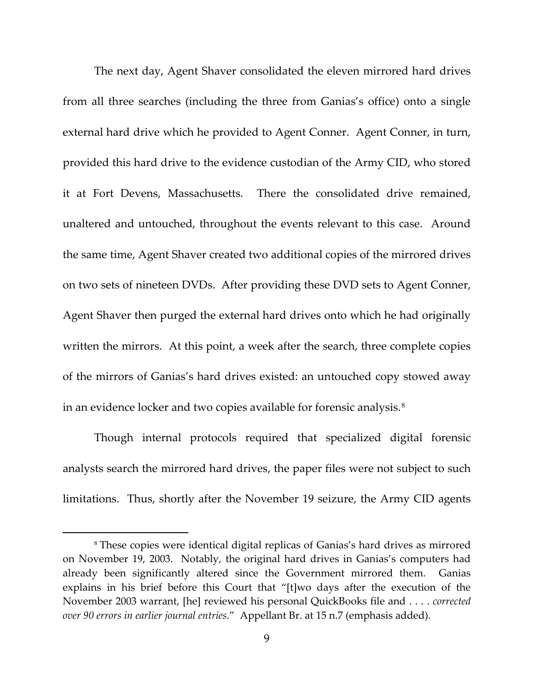The next day, Agent Shaver consolidated the eleven mirrored hard drives from all three searches (including the three from Ganias's office) onto a single external hard drive which he provided to Agent Conner. Agent Conner, in turn, provided this hard drive to the evidence custodian of the Army CID, who stored it at Fort Devens, Massachusetts. There the consolidated drive remained, unaltered and untouched, throughout the events relevant to this case. Around the same time, Agent Shaver created two additional copies of the mirrored drives on two sets of nineteen DVDs. After providing these DVD sets to Agent Conner, Agent Shaver then purged the external hard drives onto which he had originally written the mirrors. At this point, a week after the search, three complete copies of the mirrors of Ganias's hard drives existed: an untouched copy stowed away in an evidence locker and two copies available for forensic analysis.<sup>[8](#page-8-0)</sup>

Though internal protocols required that specialized digital forensic analysts search the mirrored hard drives, the paper files were not subject to such limitations. Thus, shortly after the November 19 seizure, the Army CID agents

<span id="page-8-0"></span><sup>8</sup> These copies were identical digital replicas of Ganias's hard drives as mirrored on November 19, 2003. Notably, the original hard drives in Ganias's computers had already been significantly altered since the Government mirrored them. Ganias explains in his brief before this Court that "[t]wo days after the execution of the November 2003 warrant, [he] reviewed his personal QuickBooks file and . . . . *corrected over 90 errors in earlier journal entries*." Appellant Br. at 15 n.7 (emphasis added).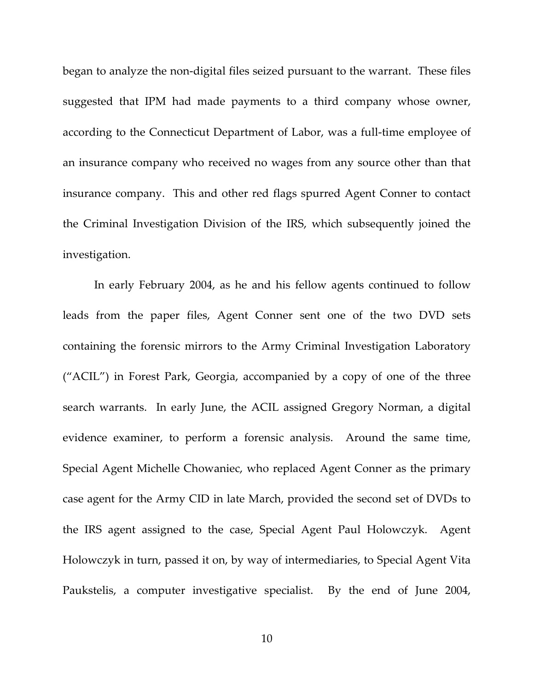began to analyze the non-digital files seized pursuant to the warrant. These files suggested that IPM had made payments to a third company whose owner, according to the Connecticut Department of Labor, was a full-time employee of an insurance company who received no wages from any source other than that insurance company. This and other red flags spurred Agent Conner to contact the Criminal Investigation Division of the IRS, which subsequently joined the investigation.

In early February 2004, as he and his fellow agents continued to follow leads from the paper files, Agent Conner sent one of the two DVD sets containing the forensic mirrors to the Army Criminal Investigation Laboratory ("ACIL") in Forest Park, Georgia, accompanied by a copy of one of the three search warrants. In early June, the ACIL assigned Gregory Norman, a digital evidence examiner, to perform a forensic analysis. Around the same time, Special Agent Michelle Chowaniec, who replaced Agent Conner as the primary case agent for the Army CID in late March, provided the second set of DVDs to the IRS agent assigned to the case, Special Agent Paul Holowczyk. Agent Holowczyk in turn, passed it on, by way of intermediaries, to Special Agent Vita Paukstelis, a computer investigative specialist. By the end of June 2004,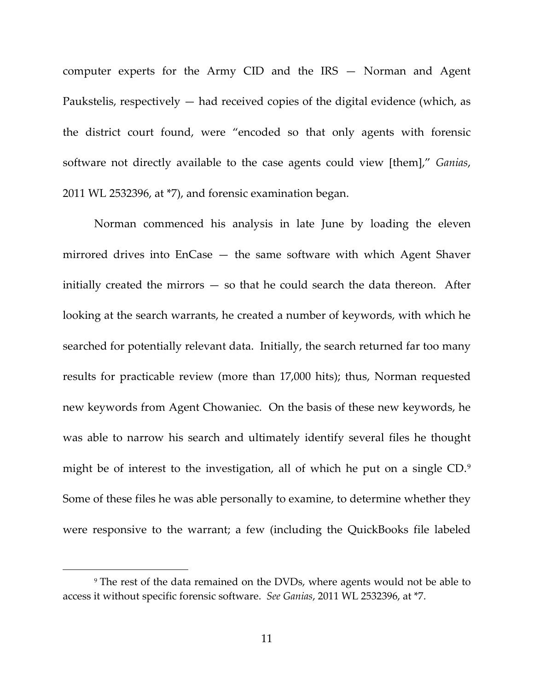computer experts for the Army CID and the IRS — Norman and Agent Paukstelis, respectively  $-$  had received copies of the digital evidence (which, as the district court found, were "encoded so that only agents with forensic software not directly available to the case agents could view [them]," *Ganias*, 2011 WL 2532396, at \*7), and forensic examination began.

Norman commenced his analysis in late June by loading the eleven mirrored drives into EnCase — the same software with which Agent Shaver initially created the mirrors — so that he could search the data thereon. After looking at the search warrants, he created a number of keywords, with which he searched for potentially relevant data. Initially, the search returned far too many results for practicable review (more than 17,000 hits); thus, Norman requested new keywords from Agent Chowaniec. On the basis of these new keywords, he was able to narrow his search and ultimately identify several files he thought might be of interest to the investigation, all of which he put on a single CD.[9](#page-10-0) Some of these files he was able personally to examine, to determine whether they were responsive to the warrant; a few (including the QuickBooks file labeled

<span id="page-10-0"></span><sup>9</sup> The rest of the data remained on the DVDs, where agents would not be able to access it without specific forensic software. *See Ganias*, 2011 WL 2532396, at \*7.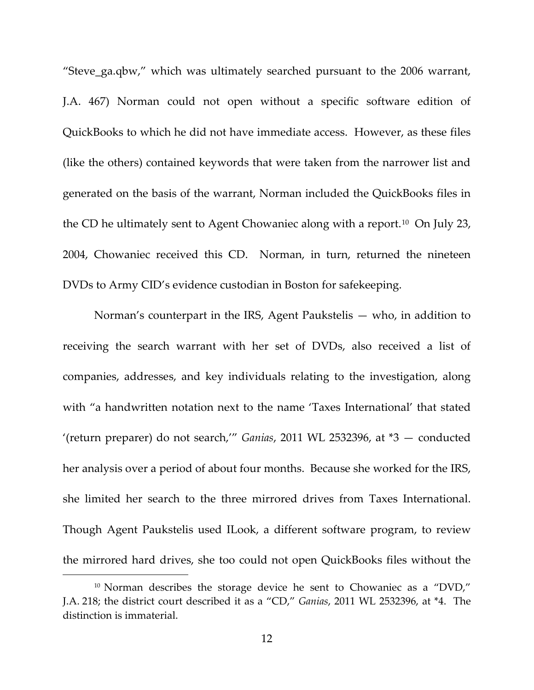"Steve\_ga.qbw," which was ultimately searched pursuant to the 2006 warrant, J.A. 467) Norman could not open without a specific software edition of QuickBooks to which he did not have immediate access. However, as these files (like the others) contained keywords that were taken from the narrower list and generated on the basis of the warrant, Norman included the QuickBooks files in the CD he ultimately sent to Agent Chowaniec along with a report.<sup>[10](#page-11-0)</sup> On July 23, 2004, Chowaniec received this CD. Norman, in turn, returned the nineteen DVDs to Army CID's evidence custodian in Boston for safekeeping.

Norman's counterpart in the IRS, Agent Paukstelis — who, in addition to receiving the search warrant with her set of DVDs, also received a list of companies, addresses, and key individuals relating to the investigation, along with "a handwritten notation next to the name 'Taxes International' that stated '(return preparer) do not search,'" *Ganias*, 2011 WL 2532396, at \*3 — conducted her analysis over a period of about four months. Because she worked for the IRS, she limited her search to the three mirrored drives from Taxes International. Though Agent Paukstelis used ILook, a different software program, to review the mirrored hard drives, she too could not open QuickBooks files without the

<span id="page-11-0"></span><sup>&</sup>lt;sup>10</sup> Norman describes the storage device he sent to Chowaniec as a "DVD," J.A. 218; the district court described it as a "CD," *Ganias*, 2011 WL 2532396, at \*4. The distinction is immaterial.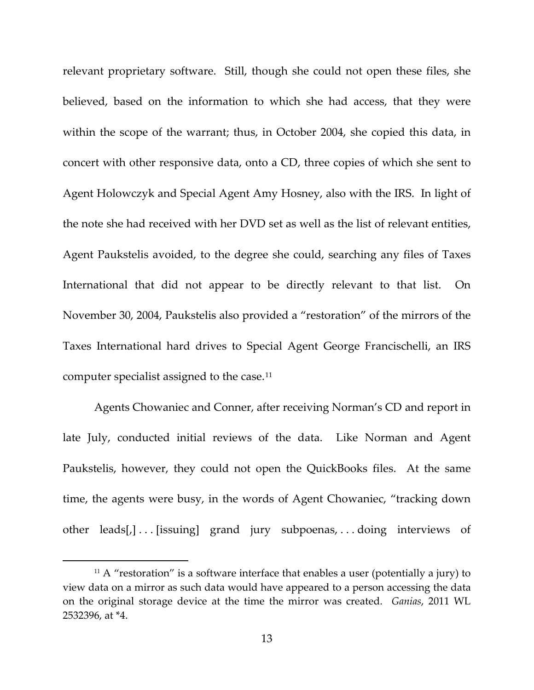relevant proprietary software. Still, though she could not open these files, she believed, based on the information to which she had access, that they were within the scope of the warrant; thus, in October 2004, she copied this data, in concert with other responsive data, onto a CD, three copies of which she sent to Agent Holowczyk and Special Agent Amy Hosney, also with the IRS. In light of the note she had received with her DVD set as well as the list of relevant entities, Agent Paukstelis avoided, to the degree she could, searching any files of Taxes International that did not appear to be directly relevant to that list. On November 30, 2004, Paukstelis also provided a "restoration" of the mirrors of the Taxes International hard drives to Special Agent George Francischelli, an IRS computer specialist assigned to the case.[11](#page-12-0)

Agents Chowaniec and Conner, after receiving Norman's CD and report in late July, conducted initial reviews of the data. Like Norman and Agent Paukstelis, however, they could not open the QuickBooks files. At the same time, the agents were busy, in the words of Agent Chowaniec, "tracking down other leads[,]...[issuing] grand jury subpoenas,...doing interviews of

<span id="page-12-0"></span> $11$  A "restoration" is a software interface that enables a user (potentially a jury) to view data on a mirror as such data would have appeared to a person accessing the data on the original storage device at the time the mirror was created. *Ganias*, 2011 WL 2532396, at \*4.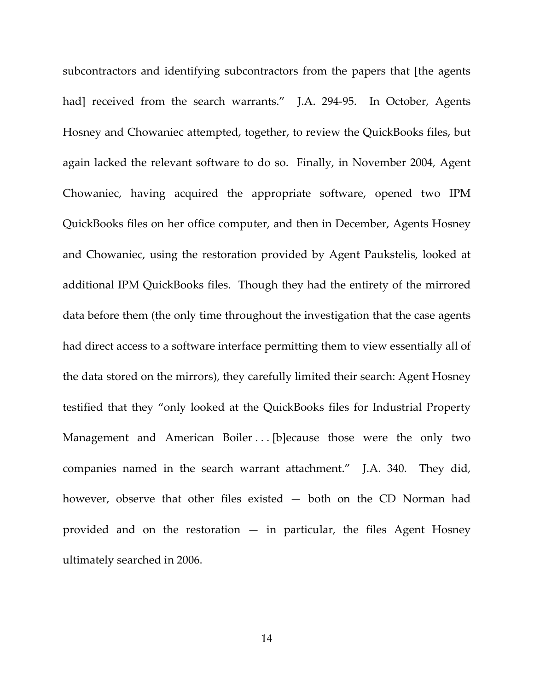subcontractors and identifying subcontractors from the papers that [the agents had] received from the search warrants." J.A. 294-95. In October, Agents Hosney and Chowaniec attempted, together, to review the QuickBooks files, but again lacked the relevant software to do so. Finally, in November 2004, Agent Chowaniec, having acquired the appropriate software, opened two IPM QuickBooks files on her office computer, and then in December, Agents Hosney and Chowaniec, using the restoration provided by Agent Paukstelis, looked at additional IPM QuickBooks files. Though they had the entirety of the mirrored data before them (the only time throughout the investigation that the case agents had direct access to a software interface permitting them to view essentially all of the data stored on the mirrors), they carefully limited their search: Agent Hosney testified that they "only looked at the QuickBooks files for Industrial Property Management and American Boiler ... [b]ecause those were the only two companies named in the search warrant attachment." J.A. 340. They did, however, observe that other files existed — both on the CD Norman had provided and on the restoration  $-$  in particular, the files Agent Hosney ultimately searched in 2006.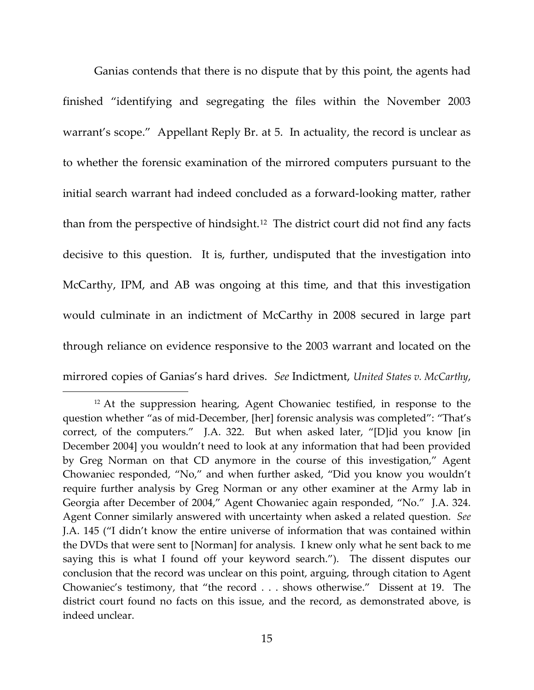Ganias contends that there is no dispute that by this point, the agents had finished "identifying and segregating the files within the November 2003 warrant's scope." Appellant Reply Br. at 5. In actuality, the record is unclear as to whether the forensic examination of the mirrored computers pursuant to the initial search warrant had indeed concluded as a forward-looking matter, rather than from the perspective of hindsight.<sup>[12](#page-14-0)</sup> The district court did not find any facts decisive to this question. It is, further, undisputed that the investigation into McCarthy, IPM, and AB was ongoing at this time, and that this investigation would culminate in an indictment of McCarthy in 2008 secured in large part through reliance on evidence responsive to the 2003 warrant and located on the mirrored copies of Ganias's hard drives. *See* Indictment, *United States v. McCarthy*,

<span id="page-14-0"></span><sup>&</sup>lt;sup>12</sup> At the suppression hearing, Agent Chowaniec testified, in response to the question whether "as of mid-December, [her] forensic analysis was completed": "That's correct, of the computers." J.A. 322. But when asked later, "[D]id you know [in December 2004] you wouldn't need to look at any information that had been provided by Greg Norman on that CD anymore in the course of this investigation," Agent Chowaniec responded, "No," and when further asked, "Did you know you wouldn't require further analysis by Greg Norman or any other examiner at the Army lab in Georgia after December of 2004," Agent Chowaniec again responded, "No." J.A. 324. Agent Conner similarly answered with uncertainty when asked a related question. *See* J.A. 145 ("I didn't know the entire universe of information that was contained within the DVDs that were sent to [Norman] for analysis. I knew only what he sent back to me saying this is what I found off your keyword search."). The dissent disputes our conclusion that the record was unclear on this point, arguing, through citation to Agent Chowaniec's testimony, that "the record . . . shows otherwise." Dissent at 19. The district court found no facts on this issue, and the record, as demonstrated above, is indeed unclear.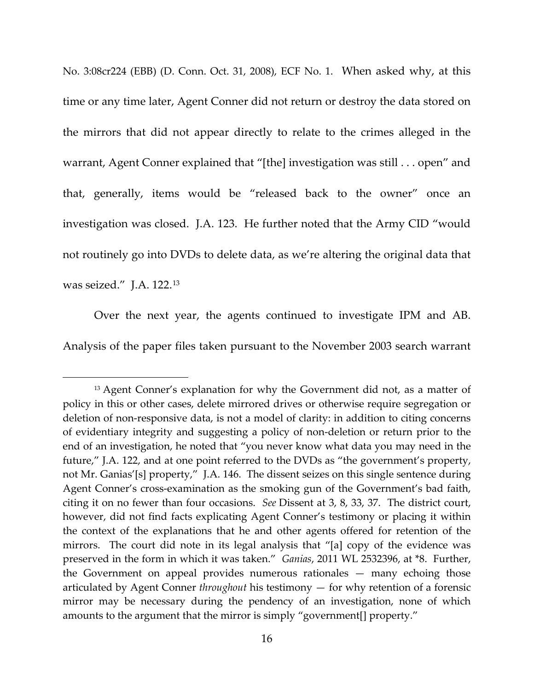No. 3:08cr224 (EBB) (D. Conn. Oct. 31, 2008), ECF No. 1. When asked why, at this time or any time later, Agent Conner did not return or destroy the data stored on the mirrors that did not appear directly to relate to the crimes alleged in the warrant, Agent Conner explained that "[the] investigation was still . . . open" and that, generally, items would be "released back to the owner" once an investigation was closed. J.A. 123. He further noted that the Army CID "would not routinely go into DVDs to delete data, as we're altering the original data that was seized." J.A. 122.[13](#page-15-0)

Over the next year, the agents continued to investigate IPM and AB. Analysis of the paper files taken pursuant to the November 2003 search warrant

<span id="page-15-0"></span><sup>&</sup>lt;sup>13</sup> Agent Conner's explanation for why the Government did not, as a matter of policy in this or other cases, delete mirrored drives or otherwise require segregation or deletion of non-responsive data, is not a model of clarity: in addition to citing concerns of evidentiary integrity and suggesting a policy of non-deletion or return prior to the end of an investigation, he noted that "you never know what data you may need in the future," J.A. 122, and at one point referred to the DVDs as "the government's property, not Mr. Ganias'[s] property," J.A. 146. The dissent seizes on this single sentence during Agent Conner's cross-examination as the smoking gun of the Government's bad faith, citing it on no fewer than four occasions. *See* Dissent at 3, 8, 33, 37. The district court, however, did not find facts explicating Agent Conner's testimony or placing it within the context of the explanations that he and other agents offered for retention of the mirrors. The court did note in its legal analysis that "[a] copy of the evidence was preserved in the form in which it was taken." *Ganias*, 2011 WL 2532396, at \*8. Further, the Government on appeal provides numerous rationales — many echoing those articulated by Agent Conner *throughout* his testimony — for why retention of a forensic mirror may be necessary during the pendency of an investigation, none of which amounts to the argument that the mirror is simply "government[] property."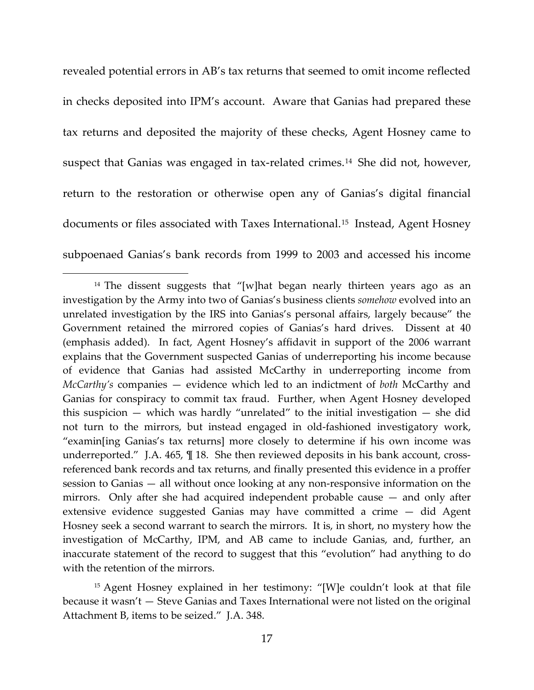revealed potential errors in AB's tax returns that seemed to omit income reflected in checks deposited into IPM's account. Aware that Ganias had prepared these tax returns and deposited the majority of these checks, Agent Hosney came to suspect that Ganias was engaged in tax-related crimes.<sup>[14](#page-16-0)</sup> She did not, however, return to the restoration or otherwise open any of Ganias's digital financial documents or files associated with Taxes International.<sup>[15](#page-16-1)</sup> Instead, Agent Hosney subpoenaed Ganias's bank records from 1999 to 2003 and accessed his income

<span id="page-16-0"></span><sup>&</sup>lt;sup>14</sup> The dissent suggests that "[w]hat began nearly thirteen years ago as an investigation by the Army into two of Ganias's business clients *somehow* evolved into an unrelated investigation by the IRS into Ganias's personal affairs, largely because" the Government retained the mirrored copies of Ganias's hard drives. Dissent at 40 (emphasis added). In fact, Agent Hosney's affidavit in support of the 2006 warrant explains that the Government suspected Ganias of underreporting his income because of evidence that Ganias had assisted McCarthy in underreporting income from *McCarthy's* companies — evidence which led to an indictment of *both* McCarthy and Ganias for conspiracy to commit tax fraud. Further, when Agent Hosney developed this suspicion — which was hardly "unrelated" to the initial investigation — she did not turn to the mirrors, but instead engaged in old-fashioned investigatory work, "examin[ing Ganias's tax returns] more closely to determine if his own income was underreported." J.A. 465, ¶ 18. She then reviewed deposits in his bank account, crossreferenced bank records and tax returns, and finally presented this evidence in a proffer session to Ganias — all without once looking at any non-responsive information on the mirrors. Only after she had acquired independent probable cause — and only after extensive evidence suggested Ganias may have committed a crime — did Agent Hosney seek a second warrant to search the mirrors. It is, in short, no mystery how the investigation of McCarthy, IPM, and AB came to include Ganias, and, further, an inaccurate statement of the record to suggest that this "evolution" had anything to do with the retention of the mirrors.

<span id="page-16-1"></span><sup>15</sup> Agent Hosney explained in her testimony: "[W]e couldn't look at that file because it wasn't — Steve Ganias and Taxes International were not listed on the original Attachment B, items to be seized." J.A. 348.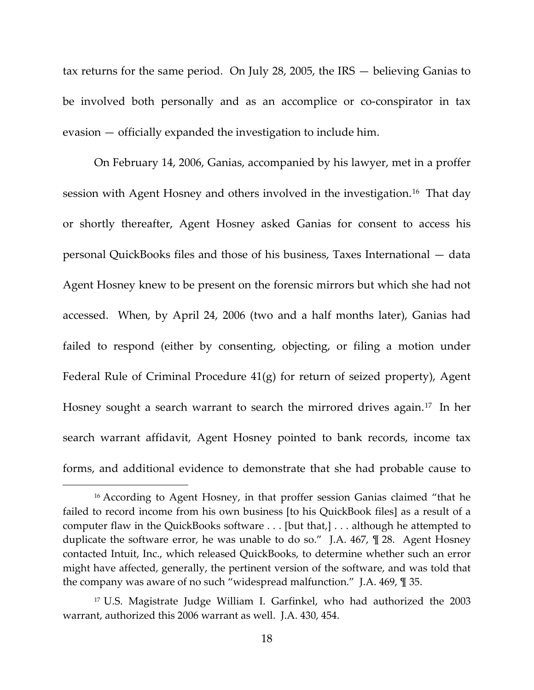tax returns for the same period. On July 28, 2005, the IRS — believing Ganias to be involved both personally and as an accomplice or co-conspirator in tax evasion — officially expanded the investigation to include him.

On February 14, 2006, Ganias, accompanied by his lawyer, met in a proffer session with Agent Hosney and others involved in the investigation.[16](#page-17-0) That day or shortly thereafter, Agent Hosney asked Ganias for consent to access his personal QuickBooks files and those of his business, Taxes International — data Agent Hosney knew to be present on the forensic mirrors but which she had not accessed. When, by April 24, 2006 (two and a half months later), Ganias had failed to respond (either by consenting, objecting, or filing a motion under Federal Rule of Criminal Procedure 41(g) for return of seized property), Agent Hosney sought a search warrant to search the mirrored drives again.<sup>[17](#page-17-1)</sup> In her search warrant affidavit, Agent Hosney pointed to bank records, income tax forms, and additional evidence to demonstrate that she had probable cause to

<span id="page-17-0"></span><sup>&</sup>lt;sup>16</sup> According to Agent Hosney, in that proffer session Ganias claimed "that he failed to record income from his own business [to his QuickBook files] as a result of a computer flaw in the QuickBooks software . . . [but that,] . . . although he attempted to duplicate the software error, he was unable to do so." J.A. 467, ¶ 28. Agent Hosney contacted Intuit, Inc., which released QuickBooks, to determine whether such an error might have affected, generally, the pertinent version of the software, and was told that the company was aware of no such "widespread malfunction." J.A. 469, ¶ 35.

<span id="page-17-1"></span><sup>17</sup> U.S. Magistrate Judge William I. Garfinkel, who had authorized the 2003 warrant, authorized this 2006 warrant as well. J.A. 430, 454.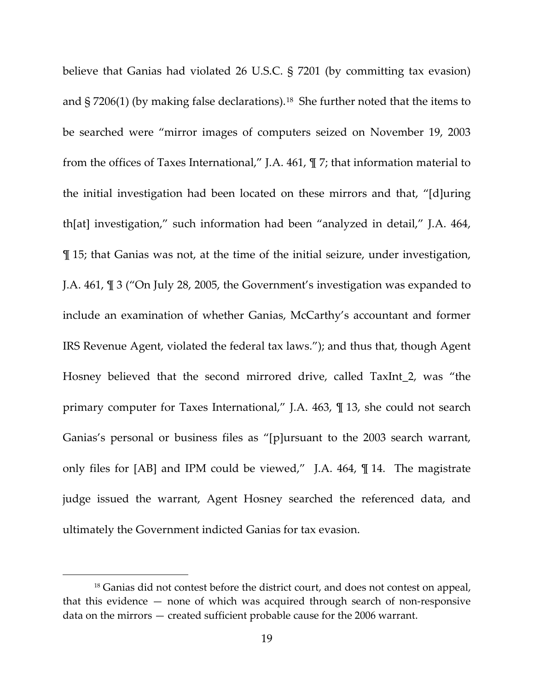believe that Ganias had violated 26 U.S.C. § 7201 (by committing tax evasion) and  $\S 7206(1)$  (by making false declarations).<sup>[18](#page-18-0)</sup> She further noted that the items to be searched were "mirror images of computers seized on November 19, 2003 from the offices of Taxes International," J.A. 461, ¶ 7; that information material to the initial investigation had been located on these mirrors and that, "[d]uring th[at] investigation," such information had been "analyzed in detail," J.A. 464, ¶ 15; that Ganias was not, at the time of the initial seizure, under investigation, J.A. 461, ¶ 3 ("On July 28, 2005, the Government's investigation was expanded to include an examination of whether Ganias, McCarthy's accountant and former IRS Revenue Agent, violated the federal tax laws."); and thus that, though Agent Hosney believed that the second mirrored drive, called TaxInt\_2, was "the primary computer for Taxes International," J.A. 463, ¶ 13, she could not search Ganias's personal or business files as "[p]ursuant to the 2003 search warrant, only files for [AB] and IPM could be viewed," J.A. 464, ¶ 14. The magistrate judge issued the warrant, Agent Hosney searched the referenced data, and ultimately the Government indicted Ganias for tax evasion.

<span id="page-18-0"></span><sup>&</sup>lt;sup>18</sup> Ganias did not contest before the district court, and does not contest on appeal, that this evidence — none of which was acquired through search of non-responsive data on the mirrors — created sufficient probable cause for the 2006 warrant.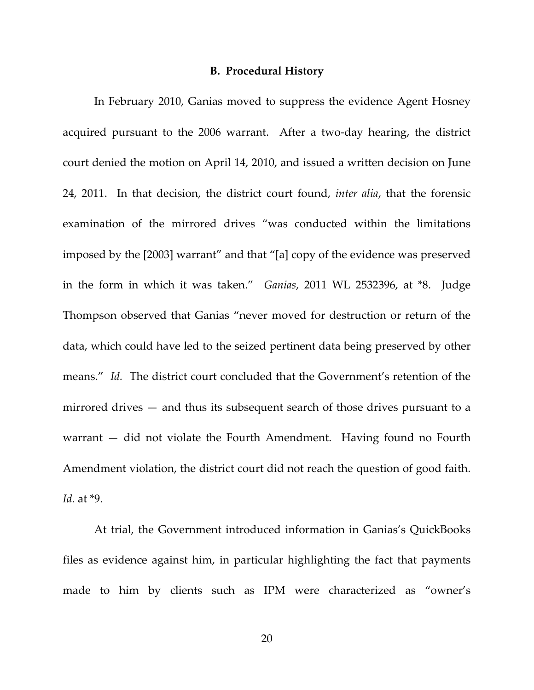## **B. Procedural History**

In February 2010, Ganias moved to suppress the evidence Agent Hosney acquired pursuant to the 2006 warrant. After a two-day hearing, the district court denied the motion on April 14, 2010, and issued a written decision on June 24, 2011. In that decision, the district court found, *inter alia*, that the forensic examination of the mirrored drives "was conducted within the limitations imposed by the [2003] warrant" and that "[a] copy of the evidence was preserved in the form in which it was taken." *Ganias*, 2011 WL 2532396, at \*8. Judge Thompson observed that Ganias "never moved for destruction or return of the data, which could have led to the seized pertinent data being preserved by other means." *Id.* The district court concluded that the Government's retention of the mirrored drives — and thus its subsequent search of those drives pursuant to a warrant — did not violate the Fourth Amendment. Having found no Fourth Amendment violation, the district court did not reach the question of good faith. *Id.* at \*9.

At trial, the Government introduced information in Ganias's QuickBooks files as evidence against him, in particular highlighting the fact that payments made to him by clients such as IPM were characterized as "owner's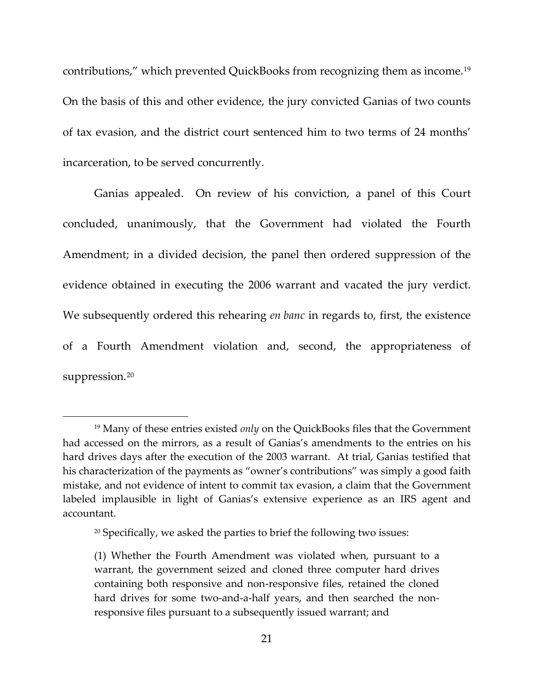contributions," which prevented QuickBooks from recognizing them as income.[19](#page-20-0) On the basis of this and other evidence, the jury convicted Ganias of two counts of tax evasion, and the district court sentenced him to two terms of 24 months' incarceration, to be served concurrently.

Ganias appealed. On review of his conviction, a panel of this Court concluded, unanimously, that the Government had violated the Fourth Amendment; in a divided decision, the panel then ordered suppression of the evidence obtained in executing the 2006 warrant and vacated the jury verdict. We subsequently ordered this rehearing *en banc* in regards to, first, the existence of a Fourth Amendment violation and, second, the appropriateness of suppression.<sup>[20](#page-20-1)</sup>

<span id="page-20-0"></span><sup>19</sup> Many of these entries existed *only* on the QuickBooks files that the Government had accessed on the mirrors, as a result of Ganias's amendments to the entries on his hard drives days after the execution of the 2003 warrant. At trial, Ganias testified that his characterization of the payments as "owner's contributions" was simply a good faith mistake, and not evidence of intent to commit tax evasion, a claim that the Government labeled implausible in light of Ganias's extensive experience as an IRS agent and accountant.

<span id="page-20-1"></span><sup>&</sup>lt;sup>20</sup> Specifically, we asked the parties to brief the following two issues:

<sup>(1)</sup> Whether the Fourth Amendment was violated when, pursuant to a warrant, the government seized and cloned three computer hard drives containing both responsive and non-responsive files, retained the cloned hard drives for some two-and-a-half years, and then searched the nonresponsive files pursuant to a subsequently issued warrant; and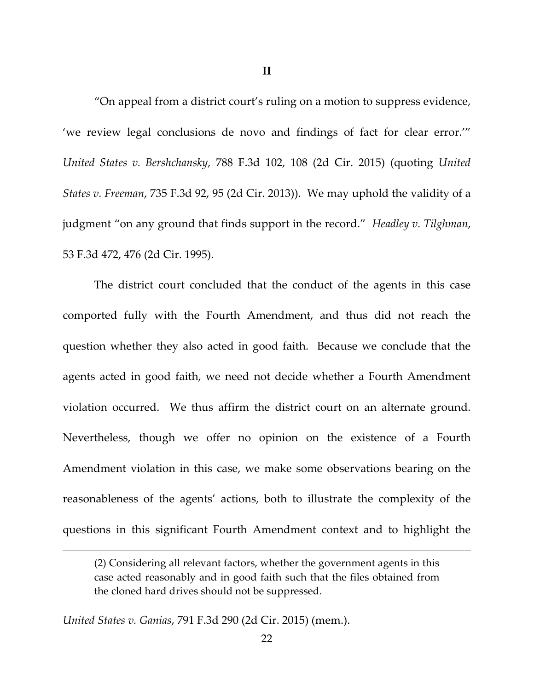**II**

"On appeal from a district court's ruling on a motion to suppress evidence, 'we review legal conclusions de novo and findings of fact for clear error.'" *United States v. Bershchansky*, 788 F.3d 102, 108 (2d Cir. 2015) (quoting *United States v. Freeman*, 735 F.3d 92, 95 (2d Cir. 2013)). We may uphold the validity of a judgment "on any ground that finds support in the record." *Headley v. Tilghman*, 53 F.3d 472, 476 (2d Cir. 1995).

The district court concluded that the conduct of the agents in this case comported fully with the Fourth Amendment, and thus did not reach the question whether they also acted in good faith. Because we conclude that the agents acted in good faith, we need not decide whether a Fourth Amendment violation occurred. We thus affirm the district court on an alternate ground. Nevertheless, though we offer no opinion on the existence of a Fourth Amendment violation in this case, we make some observations bearing on the reasonableness of the agents' actions, both to illustrate the complexity of the questions in this significant Fourth Amendment context and to highlight the

*United States v. Ganias*, 791 F.3d 290 (2d Cir. 2015) (mem.).

<sup>(2)</sup> Considering all relevant factors, whether the government agents in this case acted reasonably and in good faith such that the files obtained from the cloned hard drives should not be suppressed.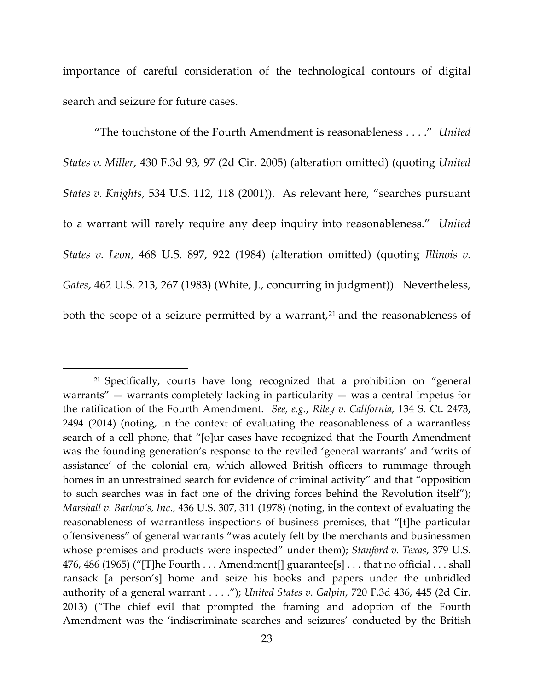importance of careful consideration of the technological contours of digital search and seizure for future cases.

"The touchstone of the Fourth Amendment is reasonableness . . . ." *United States v. Miller*, 430 F.3d 93, 97 (2d Cir. 2005) (alteration omitted) (quoting *United States v. Knights*, 534 U.S. 112, 118 (2001)). As relevant here, "searches pursuant to a warrant will rarely require any deep inquiry into reasonableness." *United States v. Leon*, 468 U.S. 897, 922 (1984) (alteration omitted) (quoting *Illinois v. Gates*, 462 U.S. 213, 267 (1983) (White, J., concurring in judgment)). Nevertheless, both the scope of a seizure permitted by a warrant, $2<sup>1</sup>$  and the reasonableness of

<span id="page-22-0"></span><sup>&</sup>lt;sup>21</sup> Specifically, courts have long recognized that a prohibition on "general warrants"  $-$  warrants completely lacking in particularity  $-$  was a central impetus for the ratification of the Fourth Amendment. *See, e.g.*, *Riley v. California*, 134 S. Ct. 2473, 2494 (2014) (noting, in the context of evaluating the reasonableness of a warrantless search of a cell phone, that "[o]ur cases have recognized that the Fourth Amendment was the founding generation's response to the reviled 'general warrants' and 'writs of assistance' of the colonial era, which allowed British officers to rummage through homes in an unrestrained search for evidence of criminal activity" and that "opposition to such searches was in fact one of the driving forces behind the Revolution itself"); *Marshall v. Barlow's, Inc*., 436 U.S. 307, 311 (1978) (noting, in the context of evaluating the reasonableness of warrantless inspections of business premises, that "[t]he particular offensiveness" of general warrants "was acutely felt by the merchants and businessmen whose premises and products were inspected" under them); *Stanford v. Texas*, 379 U.S. 476, 486 (1965) ("[T]he Fourth . . . Amendment[] guarantee[s] . . . that no official . . . shall ransack [a person's] home and seize his books and papers under the unbridled authority of a general warrant . . . ."); *United States v. Galpin*, 720 F.3d 436, 445 (2d Cir. 2013) ("The chief evil that prompted the framing and adoption of the Fourth Amendment was the 'indiscriminate searches and seizures' conducted by the British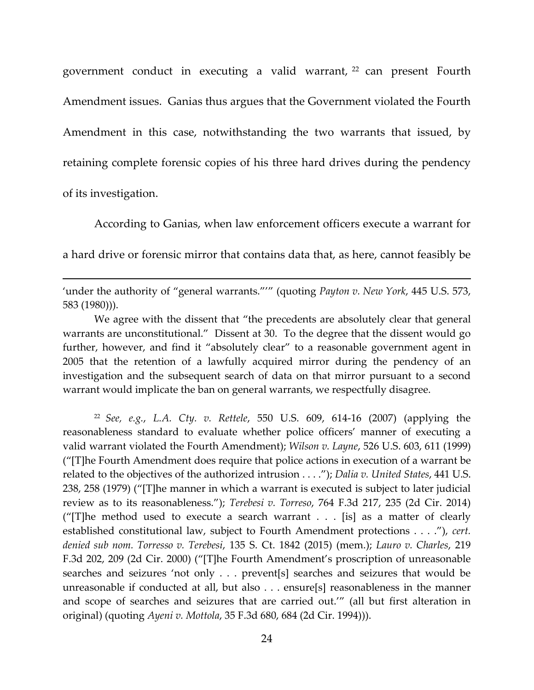government conduct in executing a valid warrant, [22](#page-23-0) can present Fourth Amendment issues. Ganias thus argues that the Government violated the Fourth Amendment in this case, notwithstanding the two warrants that issued, by retaining complete forensic copies of his three hard drives during the pendency of its investigation.

According to Ganias, when law enforcement officers execute a warrant for a hard drive or forensic mirror that contains data that, as here, cannot feasibly be

'under the authority of "general warrants."'" (quoting *Payton v. New York*, 445 U.S. 573, 583 (1980))).

 $\overline{\phantom{a}}$ 

We agree with the dissent that "the precedents are absolutely clear that general warrants are unconstitutional." Dissent at 30. To the degree that the dissent would go further, however, and find it "absolutely clear" to a reasonable government agent in 2005 that the retention of a lawfully acquired mirror during the pendency of an investigation and the subsequent search of data on that mirror pursuant to a second warrant would implicate the ban on general warrants, we respectfully disagree.

<span id="page-23-0"></span><sup>22</sup> *See, e.g.*, *L.A. Cty. v. Rettele*, 550 U.S. 609, 614-16 (2007) (applying the reasonableness standard to evaluate whether police officers' manner of executing a valid warrant violated the Fourth Amendment); *Wilson v. Layne*, 526 U.S. 603, 611 (1999) ("[T]he Fourth Amendment does require that police actions in execution of a warrant be related to the objectives of the authorized intrusion . . . ."); *Dalia v. United States*, 441 U.S. 238, 258 (1979) ("[T]he manner in which a warrant is executed is subject to later judicial review as to its reasonableness."); *Terebesi v. Torreso*, 764 F.3d 217, 235 (2d Cir. 2014) ("[T]he method used to execute a search warrant . . . [is] as a matter of clearly established constitutional law, subject to Fourth Amendment protections . . . ."), *cert. denied sub nom. Torresso v. Terebesi*, 135 S. Ct. 1842 (2015) (mem.); *Lauro v. Charles*, 219 F.3d 202, 209 (2d Cir. 2000) ("[T]he Fourth Amendment's proscription of unreasonable searches and seizures 'not only . . . prevent[s] searches and seizures that would be unreasonable if conducted at all, but also . . . ensure[s] reasonableness in the manner and scope of searches and seizures that are carried out.'" (all but first alteration in original) (quoting *Ayeni v. Mottola*, 35 F.3d 680, 684 (2d Cir. 1994))).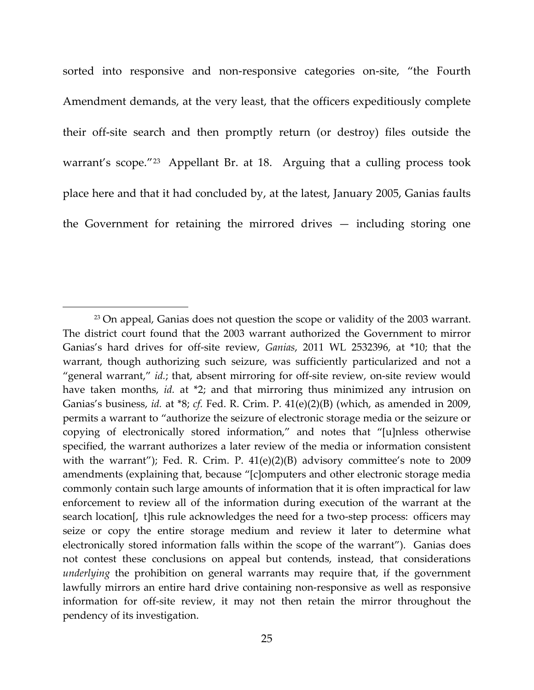sorted into responsive and non-responsive categories on-site, "the Fourth Amendment demands, at the very least, that the officers expeditiously complete their off-site search and then promptly return (or destroy) files outside the warrant's scope."<sup>[23](#page-24-0)</sup> Appellant Br. at 18. Arguing that a culling process took place here and that it had concluded by, at the latest, January 2005, Ganias faults the Government for retaining the mirrored drives — including storing one

<span id="page-24-0"></span><sup>&</sup>lt;sup>23</sup> On appeal, Ganias does not question the scope or validity of the 2003 warrant. The district court found that the 2003 warrant authorized the Government to mirror Ganias's hard drives for off-site review, *Ganias*, 2011 WL 2532396, at \*10; that the warrant, though authorizing such seizure, was sufficiently particularized and not a "general warrant," *id.*; that, absent mirroring for off-site review, on-site review would have taken months, *id.* at \*2; and that mirroring thus minimized any intrusion on Ganias's business, *id.* at \*8; *cf.* Fed. R. Crim. P. 41(e)(2)(B) (which, as amended in 2009, permits a warrant to "authorize the seizure of electronic storage media or the seizure or copying of electronically stored information," and notes that "[u]nless otherwise specified, the warrant authorizes a later review of the media or information consistent with the warrant"); Fed. R. Crim. P. 41(e)(2)(B) advisory committee's note to 2009 amendments (explaining that, because "[c]omputers and other electronic storage media commonly contain such large amounts of information that it is often impractical for law enforcement to review all of the information during execution of the warrant at the search location[, t]his rule acknowledges the need for a two-step process:  officers may seize or copy the entire storage medium and review it later to determine what electronically stored information falls within the scope of the warrant"). Ganias does not contest these conclusions on appeal but contends, instead, that considerations *underlying* the prohibition on general warrants may require that, if the government lawfully mirrors an entire hard drive containing non-responsive as well as responsive information for off-site review, it may not then retain the mirror throughout the pendency of its investigation.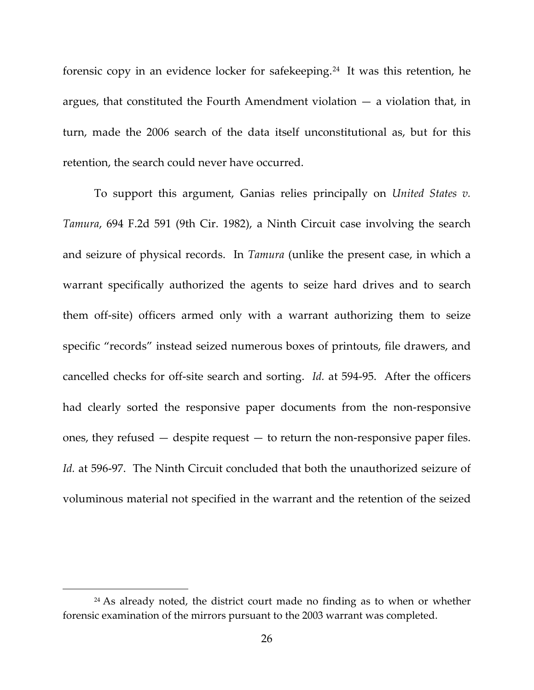forensic copy in an evidence locker for safekeeping.[24](#page-25-0) It was this retention, he argues, that constituted the Fourth Amendment violation — a violation that, in turn, made the 2006 search of the data itself unconstitutional as, but for this retention, the search could never have occurred.

To support this argument, Ganias relies principally on *United States v. Tamura*, 694 F.2d 591 (9th Cir. 1982), a Ninth Circuit case involving the search and seizure of physical records. In *Tamura* (unlike the present case, in which a warrant specifically authorized the agents to seize hard drives and to search them off-site) officers armed only with a warrant authorizing them to seize specific "records" instead seized numerous boxes of printouts, file drawers, and cancelled checks for off-site search and sorting. *Id.* at 594-95. After the officers had clearly sorted the responsive paper documents from the non-responsive ones, they refused — despite request — to return the non-responsive paper files. *Id.* at 596-97. The Ninth Circuit concluded that both the unauthorized seizure of voluminous material not specified in the warrant and the retention of the seized

<span id="page-25-0"></span><sup>&</sup>lt;sup>24</sup> As already noted, the district court made no finding as to when or whether forensic examination of the mirrors pursuant to the 2003 warrant was completed.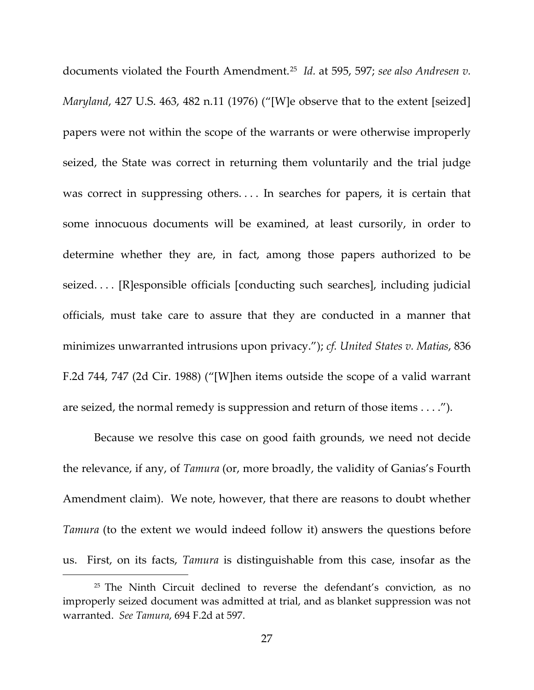documents violated the Fourth Amendment.[25](#page-26-0) *Id.* at 595, 597; *see also Andresen v. Maryland*, 427 U.S. 463, 482 n.11 (1976) ("[W]e observe that to the extent [seized] papers were not within the scope of the warrants or were otherwise improperly seized, the State was correct in returning them voluntarily and the trial judge was correct in suppressing others.... In searches for papers, it is certain that some innocuous documents will be examined, at least cursorily, in order to determine whether they are, in fact, among those papers authorized to be seized. . . . [R]esponsible officials [conducting such searches], including judicial officials, must take care to assure that they are conducted in a manner that minimizes unwarranted intrusions upon privacy."); *cf. United States v. Matias*, 836 F.2d 744, 747 (2d Cir. 1988) ("[W]hen items outside the scope of a valid warrant are seized, the normal remedy is suppression and return of those items . . . .").

Because we resolve this case on good faith grounds, we need not decide the relevance, if any, of *Tamura* (or, more broadly, the validity of Ganias's Fourth Amendment claim). We note, however, that there are reasons to doubt whether *Tamura* (to the extent we would indeed follow it) answers the questions before us. First, on its facts, *Tamura* is distinguishable from this case, insofar as the

<span id="page-26-0"></span><sup>&</sup>lt;sup>25</sup> The Ninth Circuit declined to reverse the defendant's conviction, as no improperly seized document was admitted at trial, and as blanket suppression was not warranted. *See Tamura*, 694 F.2d at 597.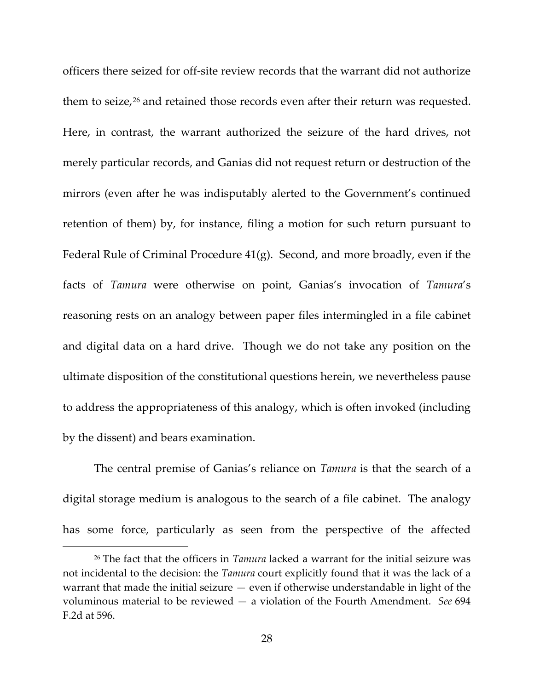officers there seized for off-site review records that the warrant did not authorize them to seize,<sup>[26](#page-27-0)</sup> and retained those records even after their return was requested. Here, in contrast, the warrant authorized the seizure of the hard drives, not merely particular records, and Ganias did not request return or destruction of the mirrors (even after he was indisputably alerted to the Government's continued retention of them) by, for instance, filing a motion for such return pursuant to Federal Rule of Criminal Procedure 41(g). Second, and more broadly, even if the facts of *Tamura* were otherwise on point, Ganias's invocation of *Tamura*'s reasoning rests on an analogy between paper files intermingled in a file cabinet and digital data on a hard drive. Though we do not take any position on the ultimate disposition of the constitutional questions herein, we nevertheless pause to address the appropriateness of this analogy, which is often invoked (including by the dissent) and bears examination.

The central premise of Ganias's reliance on *Tamura* is that the search of a digital storage medium is analogous to the search of a file cabinet. The analogy has some force, particularly as seen from the perspective of the affected

<span id="page-27-0"></span><sup>26</sup> The fact that the officers in *Tamura* lacked a warrant for the initial seizure was not incidental to the decision: the *Tamura* court explicitly found that it was the lack of a warrant that made the initial seizure — even if otherwise understandable in light of the voluminous material to be reviewed — a violation of the Fourth Amendment. *See* 694 F.2d at 596.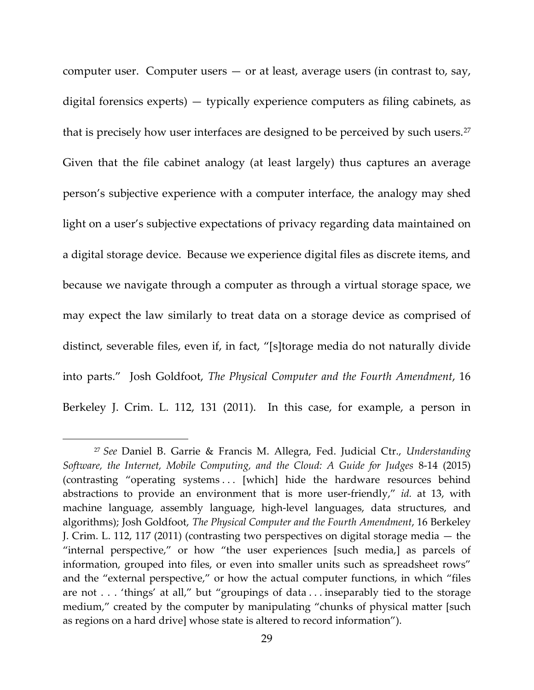computer user. Computer users  $-$  or at least, average users (in contrast to, say, digital forensics experts) — typically experience computers as filing cabinets, as that is precisely how user interfaces are designed to be perceived by such users.<sup>[27](#page-28-0)</sup> Given that the file cabinet analogy (at least largely) thus captures an average person's subjective experience with a computer interface, the analogy may shed light on a user's subjective expectations of privacy regarding data maintained on a digital storage device. Because we experience digital files as discrete items, and because we navigate through a computer as through a virtual storage space, we may expect the law similarly to treat data on a storage device as comprised of distinct, severable files, even if, in fact, "[s]torage media do not naturally divide into parts." Josh Goldfoot, *The Physical Computer and the Fourth Amendment*, 16 Berkeley J. Crim. L. 112, 131 (2011). In this case, for example, a person in

<span id="page-28-0"></span><sup>27</sup> *See* Daniel B. Garrie & Francis M. Allegra, Fed. Judicial Ctr., *Understanding Software, the Internet, Mobile Computing, and the Cloud: A Guide for Judges* 8-14 (2015) (contrasting "operating systems . . . [which] hide the hardware resources behind abstractions to provide an environment that is more user-friendly," *id.* at 13, with machine language, assembly language, high-level languages, data structures, and algorithms); Josh Goldfoot, *The Physical Computer and the Fourth Amendment*, 16 Berkeley J. Crim. L. 112, 117 (2011) (contrasting two perspectives on digital storage media — the "internal perspective," or how "the user experiences [such media,] as parcels of information, grouped into files, or even into smaller units such as spreadsheet rows" and the "external perspective," or how the actual computer functions, in which "files are not . . . 'things' at all," but "groupings of data . . . inseparably tied to the storage medium," created by the computer by manipulating "chunks of physical matter [such as regions on a hard drive] whose state is altered to record information").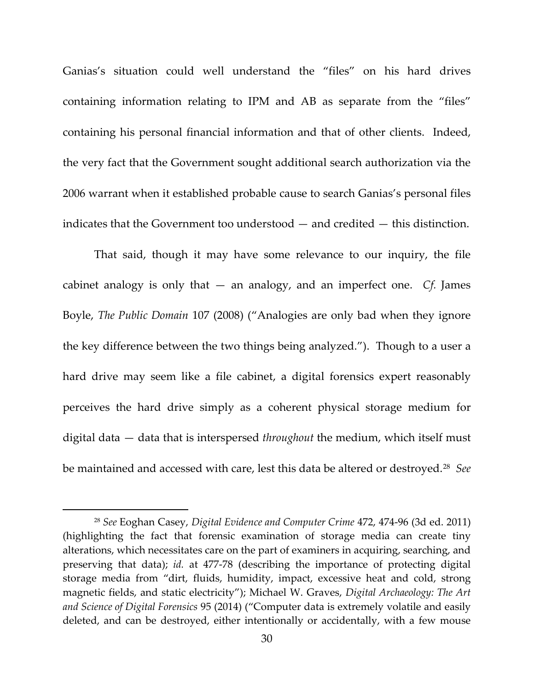Ganias's situation could well understand the "files" on his hard drives containing information relating to IPM and AB as separate from the "files" containing his personal financial information and that of other clients. Indeed, the very fact that the Government sought additional search authorization via the 2006 warrant when it established probable cause to search Ganias's personal files indicates that the Government too understood — and credited — this distinction.

That said, though it may have some relevance to our inquiry, the file cabinet analogy is only that — an analogy, and an imperfect one. *Cf.* James Boyle, *The Public Domain* 107 (2008) ("Analogies are only bad when they ignore the key difference between the two things being analyzed."). Though to a user a hard drive may seem like a file cabinet, a digital forensics expert reasonably perceives the hard drive simply as a coherent physical storage medium for digital data — data that is interspersed *throughout* the medium, which itself must be maintained and accessed with care, lest this data be altered or destroyed.[28](#page-29-0) *See* 

<span id="page-29-0"></span><sup>28</sup> *See* Eoghan Casey, *Digital Evidence and Computer Crime* 472, 474-96 (3d ed. 2011) (highlighting the fact that forensic examination of storage media can create tiny alterations, which necessitates care on the part of examiners in acquiring, searching, and preserving that data); *id.* at 477-78 (describing the importance of protecting digital storage media from "dirt, fluids, humidity, impact, excessive heat and cold, strong magnetic fields, and static electricity"); Michael W. Graves, *Digital Archaeology: The Art and Science of Digital Forensics* 95 (2014) ("Computer data is extremely volatile and easily deleted, and can be destroyed, either intentionally or accidentally, with a few mouse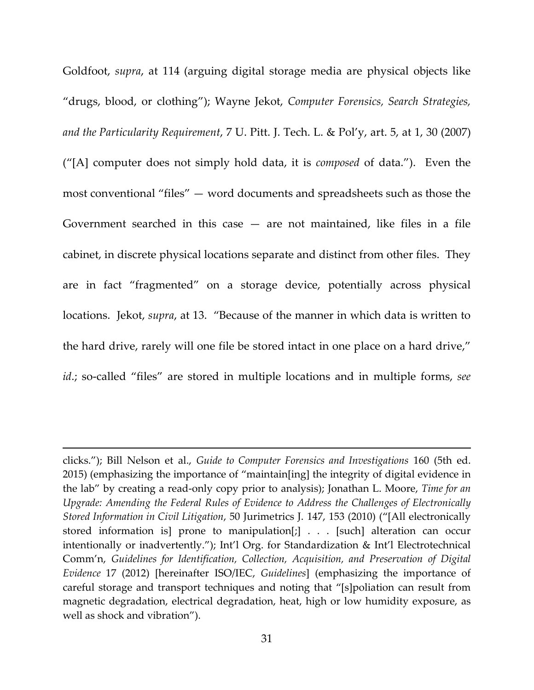Goldfoot, *supra*, at 114 (arguing digital storage media are physical objects like "drugs, blood, or clothing"); Wayne Jekot, *Computer Forensics, Search Strategies, and the Particularity Requirement*, 7 U. Pitt. J. Tech. L. & Pol'y, art. 5, at 1, 30 (2007) ("[A] computer does not simply hold data, it is *composed* of data."). Even the most conventional "files" — word documents and spreadsheets such as those the Government searched in this case  $-$  are not maintained, like files in a file cabinet, in discrete physical locations separate and distinct from other files. They are in fact "fragmented" on a storage device, potentially across physical locations. Jekot, *supra*, at 13. "Because of the manner in which data is written to the hard drive, rarely will one file be stored intact in one place on a hard drive," *id*.; so-called "files" are stored in multiple locations and in multiple forms, *see* 

clicks."); Bill Nelson et al., *Guide to Computer Forensics and Investigations* 160 (5th ed. 2015) (emphasizing the importance of "maintain[ing] the integrity of digital evidence in the lab" by creating a read-only copy prior to analysis); Jonathan L. Moore, *Time for an Upgrade: Amending the Federal Rules of Evidence to Address the Challenges of Electronically Stored Information in Civil Litigation*, 50 Jurimetrics J. 147, 153 (2010) ("[All electronically stored information is] prone to manipulation[;] . . . [such] alteration can occur intentionally or inadvertently."); Int'l Org. for Standardization & Int'l Electrotechnical Comm'n, *Guidelines for Identification, Collection, Acquisition, and Preservation of Digital Evidence* 17 (2012) [hereinafter ISO/IEC, *Guidelines*] (emphasizing the importance of careful storage and transport techniques and noting that "[s]poliation can result from magnetic degradation, electrical degradation, heat, high or low humidity exposure, as well as shock and vibration").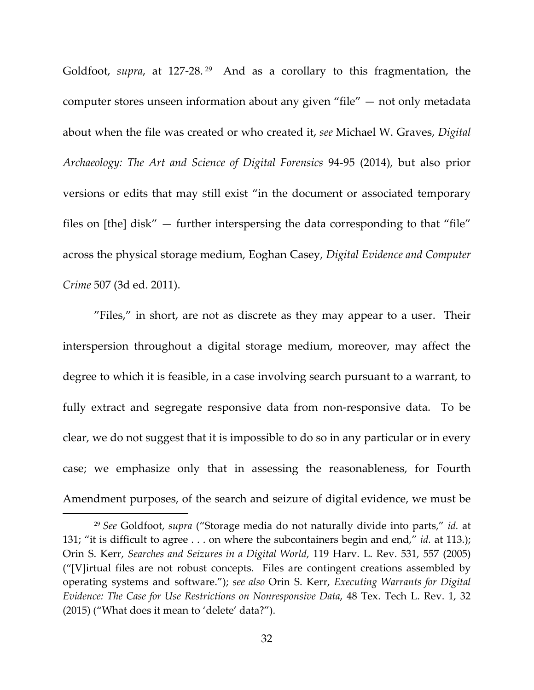Goldfoot, *supra*, at 127-28.<sup>[29](#page-31-0)</sup> And as a corollary to this fragmentation, the computer stores unseen information about any given "file" — not only metadata about when the file was created or who created it, *see* Michael W. Graves, *Digital Archaeology: The Art and Science of Digital Forensics* 94-95 (2014), but also prior versions or edits that may still exist "in the document or associated temporary files on [the] disk" — further interspersing the data corresponding to that "file" across the physical storage medium, Eoghan Casey, *Digital Evidence and Computer Crime* 507 (3d ed. 2011).

"Files," in short, are not as discrete as they may appear to a user. Their interspersion throughout a digital storage medium, moreover, may affect the degree to which it is feasible, in a case involving search pursuant to a warrant, to fully extract and segregate responsive data from non-responsive data. To be clear, we do not suggest that it is impossible to do so in any particular or in every case; we emphasize only that in assessing the reasonableness, for Fourth Amendment purposes, of the search and seizure of digital evidence, we must be

<span id="page-31-0"></span><sup>29</sup> *See* Goldfoot, *supra* ("Storage media do not naturally divide into parts," *id.* at 131; "it is difficult to agree . . . on where the subcontainers begin and end," *id.* at 113.); Orin S. Kerr, *Searches and Seizures in a Digital World*, 119 Harv. L. Rev. 531, 557 (2005) ("[V]irtual files are not robust concepts. Files are contingent creations assembled by operating systems and software."); *see also* Orin S. Kerr, *Executing Warrants for Digital Evidence: The Case for Use Restrictions on Nonresponsive Data*, 48 Tex. Tech L. Rev. 1, 32 (2015) ("What does it mean to 'delete' data?").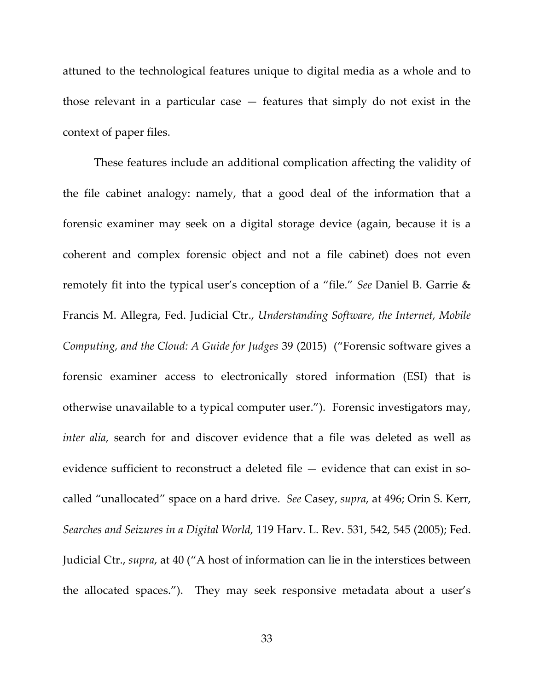attuned to the technological features unique to digital media as a whole and to those relevant in a particular case — features that simply do not exist in the context of paper files.

These features include an additional complication affecting the validity of the file cabinet analogy: namely, that a good deal of the information that a forensic examiner may seek on a digital storage device (again, because it is a coherent and complex forensic object and not a file cabinet) does not even remotely fit into the typical user's conception of a "file." *See* Daniel B. Garrie & Francis M. Allegra, Fed. Judicial Ctr., *Understanding Software, the Internet, Mobile Computing, and the Cloud: A Guide for Judges* 39 (2015) ("Forensic software gives a forensic examiner access to electronically stored information (ESI) that is otherwise unavailable to a typical computer user."). Forensic investigators may, *inter alia*, search for and discover evidence that a file was deleted as well as evidence sufficient to reconstruct a deleted file — evidence that can exist in socalled "unallocated" space on a hard drive. *See* Casey, *supra*, at 496; Orin S. Kerr, *Searches and Seizures in a Digital World*, 119 Harv. L. Rev. 531, 542, 545 (2005); Fed. Judicial Ctr., *supra*, at 40 ("A host of information can lie in the interstices between the allocated spaces."). They may seek responsive metadata about a user's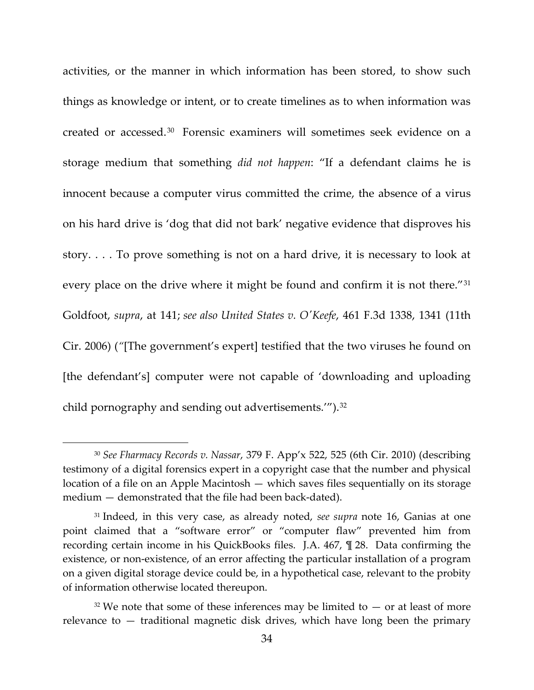activities, or the manner in which information has been stored, to show such things as knowledge or intent, or to create timelines as to when information was created or accessed.[30](#page-33-0) Forensic examiners will sometimes seek evidence on a storage medium that something *did not happen*: "If a defendant claims he is innocent because a computer virus committed the crime, the absence of a virus on his hard drive is 'dog that did not bark' negative evidence that disproves his story. . . . To prove something is not on a hard drive, it is necessary to look at every place on the drive where it might be found and confirm it is not there.<sup>"[31](#page-33-1)</sup> Goldfoot, *supra*, at 141; *see also United States v. O'Keefe*, 461 F.3d 1338, 1341 (11th Cir. 2006) (*"*[The government's expert] testified that the two viruses he found on [the defendant's] computer were not capable of 'downloading and uploading child pornography and sending out advertisements."").<sup>[32](#page-33-2)</sup>

<span id="page-33-0"></span><sup>30</sup> *See Fharmacy Records v. Nassar*, 379 F. App'x 522, 525 (6th Cir. 2010) (describing testimony of a digital forensics expert in a copyright case that the number and physical location of a file on an Apple Macintosh — which saves files sequentially on its storage medium — demonstrated that the file had been back-dated).

<span id="page-33-1"></span><sup>31</sup> Indeed, in this very case, as already noted, *see supra* note 16, Ganias at one point claimed that a "software error" or "computer flaw" prevented him from recording certain income in his QuickBooks files. J.A. 467, ¶ 28. Data confirming the existence, or non-existence, of an error affecting the particular installation of a program on a given digital storage device could be, in a hypothetical case, relevant to the probity of information otherwise located thereupon.

<span id="page-33-2"></span> $32$  We note that some of these inferences may be limited to  $-$  or at least of more relevance to — traditional magnetic disk drives, which have long been the primary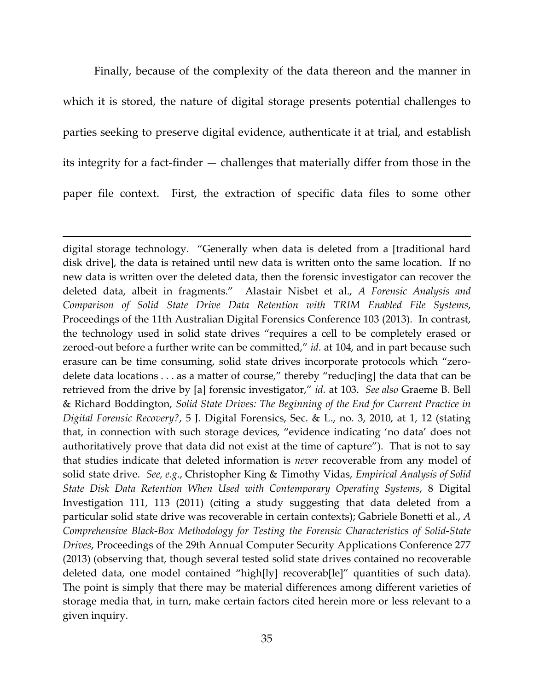Finally, because of the complexity of the data thereon and the manner in which it is stored, the nature of digital storage presents potential challenges to parties seeking to preserve digital evidence, authenticate it at trial, and establish its integrity for a fact-finder — challenges that materially differ from those in the paper file context. First, the extraction of specific data files to some other

l

digital storage technology. "Generally when data is deleted from a [traditional hard disk drive], the data is retained until new data is written onto the same location. If no new data is written over the deleted data, then the forensic investigator can recover the deleted data, albeit in fragments." Alastair Nisbet et al., *A Forensic Analysis and Comparison of Solid State Drive Data Retention with TRIM Enabled File Systems*, Proceedings of the 11th Australian Digital Forensics Conference 103 (2013). In contrast, the technology used in solid state drives "requires a cell to be completely erased or zeroed-out before a further write can be committed," *id.* at 104, and in part because such erasure can be time consuming, solid state drives incorporate protocols which "zerodelete data locations . . . as a matter of course," thereby "reduc[ing] the data that can be retrieved from the drive by [a] forensic investigator," *id.* at 103. *See also* Graeme B. Bell & Richard Boddington, *Solid State Drives: The Beginning of the End for Current Practice in Digital Forensic Recovery?*, 5 J. Digital Forensics, Sec. & L., no. 3, 2010, at 1, 12 (stating that, in connection with such storage devices, "evidence indicating 'no data' does not authoritatively prove that data did not exist at the time of capture"). That is not to say that studies indicate that deleted information is *never* recoverable from any model of solid state drive. *See, e.g.*, Christopher King & Timothy Vidas, *Empirical Analysis of Solid State Disk Data Retention When Used with Contemporary Operating Systems*, 8 Digital Investigation 111, 113 (2011) (citing a study suggesting that data deleted from a particular solid state drive was recoverable in certain contexts); Gabriele Bonetti et al., *A Comprehensive Black-Box Methodology for Testing the Forensic Characteristics of Solid-State Drives*, Proceedings of the 29th Annual Computer Security Applications Conference 277 (2013) (observing that, though several tested solid state drives contained no recoverable deleted data, one model contained "high[ly] recoverab[le]" quantities of such data). The point is simply that there may be material differences among different varieties of storage media that, in turn, make certain factors cited herein more or less relevant to a given inquiry.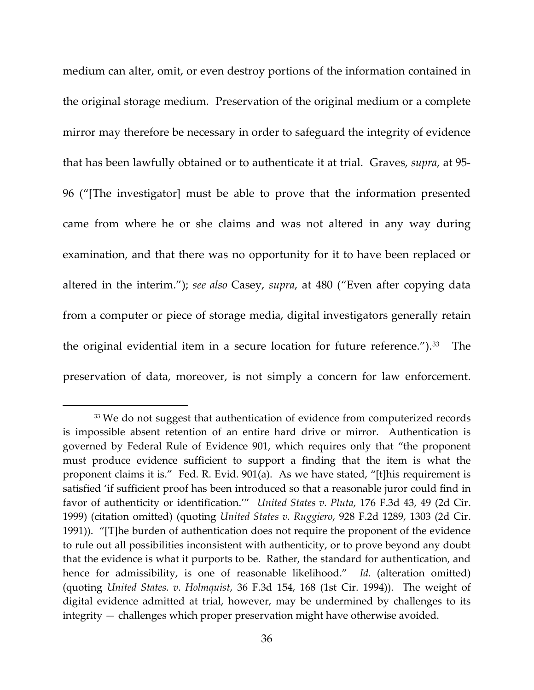medium can alter, omit, or even destroy portions of the information contained in the original storage medium. Preservation of the original medium or a complete mirror may therefore be necessary in order to safeguard the integrity of evidence that has been lawfully obtained or to authenticate it at trial. Graves, *supra*, at 95- 96 ("[The investigator] must be able to prove that the information presented came from where he or she claims and was not altered in any way during examination, and that there was no opportunity for it to have been replaced or altered in the interim."); *see also* Casey, *supra*, at 480 ("Even after copying data from a computer or piece of storage media, digital investigators generally retain the original evidential item in a secure location for future reference.").<sup>[33](#page-35-0)</sup> The preservation of data, moreover, is not simply a concern for law enforcement.

<span id="page-35-0"></span><sup>&</sup>lt;sup>33</sup> We do not suggest that authentication of evidence from computerized records is impossible absent retention of an entire hard drive or mirror. Authentication is governed by Federal Rule of Evidence 901, which requires only that "the proponent must produce evidence sufficient to support a finding that the item is what the proponent claims it is." Fed. R. Evid. 901(a). As we have stated, "[t]his requirement is satisfied 'if sufficient proof has been introduced so that a reasonable juror could find in favor of authenticity or identification.'" *United States v. Pluta*, 176 F.3d 43, 49 (2d Cir. 1999) (citation omitted) (quoting *United States v. Ruggiero*, 928 F.2d 1289, 1303 (2d Cir. 1991)). "[T]he burden of authentication does not require the proponent of the evidence to rule out all possibilities inconsistent with authenticity, or to prove beyond any doubt that the evidence is what it purports to be. Rather, the standard for authentication, and hence for admissibility, is one of reasonable likelihood." *Id.* (alteration omitted) (quoting *United States. v. Holmquist*, 36 F.3d 154, 168 (1st Cir. 1994)). The weight of digital evidence admitted at trial, however, may be undermined by challenges to its integrity — challenges which proper preservation might have otherwise avoided.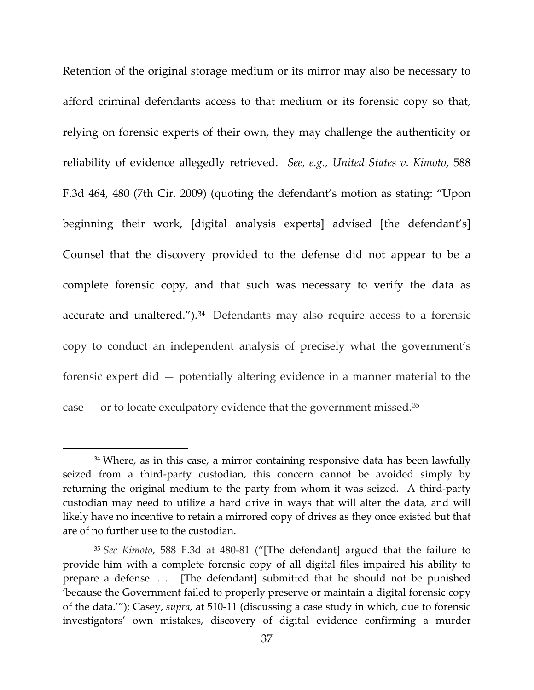Retention of the original storage medium or its mirror may also be necessary to afford criminal defendants access to that medium or its forensic copy so that, relying on forensic experts of their own, they may challenge the authenticity or reliability of evidence allegedly retrieved. *See, e.g.*, *United States v. Kimoto*, 588 F.3d 464, 480 (7th Cir. 2009) (quoting the defendant's motion as stating: "Upon beginning their work, [digital analysis experts] advised [the defendant's] Counsel that the discovery provided to the defense did not appear to be a complete forensic copy, and that such was necessary to verify the data as accurate and unaltered.").<sup>[34](#page-36-0)</sup> Defendants may also require access to a forensic copy to conduct an independent analysis of precisely what the government's forensic expert did — potentially altering evidence in a manner material to the case  $-$  or to locate exculpatory evidence that the government missed.<sup>[35](#page-36-1)</sup>

 $\overline{\phantom{a}}$ 

<span id="page-36-0"></span><sup>&</sup>lt;sup>34</sup> Where, as in this case, a mirror containing responsive data has been lawfully seized from a third-party custodian, this concern cannot be avoided simply by returning the original medium to the party from whom it was seized. A third-party custodian may need to utilize a hard drive in ways that will alter the data, and will likely have no incentive to retain a mirrored copy of drives as they once existed but that are of no further use to the custodian.

<span id="page-36-1"></span><sup>35</sup> *See Kimoto*, 588 F.3d at 480-81 ("[The defendant] argued that the failure to provide him with a complete forensic copy of all digital files impaired his ability to prepare a defense. . . . [The defendant] submitted that he should not be punished 'because the Government failed to properly preserve or maintain a digital forensic copy of the data.'"); Casey, *supra*, at 510-11 (discussing a case study in which, due to forensic investigators' own mistakes, discovery of digital evidence confirming a murder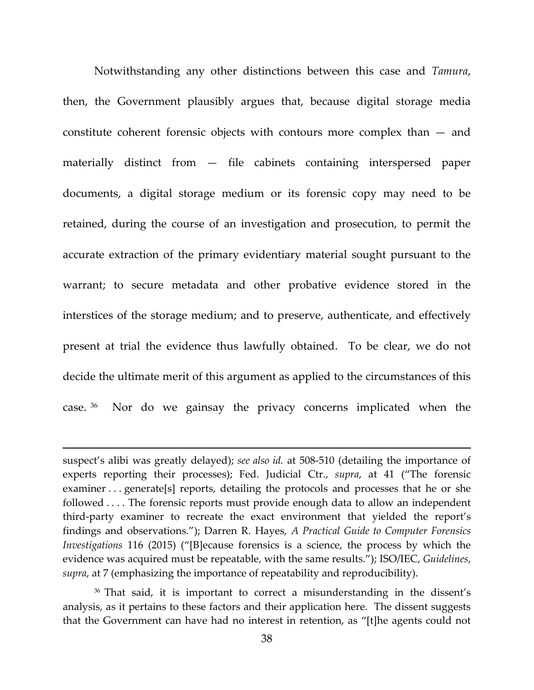Notwithstanding any other distinctions between this case and *Tamura*, then, the Government plausibly argues that, because digital storage media constitute coherent forensic objects with contours more complex than — and materially distinct from — file cabinets containing interspersed paper documents, a digital storage medium or its forensic copy may need to be retained, during the course of an investigation and prosecution, to permit the accurate extraction of the primary evidentiary material sought pursuant to the warrant; to secure metadata and other probative evidence stored in the interstices of the storage medium; and to preserve, authenticate, and effectively present at trial the evidence thus lawfully obtained. To be clear, we do not decide the ultimate merit of this argument as applied to the circumstances of this case. [36](#page-37-0) Nor do we gainsay the privacy concerns implicated when the

 $\overline{\phantom{a}}$ 

<span id="page-37-0"></span><sup>36</sup> That said, it is important to correct a misunderstanding in the dissent's analysis, as it pertains to these factors and their application here. The dissent suggests that the Government can have had no interest in retention, as "[t]he agents could not

suspect's alibi was greatly delayed); *see also id.* at 508-510 (detailing the importance of experts reporting their processes); Fed. Judicial Ctr., *supra*, at 41 ("The forensic examiner . . . generate[s] reports, detailing the protocols and processes that he or she followed . . . . The forensic reports must provide enough data to allow an independent third-party examiner to recreate the exact environment that yielded the report's findings and observations."); Darren R. Hayes, *A Practical Guide to Computer Forensics Investigations* 116 (2015) ("[B]ecause forensics is a science, the process by which the evidence was acquired must be repeatable, with the same results."); ISO/IEC, *Guidelines*, *supra*, at 7 (emphasizing the importance of repeatability and reproducibility).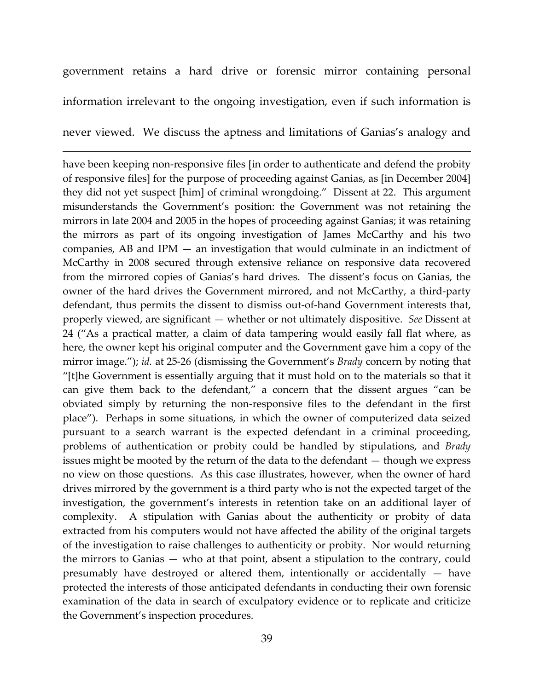government retains a hard drive or forensic mirror containing personal information irrelevant to the ongoing investigation, even if such information is

never viewed. We discuss the aptness and limitations of Ganias's analogy and

l

have been keeping non-responsive files [in order to authenticate and defend the probity of responsive files] for the purpose of proceeding against Ganias, as [in December 2004] they did not yet suspect [him] of criminal wrongdoing." Dissent at 22. This argument misunderstands the Government's position: the Government was not retaining the mirrors in late 2004 and 2005 in the hopes of proceeding against Ganias; it was retaining the mirrors as part of its ongoing investigation of James McCarthy and his two companies, AB and IPM — an investigation that would culminate in an indictment of McCarthy in 2008 secured through extensive reliance on responsive data recovered from the mirrored copies of Ganias's hard drives. The dissent's focus on Ganias, the owner of the hard drives the Government mirrored, and not McCarthy, a third-party defendant, thus permits the dissent to dismiss out-of-hand Government interests that, properly viewed, are significant — whether or not ultimately dispositive. *See* Dissent at 24 ("As a practical matter, a claim of data tampering would easily fall flat where, as here, the owner kept his original computer and the Government gave him a copy of the mirror image."); *id.* at 25-26 (dismissing the Government's *Brady* concern by noting that "[t]he Government is essentially arguing that it must hold on to the materials so that it can give them back to the defendant," a concern that the dissent argues "can be obviated simply by returning the non-responsive files to the defendant in the first place"). Perhaps in some situations, in which the owner of computerized data seized pursuant to a search warrant is the expected defendant in a criminal proceeding, problems of authentication or probity could be handled by stipulations, and *Brady* issues might be mooted by the return of the data to the defendant — though we express no view on those questions. As this case illustrates, however, when the owner of hard drives mirrored by the government is a third party who is not the expected target of the investigation, the government's interests in retention take on an additional layer of complexity. A stipulation with Ganias about the authenticity or probity of data extracted from his computers would not have affected the ability of the original targets of the investigation to raise challenges to authenticity or probity. Nor would returning the mirrors to Ganias — who at that point, absent a stipulation to the contrary, could presumably have destroyed or altered them, intentionally or accidentally — have protected the interests of those anticipated defendants in conducting their own forensic examination of the data in search of exculpatory evidence or to replicate and criticize the Government's inspection procedures.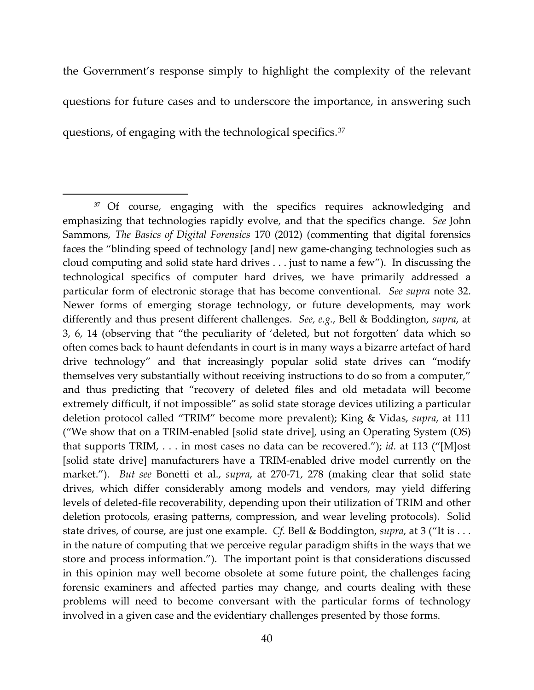the Government's response simply to highlight the complexity of the relevant questions for future cases and to underscore the importance, in answering such questions, of engaging with the technological specifics.[37](#page-39-0)

 $\overline{\phantom{a}}$ 

<span id="page-39-0"></span><sup>&</sup>lt;sup>37</sup> Of course, engaging with the specifics requires acknowledging and emphasizing that technologies rapidly evolve, and that the specifics change. *See* John Sammons, *The Basics of Digital Forensics* 170 (2012) (commenting that digital forensics faces the "blinding speed of technology [and] new game-changing technologies such as cloud computing and solid state hard drives . . . just to name a few"). In discussing the technological specifics of computer hard drives, we have primarily addressed a particular form of electronic storage that has become conventional. *See supra* note 32. Newer forms of emerging storage technology, or future developments, may work differently and thus present different challenges. *See, e.g.*, Bell & Boddington, *supra*, at 3, 6, 14 (observing that "the peculiarity of 'deleted, but not forgotten' data which so often comes back to haunt defendants in court is in many ways a bizarre artefact of hard drive technology" and that increasingly popular solid state drives can "modify themselves very substantially without receiving instructions to do so from a computer," and thus predicting that "recovery of deleted files and old metadata will become extremely difficult, if not impossible" as solid state storage devices utilizing a particular deletion protocol called "TRIM" become more prevalent); King & Vidas, *supra*, at 111 ("We show that on a TRIM-enabled [solid state drive], using an Operating System (OS) that supports TRIM, . . . in most cases no data can be recovered."); *id.* at 113 ("[M]ost [solid state drive] manufacturers have a TRIM-enabled drive model currently on the market."). *But see* Bonetti et al., *supra*, at 270-71, 278 (making clear that solid state drives, which differ considerably among models and vendors, may yield differing levels of deleted-file recoverability, depending upon their utilization of TRIM and other deletion protocols, erasing patterns, compression, and wear leveling protocols). Solid state drives, of course, are just one example. *Cf.* Bell & Boddington, *supra*, at 3 ("It is . . . in the nature of computing that we perceive regular paradigm shifts in the ways that we store and process information."). The important point is that considerations discussed in this opinion may well become obsolete at some future point, the challenges facing forensic examiners and affected parties may change, and courts dealing with these problems will need to become conversant with the particular forms of technology involved in a given case and the evidentiary challenges presented by those forms.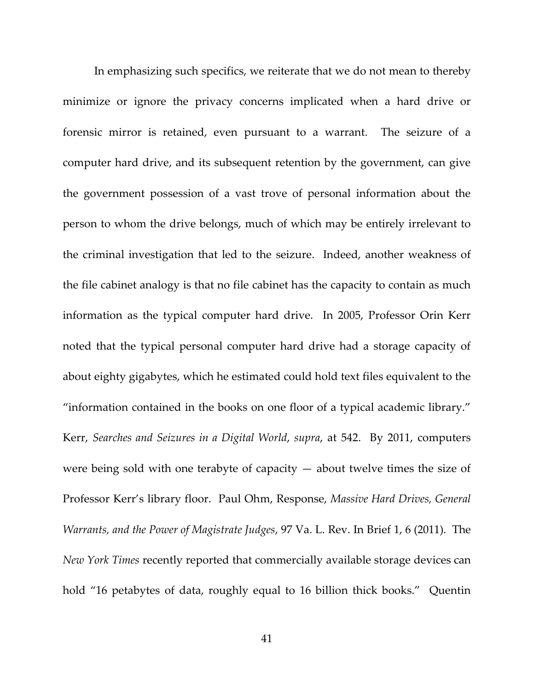In emphasizing such specifics, we reiterate that we do not mean to thereby minimize or ignore the privacy concerns implicated when a hard drive or forensic mirror is retained, even pursuant to a warrant. The seizure of a computer hard drive, and its subsequent retention by the government, can give the government possession of a vast trove of personal information about the person to whom the drive belongs, much of which may be entirely irrelevant to the criminal investigation that led to the seizure. Indeed, another weakness of the file cabinet analogy is that no file cabinet has the capacity to contain as much information as the typical computer hard drive. In 2005, Professor Orin Kerr noted that the typical personal computer hard drive had a storage capacity of about eighty gigabytes, which he estimated could hold text files equivalent to the "information contained in the books on one floor of a typical academic library." Kerr, *Searches and Seizures in a Digital World*, *supra*, at 542. By 2011, computers were being sold with one terabyte of capacity  $-$  about twelve times the size of Professor Kerr's library floor. Paul Ohm, Response, *Massive Hard Drives, General Warrants, and the Power of Magistrate Judges*, 97 Va. L. Rev. In Brief 1, 6 (2011). The *New York Times* recently reported that commercially available storage devices can hold "16 petabytes of data, roughly equal to 16 billion thick books." Quentin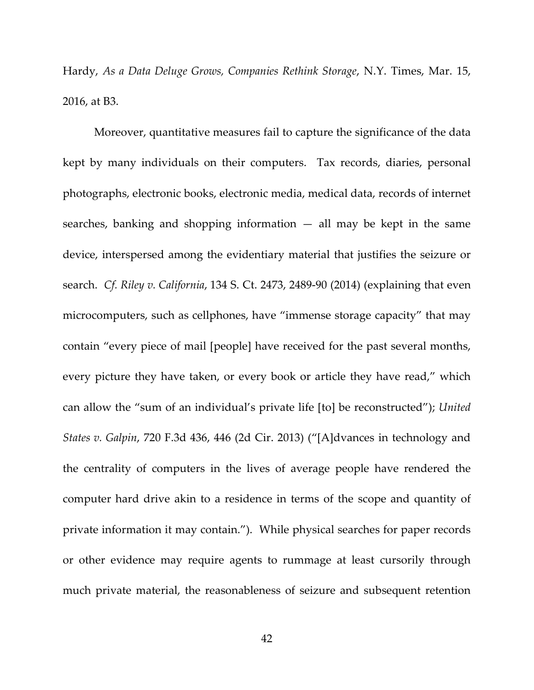Hardy, *As a Data Deluge Grows, Companies Rethink Storage*, N.Y. Times, Mar. 15, 2016, at B3.

Moreover, quantitative measures fail to capture the significance of the data kept by many individuals on their computers. Tax records, diaries, personal photographs, electronic books, electronic media, medical data, records of internet searches, banking and shopping information  $-$  all may be kept in the same device, interspersed among the evidentiary material that justifies the seizure or search. *Cf. Riley v. California*, 134 S. Ct. 2473, 2489-90 (2014) (explaining that even microcomputers, such as cellphones, have "immense storage capacity" that may contain "every piece of mail [people] have received for the past several months, every picture they have taken, or every book or article they have read," which can allow the "sum of an individual's private life [to] be reconstructed"); *United States v. Galpin*, 720 F.3d 436, 446 (2d Cir. 2013) ("[A]dvances in technology and the centrality of computers in the lives of average people have rendered the computer hard drive akin to a residence in terms of the scope and quantity of private information it may contain."). While physical searches for paper records or other evidence may require agents to rummage at least cursorily through much private material, the reasonableness of seizure and subsequent retention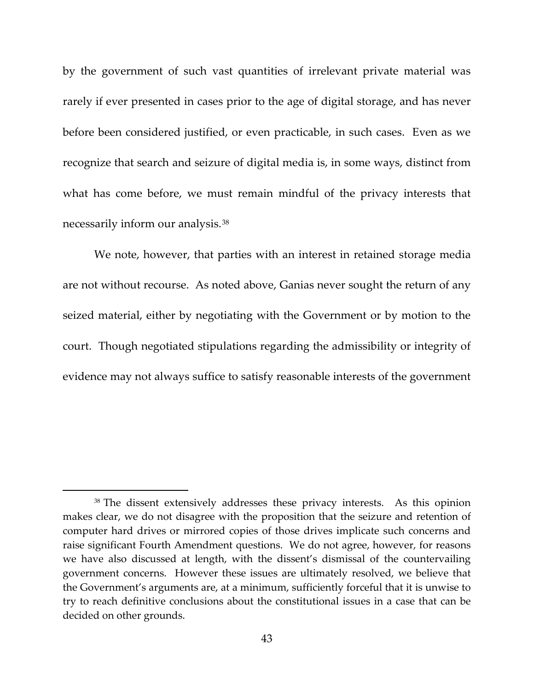by the government of such vast quantities of irrelevant private material was rarely if ever presented in cases prior to the age of digital storage, and has never before been considered justified, or even practicable, in such cases. Even as we recognize that search and seizure of digital media is, in some ways, distinct from what has come before, we must remain mindful of the privacy interests that necessarily inform our analysis.[38](#page-42-0)

We note, however, that parties with an interest in retained storage media are not without recourse. As noted above, Ganias never sought the return of any seized material, either by negotiating with the Government or by motion to the court. Though negotiated stipulations regarding the admissibility or integrity of evidence may not always suffice to satisfy reasonable interests of the government

<span id="page-42-0"></span><sup>38</sup> The dissent extensively addresses these privacy interests. As this opinion makes clear, we do not disagree with the proposition that the seizure and retention of computer hard drives or mirrored copies of those drives implicate such concerns and raise significant Fourth Amendment questions. We do not agree, however, for reasons we have also discussed at length, with the dissent's dismissal of the countervailing government concerns. However these issues are ultimately resolved, we believe that the Government's arguments are, at a minimum, sufficiently forceful that it is unwise to try to reach definitive conclusions about the constitutional issues in a case that can be decided on other grounds.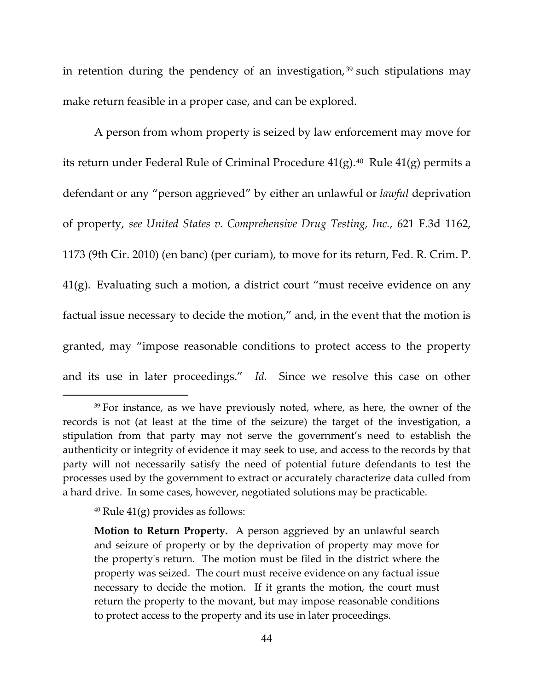in retention during the pendency of an investigation,  $39$  such stipulations may make return feasible in a proper case, and can be explored.

A person from whom property is seized by law enforcement may move for its return under Federal Rule of Criminal Procedure  $41(g)$ .<sup>40</sup> Rule  $41(g)$  permits a defendant or any "person aggrieved" by either an unlawful or *lawful* deprivation of property, *see United States v. Comprehensive Drug Testing, Inc.*, 621 F.3d 1162, 1173 (9th Cir. 2010) (en banc) (per curiam), to move for its return, Fed. R. Crim. P. 41(g). Evaluating such a motion, a district court "must receive evidence on any factual issue necessary to decide the motion," and, in the event that the motion is granted, may "impose reasonable conditions to protect access to the property and its use in later proceedings." *Id.* Since we resolve this case on other

<span id="page-43-0"></span><sup>&</sup>lt;sup>39</sup> For instance, as we have previously noted, where, as here, the owner of the records is not (at least at the time of the seizure) the target of the investigation, a stipulation from that party may not serve the government's need to establish the authenticity or integrity of evidence it may seek to use, and access to the records by that party will not necessarily satisfy the need of potential future defendants to test the processes used by the government to extract or accurately characterize data culled from a hard drive. In some cases, however, negotiated solutions may be practicable.

<span id="page-43-1"></span> $40$  Rule  $41(g)$  provides as follows:

**Motion to Return Property.** A person aggrieved by an unlawful search and seizure of property or by the deprivation of property may move for the property's return. The motion must be filed in the district where the property was seized. The court must receive evidence on any factual issue necessary to decide the motion. If it grants the motion, the court must return the property to the movant, but may impose reasonable conditions to protect access to the property and its use in later proceedings.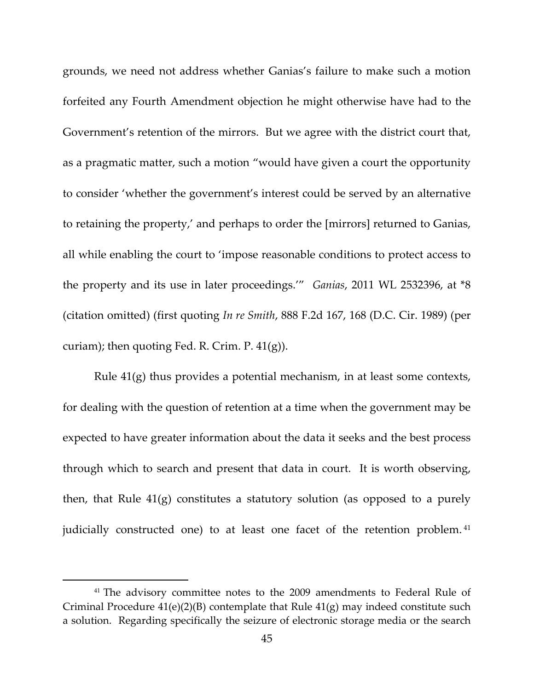grounds, we need not address whether Ganias's failure to make such a motion forfeited any Fourth Amendment objection he might otherwise have had to the Government's retention of the mirrors. But we agree with the district court that, as a pragmatic matter, such a motion "would have given a court the opportunity to consider 'whether the government's interest could be served by an alternative to retaining the property,' and perhaps to order the [mirrors] returned to Ganias, all while enabling the court to 'impose reasonable conditions to protect access to the property and its use in later proceedings.'" *Ganias*, 2011 WL 2532396, at \*8 (citation omitted) (first quoting *In re Smith*, 888 F.2d 167, 168 (D.C. Cir. 1989) (per curiam); then quoting Fed. R. Crim. P.  $41(g)$ ).

Rule 41(g) thus provides a potential mechanism, in at least some contexts, for dealing with the question of retention at a time when the government may be expected to have greater information about the data it seeks and the best process through which to search and present that data in court. It is worth observing, then, that Rule 41(g) constitutes a statutory solution (as opposed to a purely judicially constructed one) to at least one facet of the retention problem. [41](#page-44-0)

<span id="page-44-0"></span><sup>&</sup>lt;sup>41</sup> The advisory committee notes to the 2009 amendments to Federal Rule of Criminal Procedure  $41(e)(2)(B)$  contemplate that Rule  $41(g)$  may indeed constitute such a solution. Regarding specifically the seizure of electronic storage media or the search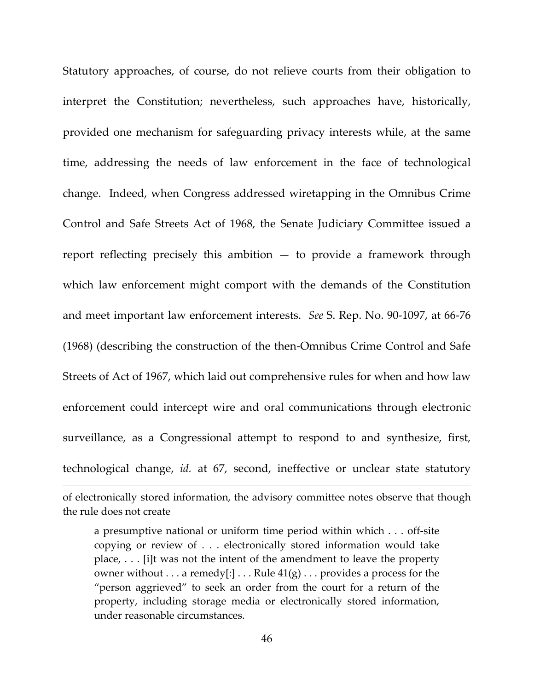Statutory approaches, of course, do not relieve courts from their obligation to interpret the Constitution; nevertheless, such approaches have, historically, provided one mechanism for safeguarding privacy interests while, at the same time, addressing the needs of law enforcement in the face of technological change. Indeed, when Congress addressed wiretapping in the Omnibus Crime Control and Safe Streets Act of 1968, the Senate Judiciary Committee issued a report reflecting precisely this ambition  $-$  to provide a framework through which law enforcement might comport with the demands of the Constitution and meet important law enforcement interests. *See* S. Rep. No. 90-1097, at 66-76 (1968) (describing the construction of the then-Omnibus Crime Control and Safe Streets of Act of 1967, which laid out comprehensive rules for when and how law enforcement could intercept wire and oral communications through electronic surveillance, as a Congressional attempt to respond to and synthesize, first, technological change, *id.* at 67, second, ineffective or unclear state statutory

of electronically stored information, the advisory committee notes observe that though the rule does not create

a presumptive national or uniform time period within which . . . off-site copying or review of . . . electronically stored information would take place, . . . [i]t was not the intent of the amendment to leave the property owner without  $\dots$  a remedy[:]  $\dots$  Rule  $41(g) \dots$  provides a process for the "person aggrieved" to seek an order from the court for a return of the property, including storage media or electronically stored information, under reasonable circumstances.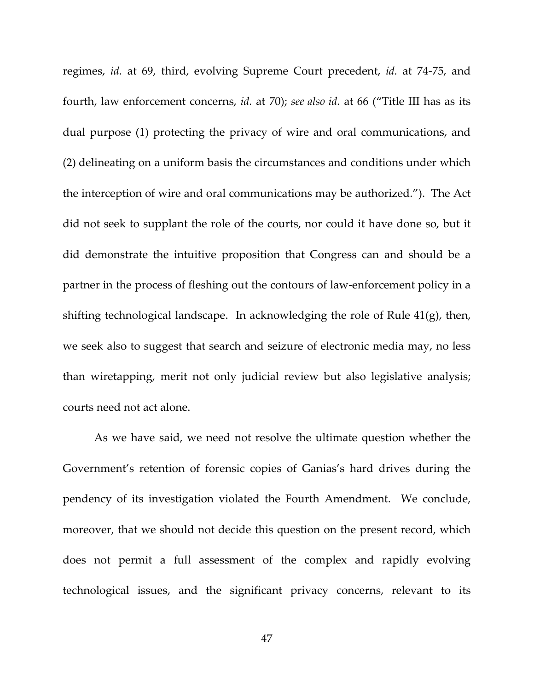regimes, *id.* at 69, third, evolving Supreme Court precedent, *id.* at 74-75, and fourth, law enforcement concerns, *id.* at 70); *see also id.* at 66 ("Title III has as its dual purpose (1) protecting the privacy of wire and oral communications, and (2) delineating on a uniform basis the circumstances and conditions under which the interception of wire and oral communications may be authorized."). The Act did not seek to supplant the role of the courts, nor could it have done so, but it did demonstrate the intuitive proposition that Congress can and should be a partner in the process of fleshing out the contours of law-enforcement policy in a shifting technological landscape. In acknowledging the role of Rule 41(g), then, we seek also to suggest that search and seizure of electronic media may, no less than wiretapping, merit not only judicial review but also legislative analysis; courts need not act alone.

As we have said, we need not resolve the ultimate question whether the Government's retention of forensic copies of Ganias's hard drives during the pendency of its investigation violated the Fourth Amendment. We conclude, moreover, that we should not decide this question on the present record, which does not permit a full assessment of the complex and rapidly evolving technological issues, and the significant privacy concerns, relevant to its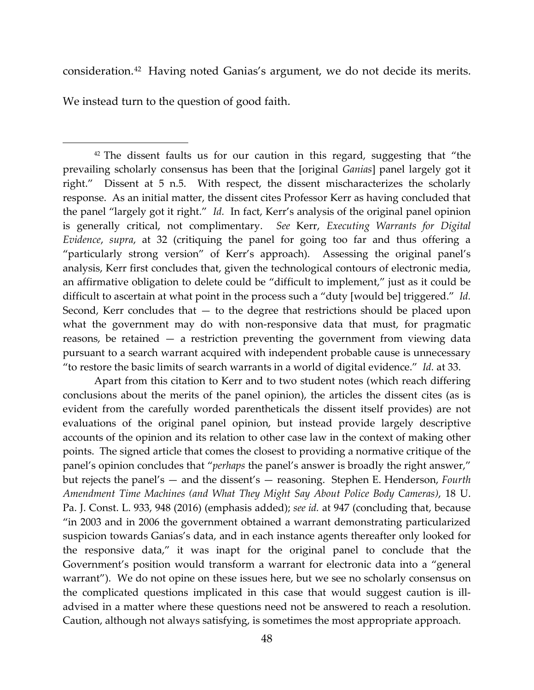consideration.[42](#page-47-0) Having noted Ganias's argument, we do not decide its merits.

We instead turn to the question of good faith.

 $\overline{\phantom{a}}$ 

<span id="page-47-0"></span> $42$  The dissent faults us for our caution in this regard, suggesting that "the prevailing scholarly consensus has been that the [original *Ganias*] panel largely got it right." Dissent at 5 n.5. With respect, the dissent mischaracterizes the scholarly response. As an initial matter, the dissent cites Professor Kerr as having concluded that the panel "largely got it right." *Id.* In fact, Kerr's analysis of the original panel opinion is generally critical, not complimentary. *See* Kerr, *Executing Warrants for Digital Evidence*, *supra*, at 32 (critiquing the panel for going too far and thus offering a "particularly strong version" of Kerr's approach). Assessing the original panel's analysis, Kerr first concludes that, given the technological contours of electronic media, an affirmative obligation to delete could be "difficult to implement," just as it could be difficult to ascertain at what point in the process such a "duty [would be] triggered." *Id.* Second, Kerr concludes that — to the degree that restrictions should be placed upon what the government may do with non-responsive data that must, for pragmatic reasons, be retained — a restriction preventing the government from viewing data pursuant to a search warrant acquired with independent probable cause is unnecessary "to restore the basic limits of search warrants in a world of digital evidence." *Id.* at 33.

Apart from this citation to Kerr and to two student notes (which reach differing conclusions about the merits of the panel opinion), the articles the dissent cites (as is evident from the carefully worded parentheticals the dissent itself provides) are not evaluations of the original panel opinion, but instead provide largely descriptive accounts of the opinion and its relation to other case law in the context of making other points. The signed article that comes the closest to providing a normative critique of the panel's opinion concludes that "*perhaps* the panel's answer is broadly the right answer," but rejects the panel's — and the dissent's — reasoning. Stephen E. Henderson, *Fourth Amendment Time Machines (and What They Might Say About Police Body Cameras)*, 18 U. Pa. J. Const. L. 933, 948 (2016) (emphasis added); *see id.* at 947 (concluding that, because "in 2003 and in 2006 the government obtained a warrant demonstrating particularized suspicion towards Ganias's data, and in each instance agents thereafter only looked for the responsive data," it was inapt for the original panel to conclude that the Government's position would transform a warrant for electronic data into a "general warrant"). We do not opine on these issues here, but we see no scholarly consensus on the complicated questions implicated in this case that would suggest caution is illadvised in a matter where these questions need not be answered to reach a resolution. Caution, although not always satisfying, is sometimes the most appropriate approach.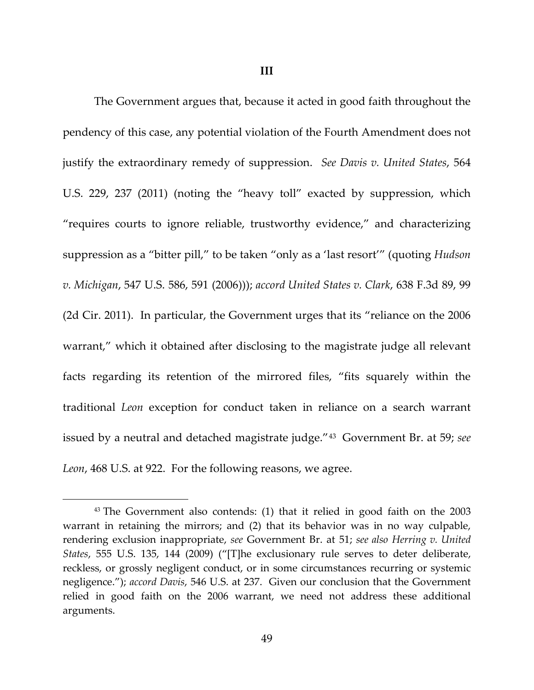**III**

The Government argues that, because it acted in good faith throughout the pendency of this case, any potential violation of the Fourth Amendment does not justify the extraordinary remedy of suppression. *See Davis v. United States*, 564 U.S. 229, 237 (2011) (noting the "heavy toll" exacted by suppression, which "requires courts to ignore reliable, trustworthy evidence," and characterizing suppression as a "bitter pill," to be taken "only as a 'last resort'" (quoting *Hudson v. Michigan*, 547 U.S. 586, 591 (2006))); *accord United States v. Clark*, 638 F.3d 89, 99 (2d Cir. 2011). In particular, the Government urges that its "reliance on the 2006 warrant," which it obtained after disclosing to the magistrate judge all relevant facts regarding its retention of the mirrored files, "fits squarely within the traditional *Leon* exception for conduct taken in reliance on a search warrant issued by a neutral and detached magistrate judge."[43](#page-48-0) Government Br. at 59; *see Leon*, 468 U.S. at 922. For the following reasons, we agree.

 $\overline{\phantom{a}}$ 

<span id="page-48-0"></span><sup>&</sup>lt;sup>43</sup> The Government also contends: (1) that it relied in good faith on the 2003 warrant in retaining the mirrors; and (2) that its behavior was in no way culpable, rendering exclusion inappropriate, *see* Government Br. at 51; *see also Herring v. United States*, 555 U.S. 135, 144 (2009) ("[T]he exclusionary rule serves to deter deliberate, reckless, or grossly negligent conduct, or in some circumstances recurring or systemic negligence."); *accord Davis*, 546 U.S. at 237. Given our conclusion that the Government relied in good faith on the 2006 warrant, we need not address these additional arguments.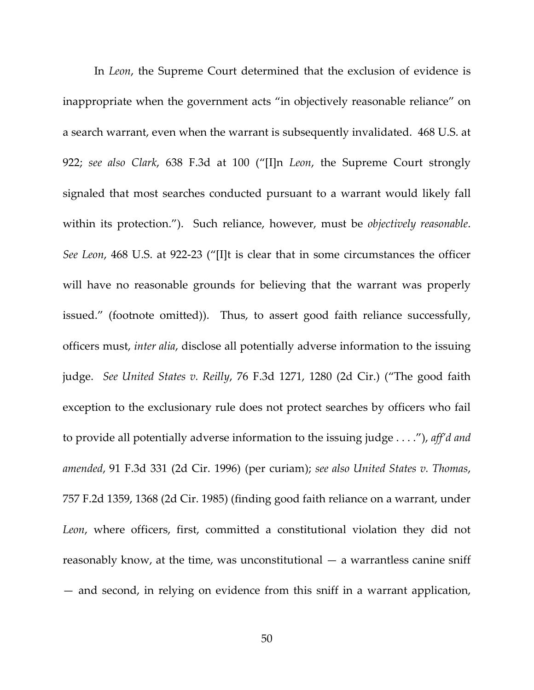In *Leon*, the Supreme Court determined that the exclusion of evidence is inappropriate when the government acts "in objectively reasonable reliance" on a search warrant, even when the warrant is subsequently invalidated. 468 U.S. at 922; *see also Clark*, 638 F.3d at 100 ("[I]n *Leon*, the Supreme Court strongly signaled that most searches conducted pursuant to a warrant would likely fall within its protection."). Such reliance, however, must be *objectively reasonable*. *See Leon*, 468 U.S. at 922-23 ("[I]t is clear that in some circumstances the officer will have no reasonable grounds for believing that the warrant was properly issued." (footnote omitted)). Thus, to assert good faith reliance successfully, officers must, *inter alia*, disclose all potentially adverse information to the issuing judge. *See United States v. Reilly*, 76 F.3d 1271, 1280 (2d Cir.) ("The good faith exception to the exclusionary rule does not protect searches by officers who fail to provide all potentially adverse information to the issuing judge . . . ."), *aff'd and amended*, 91 F.3d 331 (2d Cir. 1996) (per curiam); *see also United States v. Thomas*, 757 F.2d 1359, 1368 (2d Cir. 1985) (finding good faith reliance on a warrant, under *Leon*, where officers, first, committed a constitutional violation they did not reasonably know, at the time, was unconstitutional — a warrantless canine sniff — and second, in relying on evidence from this sniff in a warrant application,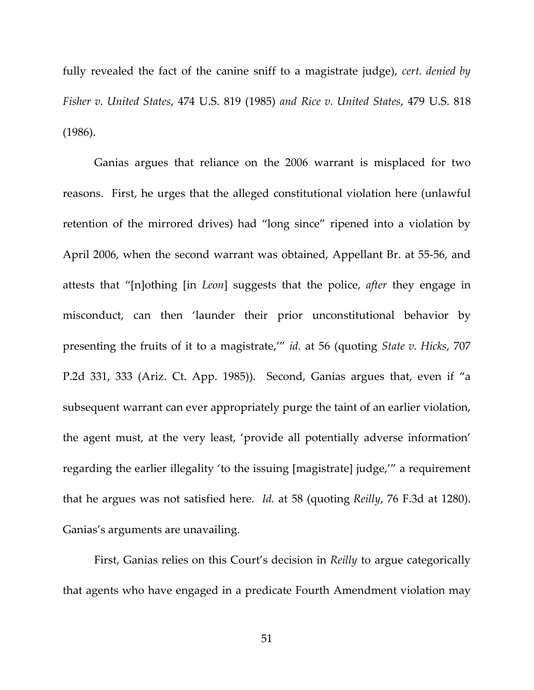fully revealed the fact of the canine sniff to a magistrate judge), *cert. denied by Fisher v. United States*, 474 U.S. 819 (1985) *and Rice v. United States*, 479 U.S. 818 (1986).

Ganias argues that reliance on the 2006 warrant is misplaced for two reasons. First, he urges that the alleged constitutional violation here (unlawful retention of the mirrored drives) had "long since" ripened into a violation by April 2006, when the second warrant was obtained, Appellant Br. at 55-56, and attests that "[n]othing [in *Leon*] suggests that the police, *after* they engage in misconduct, can then 'launder their prior unconstitutional behavior by presenting the fruits of it to a magistrate,'" *id.* at 56 (quoting *State v. Hicks*, 707 P.2d 331, 333 (Ariz. Ct. App. 1985)). Second, Ganias argues that, even if "a subsequent warrant can ever appropriately purge the taint of an earlier violation, the agent must, at the very least, 'provide all potentially adverse information' regarding the earlier illegality 'to the issuing [magistrate] judge,'" a requirement that he argues was not satisfied here. *Id.* at 58 (quoting *Reilly*, 76 F.3d at 1280). Ganias's arguments are unavailing.

First, Ganias relies on this Court's decision in *Reilly* to argue categorically that agents who have engaged in a predicate Fourth Amendment violation may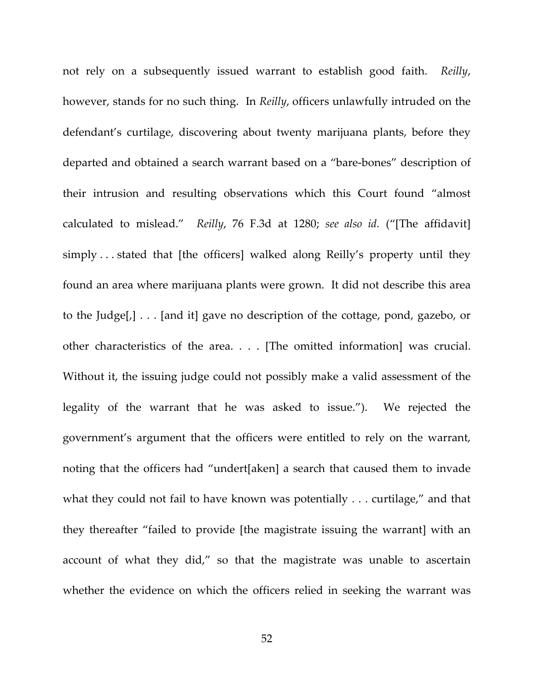not rely on a subsequently issued warrant to establish good faith. *Reilly*, however, stands for no such thing. In *Reilly*, officers unlawfully intruded on the defendant's curtilage, discovering about twenty marijuana plants, before they departed and obtained a search warrant based on a "bare-bones" description of their intrusion and resulting observations which this Court found "almost calculated to mislead." *Reilly*, 76 F.3d at 1280; *see also id.* ("[The affidavit] simply . . . stated that [the officers] walked along Reilly's property until they found an area where marijuana plants were grown. It did not describe this area to the Judge[,] . . . [and it] gave no description of the cottage, pond, gazebo, or other characteristics of the area. . . . [The omitted information] was crucial. Without it, the issuing judge could not possibly make a valid assessment of the legality of the warrant that he was asked to issue."). We rejected the government's argument that the officers were entitled to rely on the warrant, noting that the officers had "undert[aken] a search that caused them to invade what they could not fail to have known was potentially . . . curtilage," and that they thereafter "failed to provide [the magistrate issuing the warrant] with an account of what they did," so that the magistrate was unable to ascertain whether the evidence on which the officers relied in seeking the warrant was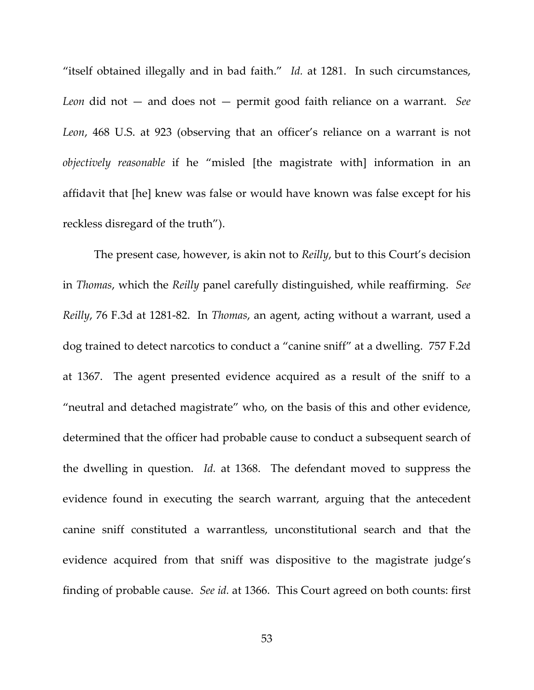"itself obtained illegally and in bad faith." *Id.* at 1281. In such circumstances, *Leon* did not — and does not — permit good faith reliance on a warrant. *See Leon*, 468 U.S. at 923 (observing that an officer's reliance on a warrant is not *objectively reasonable* if he "misled [the magistrate with] information in an affidavit that [he] knew was false or would have known was false except for his reckless disregard of the truth").

The present case, however, is akin not to *Reilly*, but to this Court's decision in *Thomas*, which the *Reilly* panel carefully distinguished, while reaffirming. *See Reilly*, 76 F.3d at 1281-82. In *Thomas*, an agent, acting without a warrant, used a dog trained to detect narcotics to conduct a "canine sniff" at a dwelling. 757 F.2d at 1367. The agent presented evidence acquired as a result of the sniff to a "neutral and detached magistrate" who, on the basis of this and other evidence, determined that the officer had probable cause to conduct a subsequent search of the dwelling in question. *Id.* at 1368. The defendant moved to suppress the evidence found in executing the search warrant, arguing that the antecedent canine sniff constituted a warrantless, unconstitutional search and that the evidence acquired from that sniff was dispositive to the magistrate judge's finding of probable cause. *See id.* at 1366. This Court agreed on both counts: first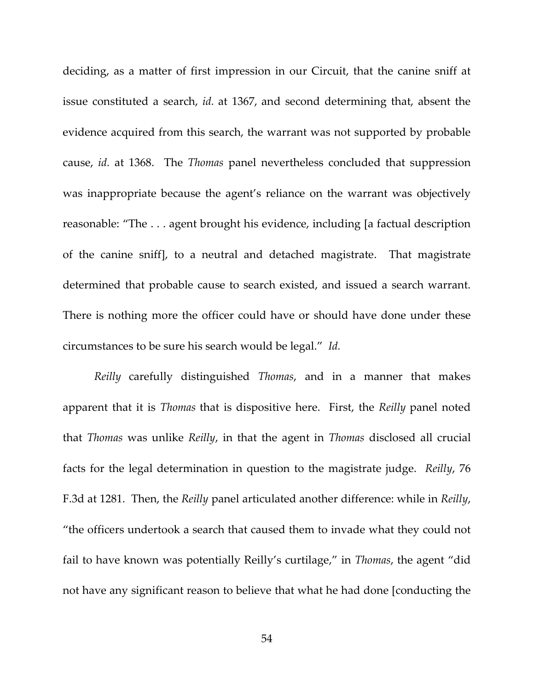deciding, as a matter of first impression in our Circuit, that the canine sniff at issue constituted a search, *id.* at 1367, and second determining that, absent the evidence acquired from this search, the warrant was not supported by probable cause, *id.* at 1368. The *Thomas* panel nevertheless concluded that suppression was inappropriate because the agent's reliance on the warrant was objectively reasonable: "The . . . agent brought his evidence, including [a factual description of the canine sniff], to a neutral and detached magistrate. That magistrate determined that probable cause to search existed, and issued a search warrant. There is nothing more the officer could have or should have done under these circumstances to be sure his search would be legal." *Id.*

*Reilly* carefully distinguished *Thomas*, and in a manner that makes apparent that it is *Thomas* that is dispositive here. First, the *Reilly* panel noted that *Thomas* was unlike *Reilly*, in that the agent in *Thomas* disclosed all crucial facts for the legal determination in question to the magistrate judge. *Reilly*, 76 F.3d at 1281. Then, the *Reilly* panel articulated another difference: while in *Reilly*, "the officers undertook a search that caused them to invade what they could not fail to have known was potentially Reilly's curtilage," in *Thomas*, the agent "did not have any significant reason to believe that what he had done [conducting the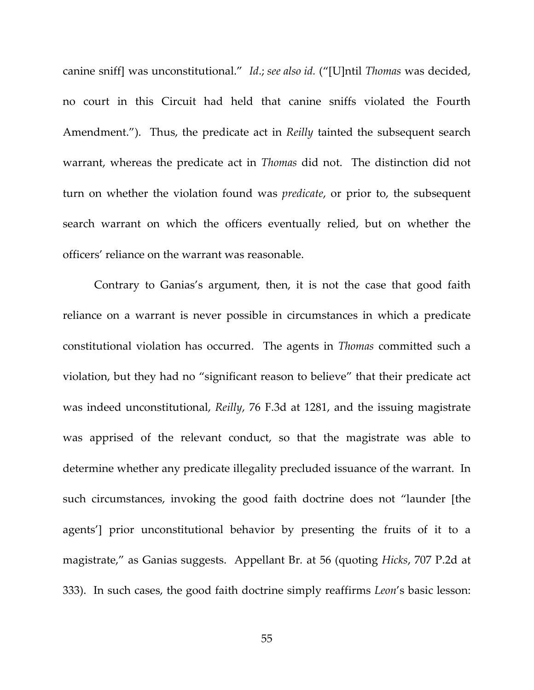canine sniff] was unconstitutional." *Id*.; *see also id.* ("[U]ntil *Thomas* was decided, no court in this Circuit had held that canine sniffs violated the Fourth Amendment."). Thus, the predicate act in *Reilly* tainted the subsequent search warrant, whereas the predicate act in *Thomas* did not. The distinction did not turn on whether the violation found was *predicate*, or prior to, the subsequent search warrant on which the officers eventually relied, but on whether the officers' reliance on the warrant was reasonable.

Contrary to Ganias's argument, then, it is not the case that good faith reliance on a warrant is never possible in circumstances in which a predicate constitutional violation has occurred. The agents in *Thomas* committed such a violation, but they had no "significant reason to believe" that their predicate act was indeed unconstitutional, *Reilly*, 76 F.3d at 1281, and the issuing magistrate was apprised of the relevant conduct, so that the magistrate was able to determine whether any predicate illegality precluded issuance of the warrant. In such circumstances, invoking the good faith doctrine does not "launder [the agents'] prior unconstitutional behavior by presenting the fruits of it to a magistrate," as Ganias suggests. Appellant Br*.* at 56 (quoting *Hicks*, 707 P.2d at 333). In such cases, the good faith doctrine simply reaffirms *Leon*'s basic lesson: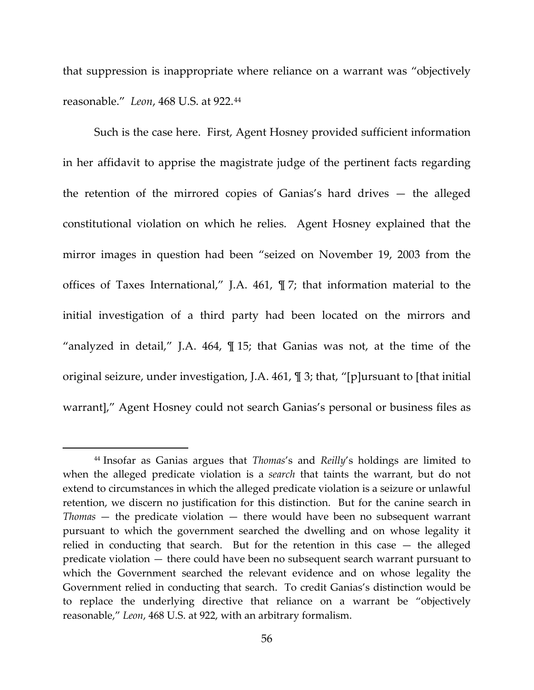that suppression is inappropriate where reliance on a warrant was "objectively reasonable." *Leon*, 468 U.S. at 922.[44](#page-55-0)

Such is the case here. First, Agent Hosney provided sufficient information in her affidavit to apprise the magistrate judge of the pertinent facts regarding the retention of the mirrored copies of Ganias's hard drives — the alleged constitutional violation on which he relies. Agent Hosney explained that the mirror images in question had been "seized on November 19, 2003 from the offices of Taxes International," J.A. 461, ¶ 7; that information material to the initial investigation of a third party had been located on the mirrors and "analyzed in detail," J.A. 464, ¶ 15; that Ganias was not, at the time of the original seizure, under investigation, J.A. 461, ¶ 3; that, "[p]ursuant to [that initial warrant]," Agent Hosney could not search Ganias's personal or business files as

 $\overline{\phantom{a}}$ 

<span id="page-55-0"></span><sup>44</sup> Insofar as Ganias argues that *Thomas*'s and *Reilly*'s holdings are limited to when the alleged predicate violation is a *search* that taints the warrant, but do not extend to circumstances in which the alleged predicate violation is a seizure or unlawful retention, we discern no justification for this distinction. But for the canine search in *Thomas* — the predicate violation — there would have been no subsequent warrant pursuant to which the government searched the dwelling and on whose legality it relied in conducting that search. But for the retention in this case — the alleged predicate violation — there could have been no subsequent search warrant pursuant to which the Government searched the relevant evidence and on whose legality the Government relied in conducting that search. To credit Ganias's distinction would be to replace the underlying directive that reliance on a warrant be "objectively reasonable," *Leon*, 468 U.S. at 922, with an arbitrary formalism.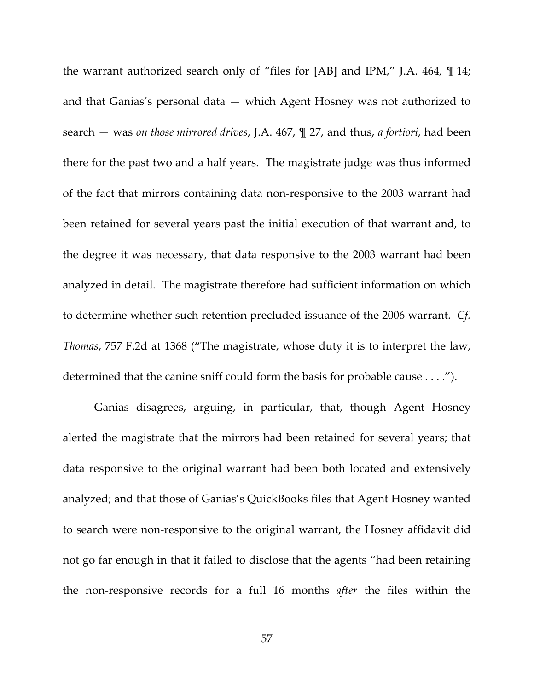the warrant authorized search only of "files for [AB] and IPM," J.A. 464, ¶ 14; and that Ganias's personal data — which Agent Hosney was not authorized to search — was *on those mirrored drives*, J.A. 467, ¶ 27, and thus, *a fortiori*, had been there for the past two and a half years. The magistrate judge was thus informed of the fact that mirrors containing data non-responsive to the 2003 warrant had been retained for several years past the initial execution of that warrant and, to the degree it was necessary, that data responsive to the 2003 warrant had been analyzed in detail. The magistrate therefore had sufficient information on which to determine whether such retention precluded issuance of the 2006 warrant. *Cf. Thomas*, 757 F.2d at 1368 ("The magistrate, whose duty it is to interpret the law, determined that the canine sniff could form the basis for probable cause . . . .").

Ganias disagrees, arguing, in particular, that, though Agent Hosney alerted the magistrate that the mirrors had been retained for several years; that data responsive to the original warrant had been both located and extensively analyzed; and that those of Ganias's QuickBooks files that Agent Hosney wanted to search were non-responsive to the original warrant, the Hosney affidavit did not go far enough in that it failed to disclose that the agents "had been retaining the non-responsive records for a full 16 months *after* the files within the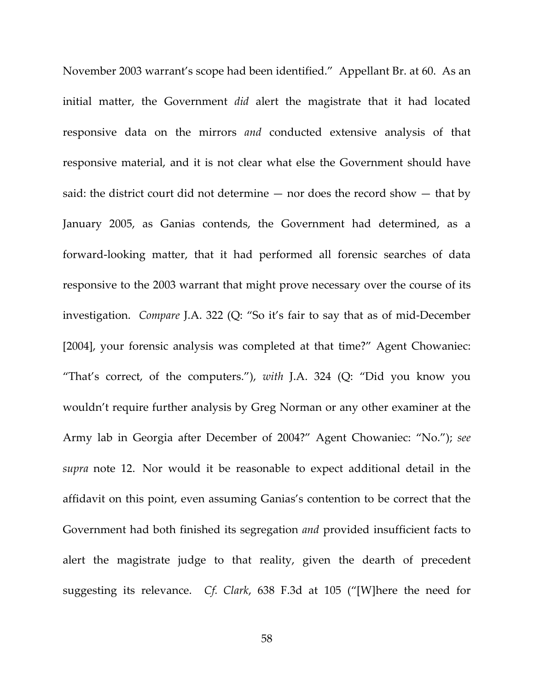November 2003 warrant's scope had been identified." Appellant Br. at 60. As an initial matter, the Government *did* alert the magistrate that it had located responsive data on the mirrors *and* conducted extensive analysis of that responsive material, and it is not clear what else the Government should have said: the district court did not determine — nor does the record show — that by January 2005, as Ganias contends, the Government had determined, as a forward-looking matter, that it had performed all forensic searches of data responsive to the 2003 warrant that might prove necessary over the course of its investigation. *Compare* J.A. 322 (Q: "So it's fair to say that as of mid-December [2004], your forensic analysis was completed at that time?" Agent Chowaniec: "That's correct, of the computers."), *with* J.A. 324 (Q: "Did you know you wouldn't require further analysis by Greg Norman or any other examiner at the Army lab in Georgia after December of 2004?" Agent Chowaniec: "No."); *see supra* note 12. Nor would it be reasonable to expect additional detail in the affidavit on this point, even assuming Ganias's contention to be correct that the Government had both finished its segregation *and* provided insufficient facts to alert the magistrate judge to that reality, given the dearth of precedent suggesting its relevance. *Cf. Clark*, 638 F.3d at 105 ("[W]here the need for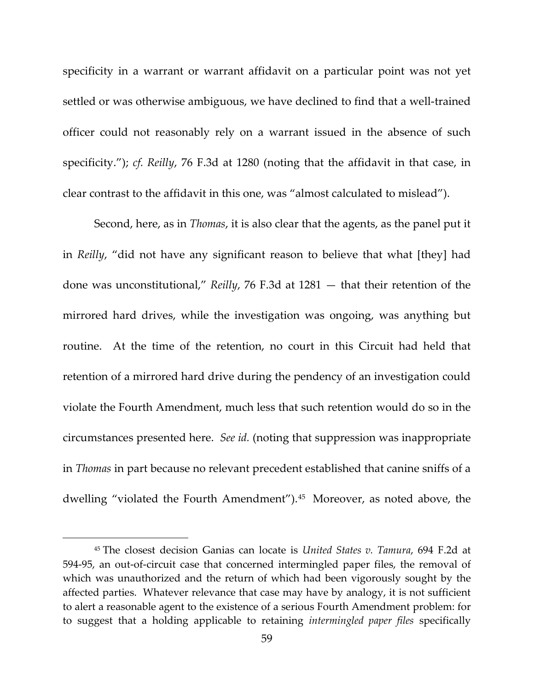specificity in a warrant or warrant affidavit on a particular point was not yet settled or was otherwise ambiguous, we have declined to find that a well-trained officer could not reasonably rely on a warrant issued in the absence of such specificity."); *cf. Reilly*, 76 F.3d at 1280 (noting that the affidavit in that case, in clear contrast to the affidavit in this one, was "almost calculated to mislead").

Second, here, as in *Thomas*, it is also clear that the agents, as the panel put it in *Reilly*, "did not have any significant reason to believe that what [they] had done was unconstitutional," *Reilly*, 76 F.3d at 1281 — that their retention of the mirrored hard drives, while the investigation was ongoing, was anything but routine. At the time of the retention, no court in this Circuit had held that retention of a mirrored hard drive during the pendency of an investigation could violate the Fourth Amendment, much less that such retention would do so in the circumstances presented here. *See id.* (noting that suppression was inappropriate in *Thomas* in part because no relevant precedent established that canine sniffs of a dwelling "violated the Fourth Amendment").[45](#page-58-0) Moreover, as noted above, the

 $\overline{\phantom{a}}$ 

<span id="page-58-0"></span><sup>45</sup> The closest decision Ganias can locate is *United States v. Tamura*, 694 F.2d at 594-95, an out-of-circuit case that concerned intermingled paper files, the removal of which was unauthorized and the return of which had been vigorously sought by the affected parties. Whatever relevance that case may have by analogy, it is not sufficient to alert a reasonable agent to the existence of a serious Fourth Amendment problem: for to suggest that a holding applicable to retaining *intermingled paper files* specifically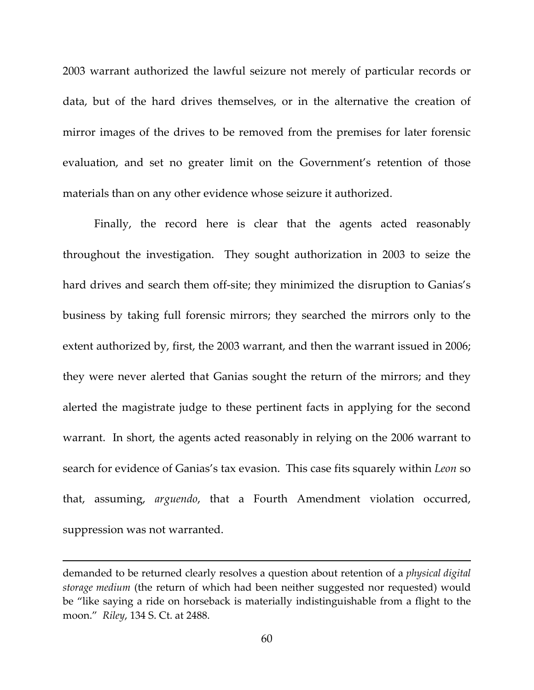2003 warrant authorized the lawful seizure not merely of particular records or data, but of the hard drives themselves, or in the alternative the creation of mirror images of the drives to be removed from the premises for later forensic evaluation, and set no greater limit on the Government's retention of those materials than on any other evidence whose seizure it authorized.

Finally, the record here is clear that the agents acted reasonably throughout the investigation. They sought authorization in 2003 to seize the hard drives and search them off-site; they minimized the disruption to Ganias's business by taking full forensic mirrors; they searched the mirrors only to the extent authorized by, first, the 2003 warrant, and then the warrant issued in 2006; they were never alerted that Ganias sought the return of the mirrors; and they alerted the magistrate judge to these pertinent facts in applying for the second warrant. In short, the agents acted reasonably in relying on the 2006 warrant to search for evidence of Ganias's tax evasion. This case fits squarely within *Leon* so that, assuming, *arguendo*, that a Fourth Amendment violation occurred, suppression was not warranted.

 $\overline{\phantom{a}}$ 

demanded to be returned clearly resolves a question about retention of a *physical digital storage medium* (the return of which had been neither suggested nor requested) would be "like saying a ride on horseback is materially indistinguishable from a flight to the moon." *Riley*, 134 S. Ct. at 2488.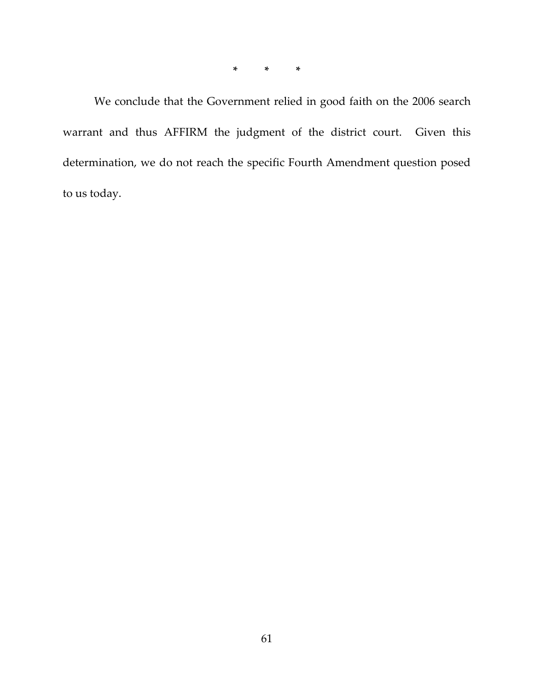**\* \* \***

We conclude that the Government relied in good faith on the 2006 search warrant and thus AFFIRM the judgment of the district court. Given this determination, we do not reach the specific Fourth Amendment question posed to us today.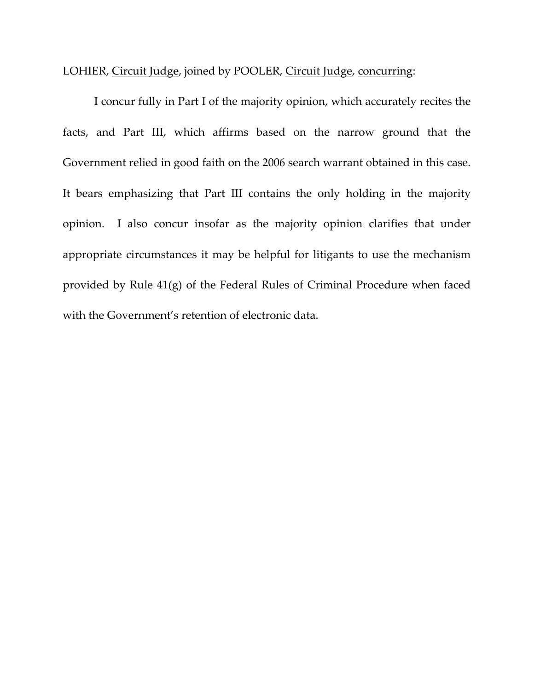LOHIER, Circuit Judge, joined by POOLER, Circuit Judge, concurring:

I concur fully in Part I of the majority opinion, which accurately recites the facts, and Part III, which affirms based on the narrow ground that the Government relied in good faith on the 2006 search warrant obtained in this case. It bears emphasizing that Part III contains the only holding in the majority opinion. I also concur insofar as the majority opinion clarifies that under appropriate circumstances it may be helpful for litigants to use the mechanism provided by Rule 41(g) of the Federal Rules of Criminal Procedure when faced with the Government's retention of electronic data.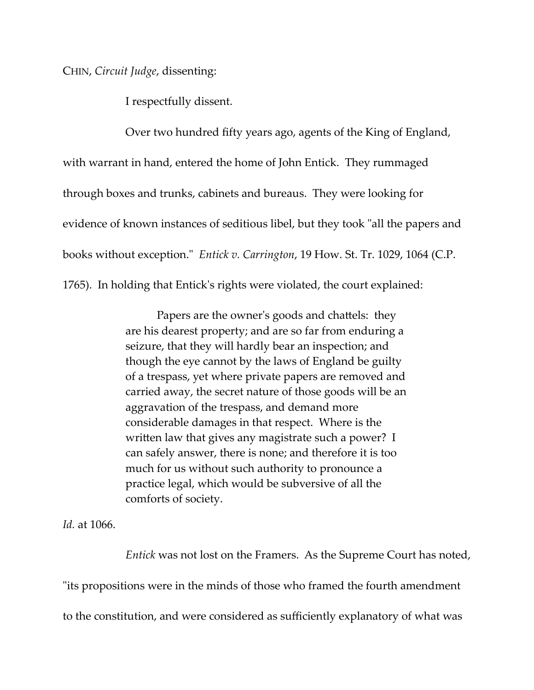CHIN, *Circuit Judge*, dissenting:

I respectfully dissent.

Over two hundred fifty years ago, agents of the King of England, with warrant in hand, entered the home of John Entick. They rummaged through boxes and trunks, cabinets and bureaus. They were looking for evidence of known instances of seditious libel, but they took "all the papers and books without exception.ʺ *Entick v. Carrington*, 19 How. St. Tr. 1029, 1064 (C.P.

1765). In holding that Entickʹs rights were violated, the court explained:

Papers are the owner's goods and chattels: they are his dearest property; and are so far from enduring a seizure, that they will hardly bear an inspection; and though the eye cannot by the laws of England be guilty of a trespass, yet where private papers are removed and carried away, the secret nature of those goods will be an aggravation of the trespass, and demand more considerable damages in that respect. Where is the written law that gives any magistrate such a power? I can safely answer, there is none; and therefore it is too much for us without such authority to pronounce a practice legal, which would be subversive of all the comforts of society.

*Id.* at 1066.

*Entick* was not lost on the Framers. As the Supreme Court has noted, ʺits propositions were in the minds of those who framed the fourth amendment to the constitution, and were considered as sufficiently explanatory of what was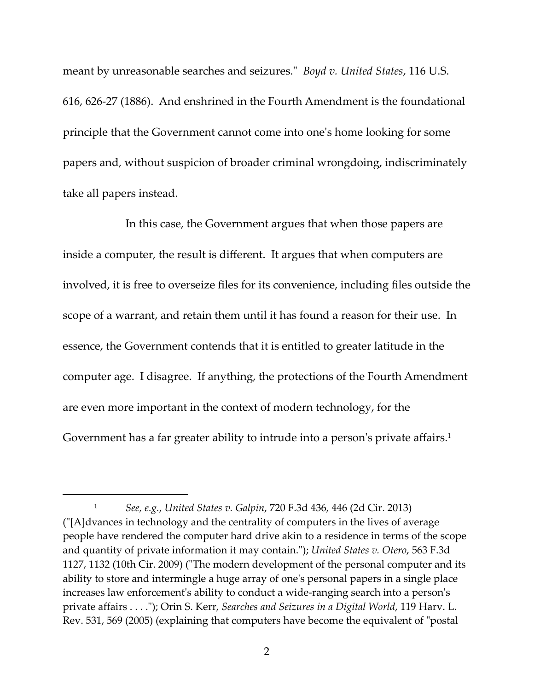meant by unreasonable searches and seizures.ʺ *Boyd v. United States*, 116 U.S. 616, 626‐27 (1886). And enshrined in the Fourth Amendment is the foundational principle that the Government cannot come into oneʹs home looking for some papers and, without suspicion of broader criminal wrongdoing, indiscriminately take all papers instead.

In this case, the Government argues that when those papers are inside a computer, the result is different. It argues that when computers are involved, it is free to overseize files for its convenience, including files outside the scope of a warrant, and retain them until it has found a reason for their use. In essence, the Government contends that it is entitled to greater latitude in the computer age. I disagree. If anything, the protections of the Fourth Amendment are even more important in the context of modern technology, for the Government has a far greater ability to intrude into a person's private affairs.<sup>1</sup>

<sup>1</sup> *See, e.g.*, *United States v. Galpin*, 720 F.3d 436, 446 (2d Cir. 2013) (ʺ[A]dvances in technology and the centrality of computers in the lives of average people have rendered the computer hard drive akin to a residence in terms of the scope and quantity of private information it may contain.ʺ); *United States v. Otero*, 563 F.3d 1127, 1132 (10th Cir. 2009) ("The modern development of the personal computer and its ability to store and intermingle a huge array of oneʹs personal papers in a single place increases law enforcementʹs ability to conduct a wide‐ranging search into a personʹs private affairs . . . .ʺ); Orin S. Kerr, *Searches and Seizures in a Digital World*, 119 Harv. L. Rev. 531, 569 (2005) (explaining that computers have become the equivalent of "postal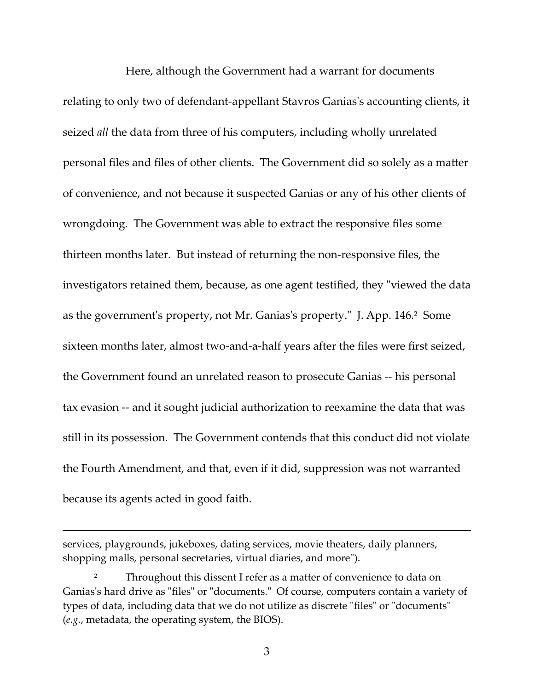Here, although the Government had a warrant for documents relating to only two of defendant-appellant Stavros Ganias's accounting clients, it seized *all* the data from three of his computers, including wholly unrelated personal files and files of other clients. The Government did so solely as a matter of convenience, and not because it suspected Ganias or any of his other clients of wrongdoing. The Government was able to extract the responsive files some thirteen months later. But instead of returning the non‐responsive files, the investigators retained them, because, as one agent testified, they "viewed the data as the government's property, not Mr. Ganias's property." J. App. 146.<sup>2</sup> Some sixteen months later, almost two-and-a-half years after the files were first seized, the Government found an unrelated reason to prosecute Ganias ‐‐ his personal tax evasion ‐‐ and it sought judicial authorization to reexamine the data that was still in its possession. The Government contends that this conduct did not violate the Fourth Amendment, and that, even if it did, suppression was not warranted because its agents acted in good faith.

<u> 1989 - Johann Stoff, amerikansk politiker (d. 1989)</u>

services, playgrounds, jukeboxes, dating services, movie theaters, daily planners, shopping malls, personal secretaries, virtual diaries, and more").

<sup>&</sup>lt;sup>2</sup> Throughout this dissent I refer as a matter of convenience to data on Ganias's hard drive as "files" or "documents." Of course, computers contain a variety of types of data, including data that we do not utilize as discrete "files" or "documents" (*e.g.*, metadata, the operating system, the BIOS).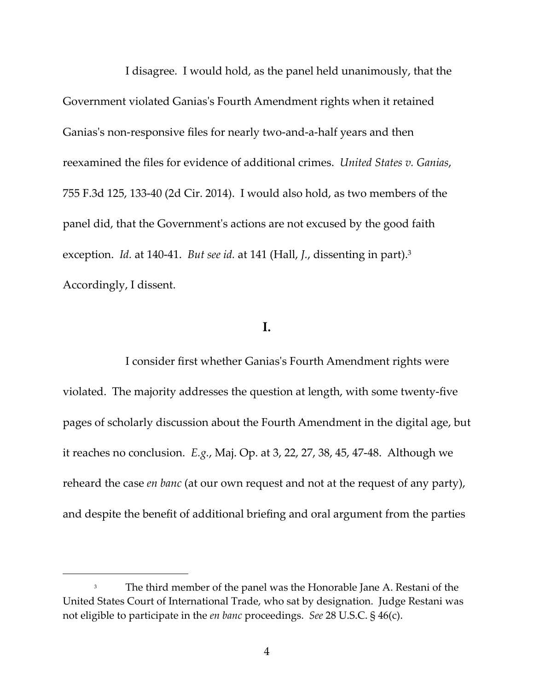I disagree. I would hold, as the panel held unanimously, that the Government violated Ganiasʹs Fourth Amendment rights when it retained Ganias's non-responsive files for nearly two-and-a-half years and then reexamined the files for evidence of additional crimes. *United States v. Ganias*, 755 F.3d 125, 133‐40 (2d Cir. 2014). I would also hold, as two members of the panel did, that the Governmentʹs actions are not excused by the good faith exception. *Id.* at 140‐41. *But see id.* at 141 (Hall, *J.*, dissenting in part).3 Accordingly, I dissent.

## **I.**

I consider first whether Ganiasʹs Fourth Amendment rights were violated. The majority addresses the question at length, with some twenty‐five pages of scholarly discussion about the Fourth Amendment in the digital age, but it reaches no conclusion. *E.g.*, Maj. Op. at 3, 22, 27, 38, 45, 47‐48. Although we reheard the case *en banc* (at our own request and not at the request of any party), and despite the benefit of additional briefing and oral argument from the parties

<sup>&</sup>lt;sup>3</sup> The third member of the panel was the Honorable Jane A. Restani of the United States Court of International Trade, who sat by designation. Judge Restani was not eligible to participate in the *en banc* proceedings. *See* 28 U.S.C. § 46(c).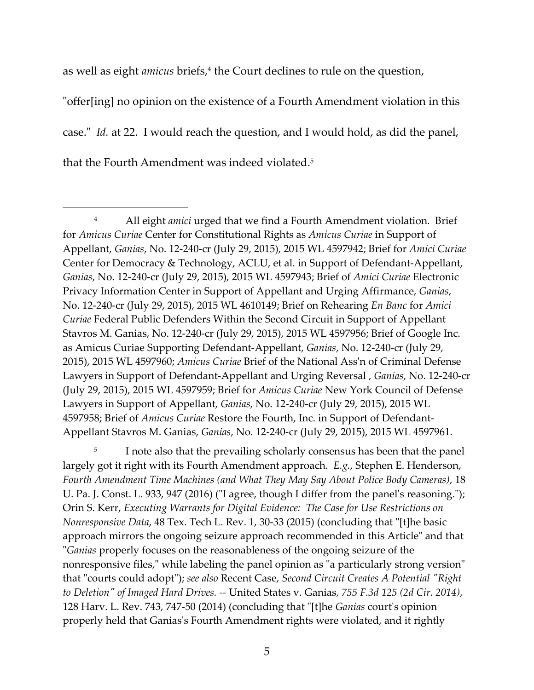as well as eight *amicus* briefs,<sup>4</sup> the Court declines to rule on the question,

<u> Alexandria de la construcción de la construcción de la construcción de la construcción de la construcción de</u>

"offer[ing] no opinion on the existence of a Fourth Amendment violation in this case.ʺ *Id.* at 22. I would reach the question, and I would hold, as did the panel, that the Fourth Amendment was indeed violated.5

<sup>5</sup> I note also that the prevailing scholarly consensus has been that the panel largely got it right with its Fourth Amendment approach. *E.g.*, Stephen E. Henderson, *Fourth Amendment Time Machines (and What They May Say About Police Body Cameras)*, 18 U. Pa. J. Const. L. 933, 947 (2016) ("I agree, though I differ from the panel's reasoning."); Orin S. Kerr, *Executing Warrants for Digital Evidence: The Case for Use Restrictions on Nonresponsive Data,* 48 Tex. Tech L. Rev. 1, 30-33 (2015) (concluding that "[t]he basic approach mirrors the ongoing seizure approach recommended in this Article" and that ʺ*Ganias* properly focuses on the reasonableness of the ongoing seizure of the nonresponsive files," while labeling the panel opinion as "a particularly strong version" that ʺcourts could adoptʺ); *see also* Recent Case, *Second Circuit Creates A Potential ʺRight to Deletionʺ of Imaged Hard Drives. ‐‐* United States v. Ganias*, 755 F.3d 125 (2d Cir. 2014)*, 128 Harv. L. Rev. 743, 747‐50 (2014) (concluding that ʺ[t]he *Ganias* courtʹs opinion properly held that Ganiasʹs Fourth Amendment rights were violated, and it rightly

<sup>4</sup> All eight *amici* urged that we find a Fourth Amendment violation. Brief for *Amicus Curiae* Center for Constitutional Rights as *Amicus Curiae* in Support of Appellant, *Ganias*, No. 12‐240‐cr (July 29, 2015), 2015 WL 4597942; Brief for *Amici Curiae* Center for Democracy & Technology, ACLU, et al. in Support of Defendant‐Appellant, *Ganias*, No. 12‐240‐cr (July 29, 2015), 2015 WL 4597943; Brief of *Amici Curiae* Electronic Privacy Information Center in Support of Appellant and Urging Affirmance, *Ganias*, No. 12‐240‐cr (July 29, 2015), 2015 WL 4610149; Brief on Rehearing *En Banc* for *Amici Curiae* Federal Public Defenders Within the Second Circuit in Support of Appellant Stavros M. Ganias, No. 12‐240‐cr (July 29, 2015), 2015 WL 4597956; Brief of Google Inc. as Amicus Curiae Supporting Defendant‐Appellant, *Ganias*, No. 12‐240‐cr (July 29, 2015), 2015 WL 4597960; *Amicus Curiae* Brief of the National Assʹn of Criminal Defense Lawyers in Support of Defendant‐Appellant and Urging Reversal , *Ganias*, No. 12‐240‐cr (July 29, 2015), 2015 WL 4597959; Brief for *Amicus Curiae* New York Council of Defense Lawyers in Support of Appellant, *Ganias*, No. 12‐240‐cr (July 29, 2015), 2015 WL 4597958; Brief of *Amicus Curiae* Restore the Fourth, Inc. in Support of Defendant‐ Appellant Stavros M. Ganias, *Ganias*, No. 12‐240‐cr (July 29, 2015), 2015 WL 4597961.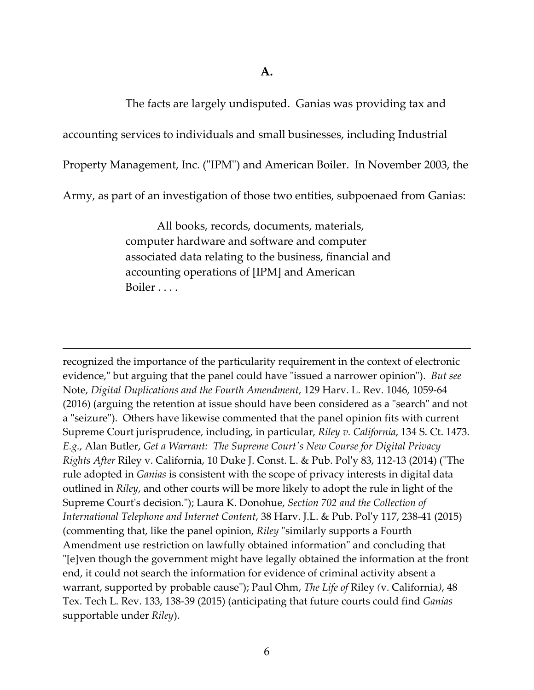The facts are largely undisputed. Ganias was providing tax and

accounting services to individuals and small businesses, including Industrial

Property Management, Inc. ("IPM") and American Boiler. In November 2003, the

Army, as part of an investigation of those two entities, subpoenaed from Ganias:

All books, records, documents, materials, computer hardware and software and computer associated data relating to the business, financial and accounting operations of [IPM] and American Boiler . . . .

<u> 1989 - Johann Stoff, amerikansk politiker (d. 1989)</u>

recognized the importance of the particularity requirement in the context of electronic evidence," but arguing that the panel could have "issued a narrower opinion"). But see Note, *Digital Duplications and the Fourth Amendment*, 129 Harv. L. Rev. 1046, 1059‐64 (2016) (arguing the retention at issue should have been considered as a "search" and not a "seizure"). Others have likewise commented that the panel opinion fits with current Supreme Court jurisprudence, including, in particular, *Riley v. California*, 134 S. Ct. 1473. *E.g.*, Alan Butler, *Get a Warrant: The Supreme Courtʹs New Course for Digital Privacy Rights After* Riley v. California, 10 Duke J. Const. L. & Pub. Polʹy 83, 112‐13 (2014) (ʺThe rule adopted in *Ganias* is consistent with the scope of privacy interests in digital data outlined in *Riley*, and other courts will be more likely to adopt the rule in light of the Supreme Courtʹs decision.ʺ); Laura K. Donohue, *Section 702 and the Collection of International Telephone and Internet Content*, 38 Harv. J.L. & Pub. Polʹy 117, 238‐41 (2015) (commenting that, like the panel opinion, *Riley* "similarly supports a Fourth Amendment use restriction on lawfully obtained information" and concluding that ʺ[e]ven though the government might have legally obtained the information at the front end, it could not search the information for evidence of criminal activity absent a warrant, supported by probable cause"); Paul Ohm, *The Life of Riley (v. California)*, 48 Tex. Tech L. Rev. 133, 138‐39 (2015) (anticipating that future courts could find *Ganias* supportable under *Riley*).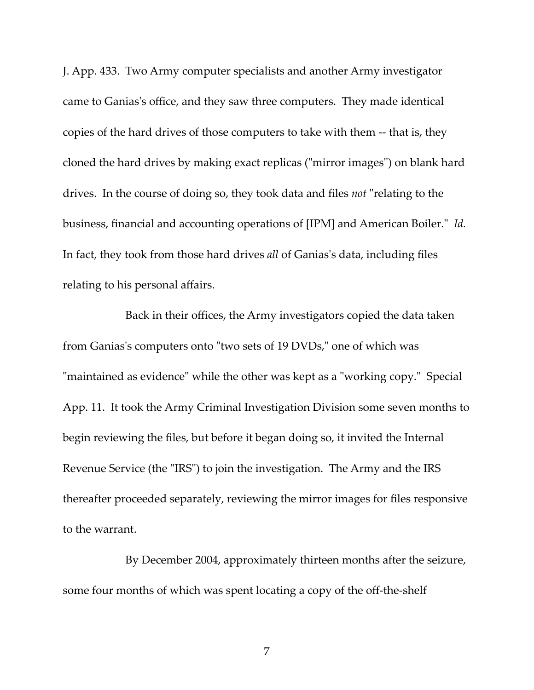J. App. 433. Two Army computer specialists and another Army investigator came to Ganiasʹs office, and they saw three computers. They made identical copies of the hard drives of those computers to take with them ‐‐ that is, they cloned the hard drives by making exact replicas ("mirror images") on blank hard drives. In the course of doing so, they took data and files *not* "relating to the business, financial and accounting operations of [IPM] and American Boiler.<sup>"</sup> Id. In fact, they took from those hard drives *all* of Ganiasʹs data, including files relating to his personal affairs.

Back in their offices, the Army investigators copied the data taken from Ganias's computers onto "two sets of 19 DVDs," one of which was "maintained as evidence" while the other was kept as a "working copy." Special App. 11. It took the Army Criminal Investigation Division some seven months to begin reviewing the files, but before it began doing so, it invited the Internal Revenue Service (the "IRS") to join the investigation. The Army and the IRS thereafter proceeded separately, reviewing the mirror images for files responsive to the warrant.

By December 2004, approximately thirteen months after the seizure, some four months of which was spent locating a copy of the off-the-shelf

7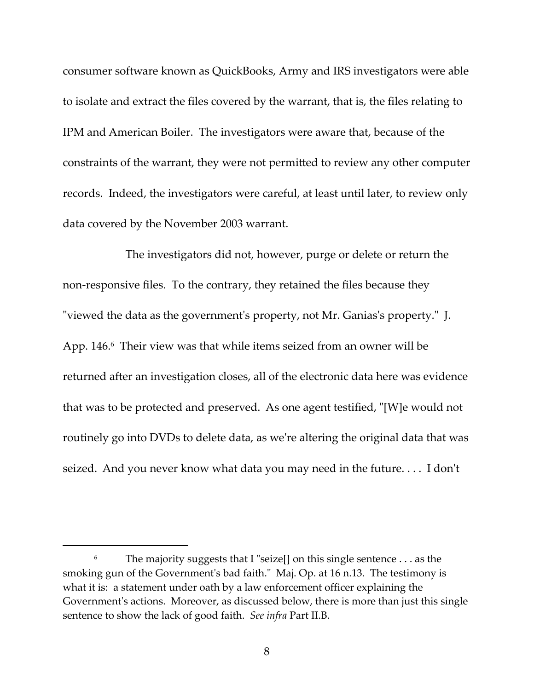consumer software known as QuickBooks, Army and IRS investigators were able to isolate and extract the files covered by the warrant, that is, the files relating to IPM and American Boiler. The investigators were aware that, because of the constraints of the warrant, they were not permitted to review any other computer records. Indeed, the investigators were careful, at least until later, to review only data covered by the November 2003 warrant.

The investigators did not, however, purge or delete or return the non-responsive files. To the contrary, they retained the files because they "viewed the data as the government's property, not Mr. Ganias's property." J. App. 146.<sup>6</sup> Their view was that while items seized from an owner will be returned after an investigation closes, all of the electronic data here was evidence that was to be protected and preserved. As one agent testified, "[W]e would not routinely go into DVDs to delete data, as weʹre altering the original data that was seized. And you never know what data you may need in the future.... I don't

<sup>&</sup>lt;sup>6</sup> The majority suggests that I "seize[] on this single sentence . . . as the smoking gun of the Government's bad faith." Maj. Op. at 16 n.13. The testimony is what it is: a statement under oath by a law enforcement officer explaining the Government's actions. Moreover, as discussed below, there is more than just this single sentence to show the lack of good faith. *See infra* Part II.B.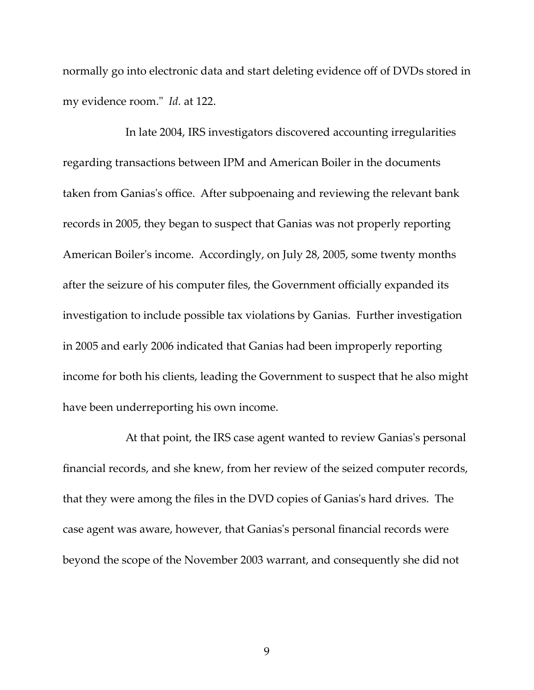normally go into electronic data and start deleting evidence off of DVDs stored in my evidence room." *Id.* at 122.

In late 2004, IRS investigators discovered accounting irregularities regarding transactions between IPM and American Boiler in the documents taken from Ganiasʹs office. After subpoenaing and reviewing the relevant bank records in 2005, they began to suspect that Ganias was not properly reporting American Boiler's income. Accordingly, on July 28, 2005, some twenty months after the seizure of his computer files, the Government officially expanded its investigation to include possible tax violations by Ganias. Further investigation in 2005 and early 2006 indicated that Ganias had been improperly reporting income for both his clients, leading the Government to suspect that he also might have been underreporting his own income.

At that point, the IRS case agent wanted to review Ganias's personal financial records, and she knew, from her review of the seized computer records, that they were among the files in the DVD copies of Ganiasʹs hard drives. The case agent was aware, however, that Ganiasʹs personal financial records were beyond the scope of the November 2003 warrant, and consequently she did not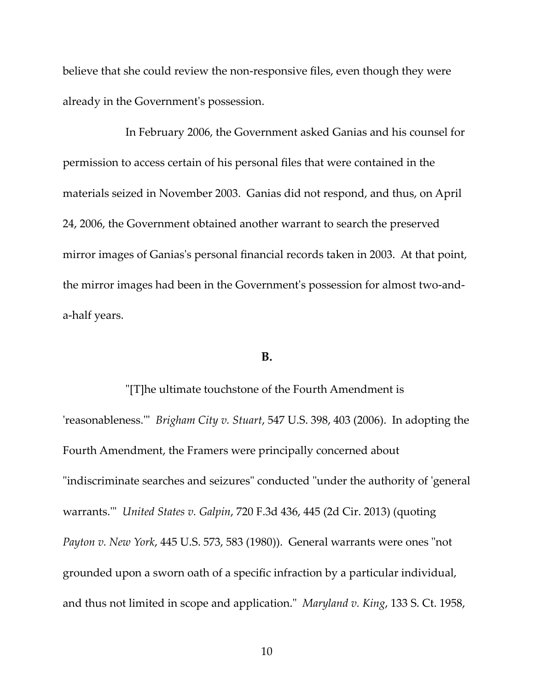believe that she could review the non-responsive files, even though they were already in the Governmentʹs possession.

In February 2006, the Government asked Ganias and his counsel for permission to access certain of his personal files that were contained in the materials seized in November 2003. Ganias did not respond, and thus, on April 24, 2006, the Government obtained another warrant to search the preserved mirror images of Ganias's personal financial records taken in 2003. At that point, the mirror images had been in the Governmentʹs possession for almost two‐and‐ a‐half years.

## **B.**

ʺ[T]he ultimate touchstone of the Fourth Amendment is ʹreasonableness.ʹʺ *Brigham City v. Stuart*, 547 U.S. 398, 403 (2006). In adopting the Fourth Amendment, the Framers were principally concerned about "indiscriminate searches and seizures" conducted "under the authority of 'general warrants.ʹʺ *United States v. Galpin*, 720 F.3d 436, 445 (2d Cir. 2013) (quoting *Payton v. New York,* 445 U.S. 573, 583 (1980)). General warrants were ones "not grounded upon a sworn oath of a specific infraction by a particular individual, and thus not limited in scope and application.<sup>*''</sup> Maryland v. King*, 133 S. Ct. 1958,</sup>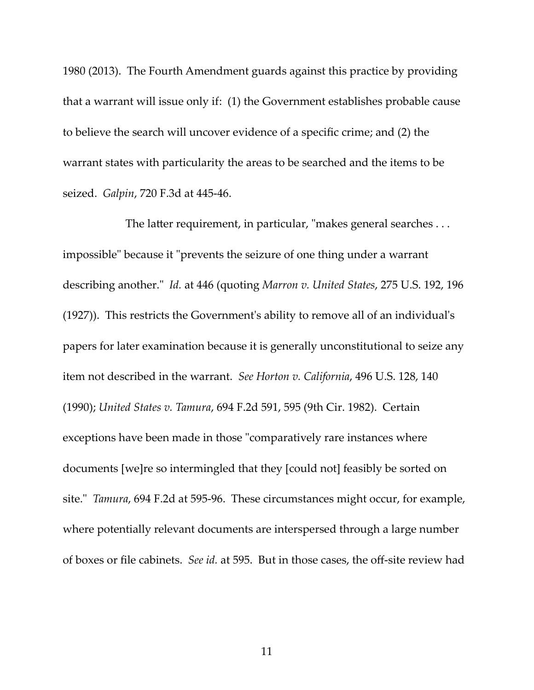1980 (2013). The Fourth Amendment guards against this practice by providing that a warrant will issue only if: (1) the Government establishes probable cause to believe the search will uncover evidence of a specific crime; and (2) the warrant states with particularity the areas to be searched and the items to be seized. *Galpin*, 720 F.3d at 445‐46.

The latter requirement, in particular, "makes general searches  $\dots$ impossible" because it "prevents the seizure of one thing under a warrant describing another.ʺ *Id.* at 446 (quoting *Marron v. United States*, 275 U.S. 192, 196 (1927)). This restricts the Governmentʹs ability to remove all of an individualʹs papers for later examination because it is generally unconstitutional to seize any item not described in the warrant. *See Horton v. California*, 496 U.S. 128, 140 (1990); *United States v. Tamura*, 694 F.2d 591, 595 (9th Cir. 1982). Certain exceptions have been made in those "comparatively rare instances where documents [we]re so intermingled that they [could not] feasibly be sorted on site." *Tamura*, 694 F.2d at 595-96. These circumstances might occur, for example, where potentially relevant documents are interspersed through a large number of boxes or file cabinets. *See id.* at 595. But in those cases, the off‐site review had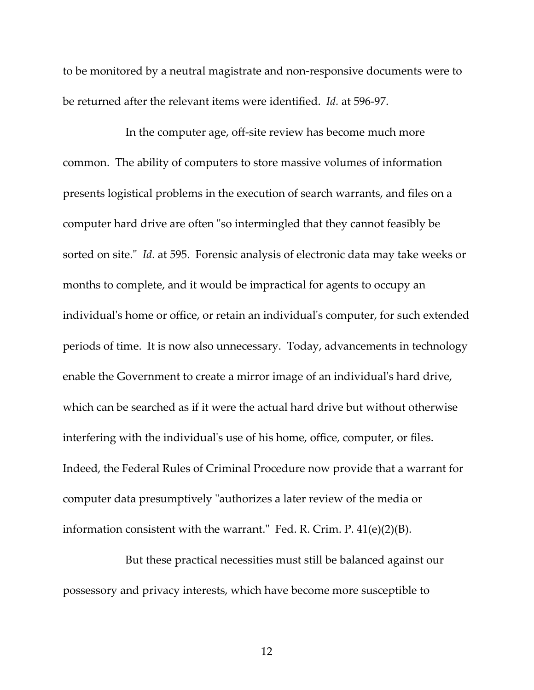to be monitored by a neutral magistrate and non‐responsive documents were to be returned after the relevant items were identified. *Id.* at 596‐97.

In the computer age, off‐site review has become much more common. The ability of computers to store massive volumes of information presents logistical problems in the execution of search warrants, and files on a computer hard drive are often "so intermingled that they cannot feasibly be sorted on site.<sup>"</sup> *Id.* at 595. Forensic analysis of electronic data may take weeks or months to complete, and it would be impractical for agents to occupy an individual's home or office, or retain an individual's computer, for such extended periods of time. It is now also unnecessary. Today, advancements in technology enable the Government to create a mirror image of an individual's hard drive, which can be searched as if it were the actual hard drive but without otherwise interfering with the individual's use of his home, office, computer, or files. Indeed, the Federal Rules of Criminal Procedure now provide that a warrant for computer data presumptively "authorizes a later review of the media or information consistent with the warrant. $\degree$  Fed. R. Crim. P. 41(e)(2)(B).

But these practical necessities must still be balanced against our possessory and privacy interests, which have become more susceptible to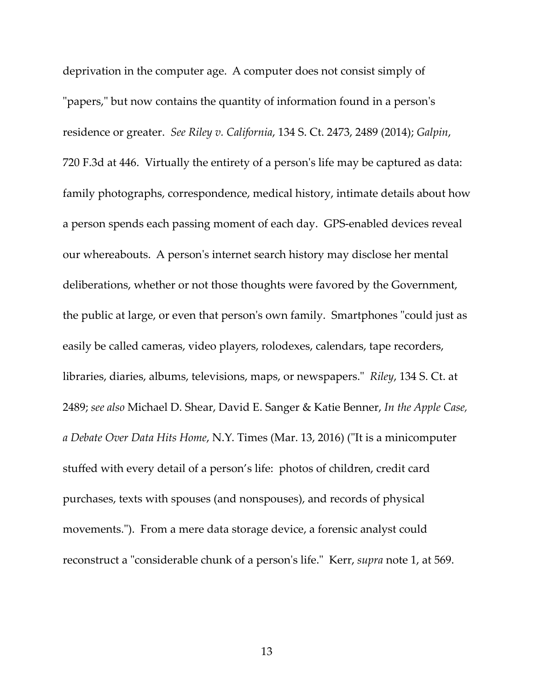deprivation in the computer age. A computer does not consist simply of "papers," but now contains the quantity of information found in a person's residence or greater. *See Riley v. California*, 134 S. Ct. 2473, 2489 (2014); *Galpin*, 720 F.3d at 446. Virtually the entirety of a personʹs life may be captured as data: family photographs, correspondence, medical history, intimate details about how a person spends each passing moment of each day. GPS‐enabled devices reveal our whereabouts. A personʹs internet search history may disclose her mental deliberations, whether or not those thoughts were favored by the Government, the public at large, or even that person's own family. Smartphones "could just as easily be called cameras, video players, rolodexes, calendars, tape recorders, libraries, diaries, albums, televisions, maps, or newspapers." Riley, 134 S. Ct. at 2489; *see also* Michael D. Shear, David E. Sanger & Katie Benner, *In the Apple Case, a Debate Over Data Hits Home*, N.Y. Times (Mar. 13, 2016) (ʺIt is a minicomputer stuffed with every detail of a person's life: photos of children, credit card purchases, texts with spouses (and nonspouses), and records of physical movements."). From a mere data storage device, a forensic analyst could reconstruct a "considerable chunk of a person's life." Kerr, *supra* note 1, at 569.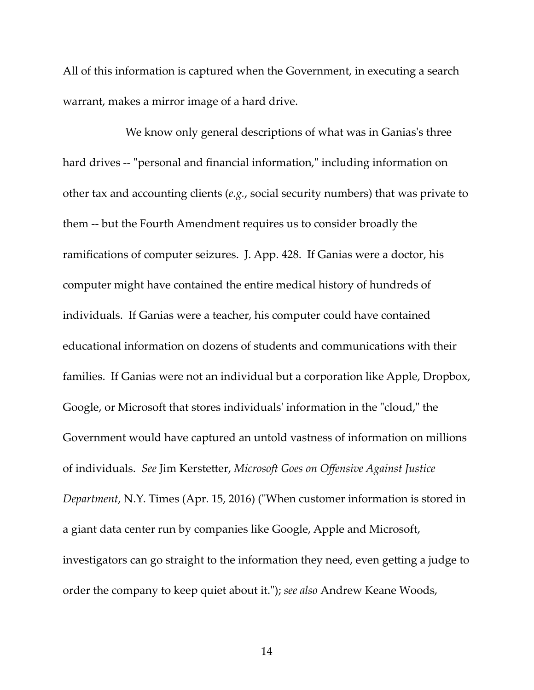All of this information is captured when the Government, in executing a search warrant, makes a mirror image of a hard drive.

We know only general descriptions of what was in Ganias's three hard drives -- "personal and financial information," including information on other tax and accounting clients (*e.g.*, social security numbers) that was private to them ‐‐ but the Fourth Amendment requires us to consider broadly the ramifications of computer seizures. J. App. 428. If Ganias were a doctor, his computer might have contained the entire medical history of hundreds of individuals. If Ganias were a teacher, his computer could have contained educational information on dozens of students and communications with their families. If Ganias were not an individual but a corporation like Apple, Dropbox, Google, or Microsoft that stores individuals' information in the "cloud," the Government would have captured an untold vastness of information on millions of individuals. *See* Jim Kerstetter, *Microsoft Goes on Offensive Against Justice Department*, N.Y. Times (Apr. 15, 2016) ("When customer information is stored in a giant data center run by companies like Google, Apple and Microsoft, investigators can go straight to the information they need, even getting a judge to order the company to keep quiet about it.ʺ); *see also* Andrew Keane Woods,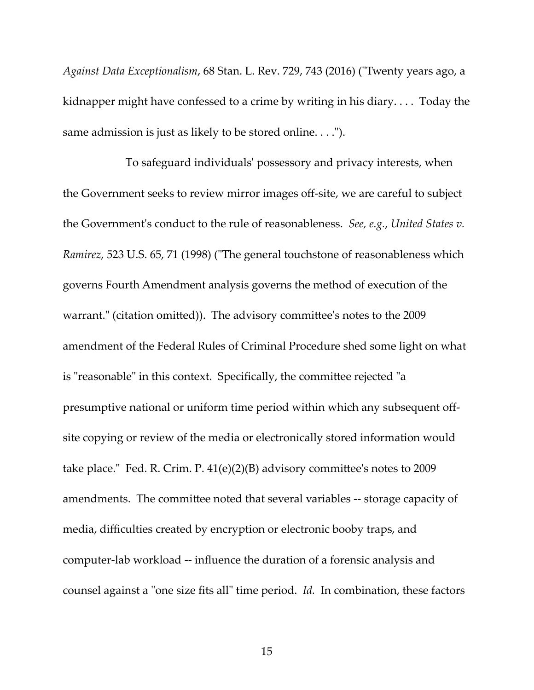*Against Data Exceptionalism*, 68 Stan. L. Rev. 729, 743 (2016) (ʺTwenty years ago, a kidnapper might have confessed to a crime by writing in his diary. . . . Today the same admission is just as likely to be stored online. . . .").

To safeguard individualsʹ possessory and privacy interests, when the Government seeks to review mirror images off‐site, we are careful to subject the Governmentʹs conduct to the rule of reasonableness. *See, e.g.*, *United States v. Ramirez*, 523 U.S. 65, 71 (1998) ("The general touchstone of reasonableness which governs Fourth Amendment analysis governs the method of execution of the warrant." (citation omitted)). The advisory committee's notes to the 2009 amendment of the Federal Rules of Criminal Procedure shed some light on what is "reasonable" in this context. Specifically, the committee rejected "a presumptive national or uniform time period within which any subsequent off‐ site copying or review of the media or electronically stored information would take place." Fed. R. Crim. P.  $41(e)(2)(B)$  advisory committee's notes to 2009 amendments. The committee noted that several variables ‐‐ storage capacity of media, difficulties created by encryption or electronic booby traps, and computer‐lab workload ‐‐ influence the duration of a forensic analysis and counsel against a "one size fits all" time period. *Id.* In combination, these factors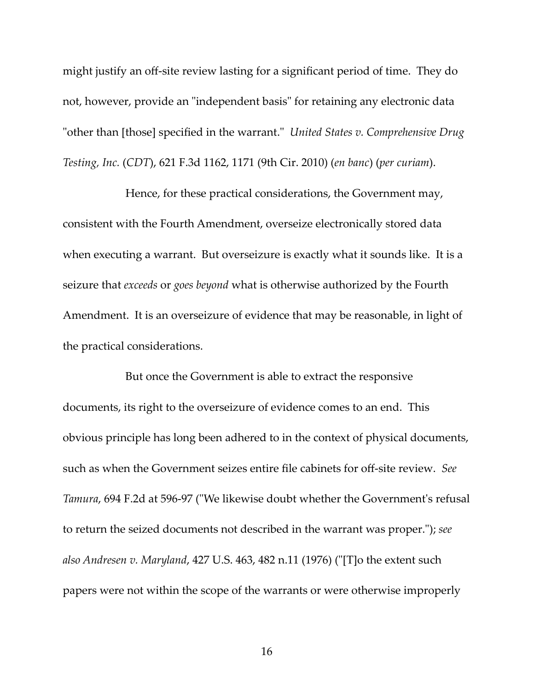might justify an off‐site review lasting for a significant period of time. They do not, however, provide an "independent basis" for retaining any electronic data "other than [those] specified in the warrant." *United States v. Comprehensive Drug Testing, Inc.* (*CDT*), 621 F.3d 1162, 1171 (9th Cir. 2010) (*en banc*) (*per curiam*).

Hence, for these practical considerations, the Government may, consistent with the Fourth Amendment, overseize electronically stored data when executing a warrant. But overseizure is exactly what it sounds like. It is a seizure that *exceeds* or *goes beyond* what is otherwise authorized by the Fourth Amendment. It is an overseizure of evidence that may be reasonable, in light of the practical considerations.

But once the Government is able to extract the responsive documents, its right to the overseizure of evidence comes to an end. This obvious principle has long been adhered to in the context of physical documents, such as when the Government seizes entire file cabinets for off‐site review. *See Tamura*, 694 F.2d at 596-97 ("We likewise doubt whether the Government's refusal to return the seized documents not described in the warrant was proper.ʺ); *see also Andresen v. Maryland*, 427 U.S. 463, 482 n.11 (1976) (ʺ[T]o the extent such papers were not within the scope of the warrants or were otherwise improperly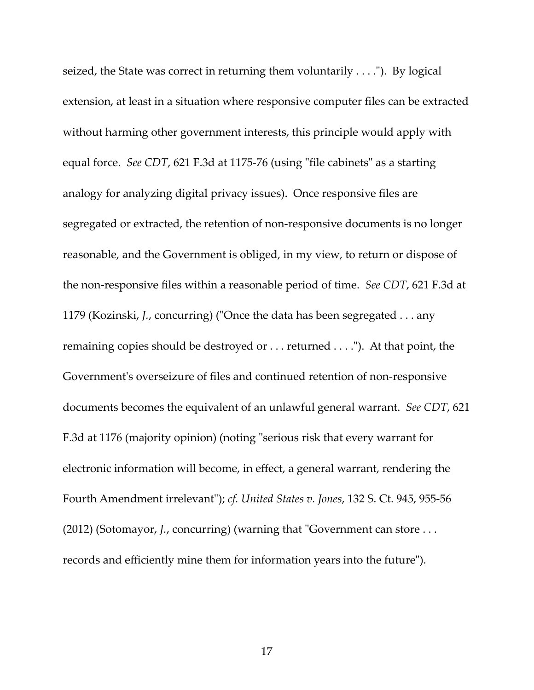seized, the State was correct in returning them voluntarily  $\dots$ . By logical extension, at least in a situation where responsive computer files can be extracted without harming other government interests, this principle would apply with equal force. See CDT, 621 F.3d at 1175-76 (using "file cabinets" as a starting analogy for analyzing digital privacy issues). Once responsive files are segregated or extracted, the retention of non‐responsive documents is no longer reasonable, and the Government is obliged, in my view, to return or dispose of the non‐responsive files within a reasonable period of time. *See CDT*, 621 F.3d at 1179 (Kozinski, *J.*, concurring) ("Once the data has been segregated . . . any remaining copies should be destroyed or . . . returned . . . ."). At that point, the Government's overseizure of files and continued retention of non-responsive documents becomes the equivalent of an unlawful general warrant. *See CDT*, 621 F.3d at 1176 (majority opinion) (noting "serious risk that every warrant for electronic information will become, in effect, a general warrant, rendering the Fourth Amendment irrelevantʺ); *cf. United States v. Jones*, 132 S. Ct. 945, 955‐56 (2012) (Sotomayor, *J.*, concurring) (warning that "Government can store . . . records and efficiently mine them for information years into the future").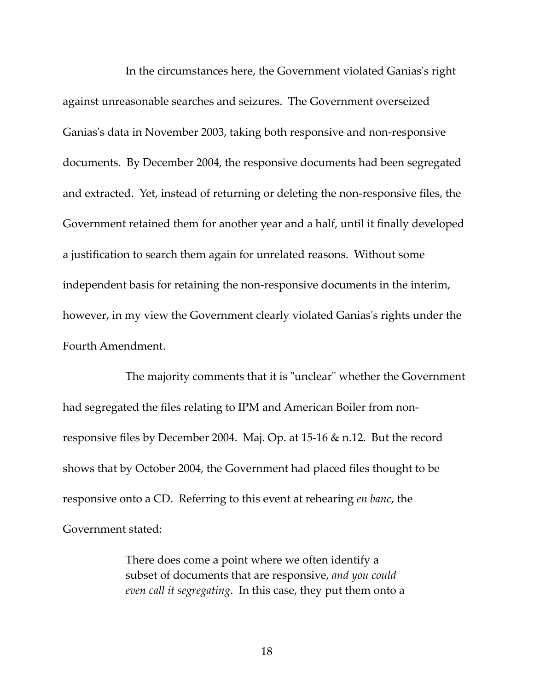In the circumstances here, the Government violated Ganias's right against unreasonable searches and seizures. The Government overseized Ganias's data in November 2003, taking both responsive and non-responsive documents. By December 2004, the responsive documents had been segregated and extracted. Yet, instead of returning or deleting the non‐responsive files, the Government retained them for another year and a half, until it finally developed a justification to search them again for unrelated reasons. Without some independent basis for retaining the non‐responsive documents in the interim, however, in my view the Government clearly violated Ganias's rights under the Fourth Amendment.

The majority comments that it is "unclear" whether the Government had segregated the files relating to IPM and American Boiler from non‐ responsive files by December 2004. Maj. Op. at 15‐16 & n.12. But the record shows that by October 2004, the Government had placed files thought to be responsive onto a CD. Referring to this event at rehearing *en banc*, the Government stated:

> There does come a point where we often identify a subset of documents that are responsive, *and you could even call it segregating*. In this case, they put them onto a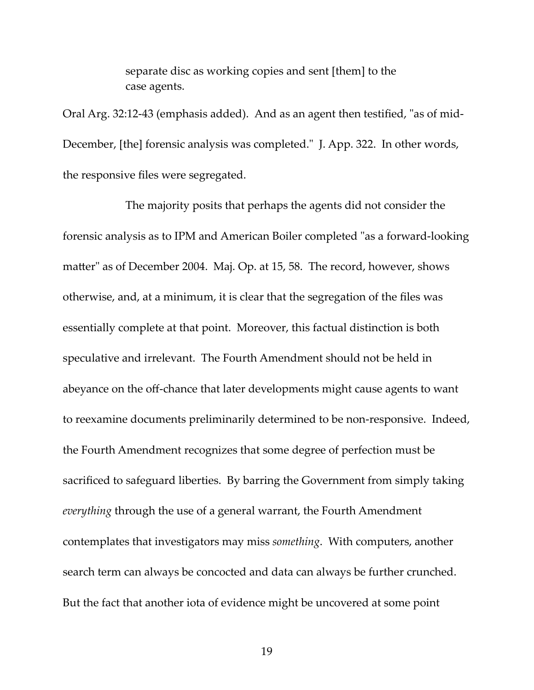separate disc as working copies and sent [them] to the case agents.

Oral Arg. 32:12-43 (emphasis added). And as an agent then testified, "as of mid-December, [the] forensic analysis was completed." J. App. 322. In other words, the responsive files were segregated.

The majority posits that perhaps the agents did not consider the forensic analysis as to IPM and American Boiler completed "as a forward-looking matter" as of December 2004. Maj. Op. at 15, 58. The record, however, shows otherwise, and, at a minimum, it is clear that the segregation of the files was essentially complete at that point. Moreover, this factual distinction is both speculative and irrelevant. The Fourth Amendment should not be held in abeyance on the off‐chance that later developments might cause agents to want to reexamine documents preliminarily determined to be non‐responsive. Indeed, the Fourth Amendment recognizes that some degree of perfection must be sacrificed to safeguard liberties. By barring the Government from simply taking *everything* through the use of a general warrant, the Fourth Amendment contemplates that investigators may miss *something*. With computers, another search term can always be concocted and data can always be further crunched. But the fact that another iota of evidence might be uncovered at some point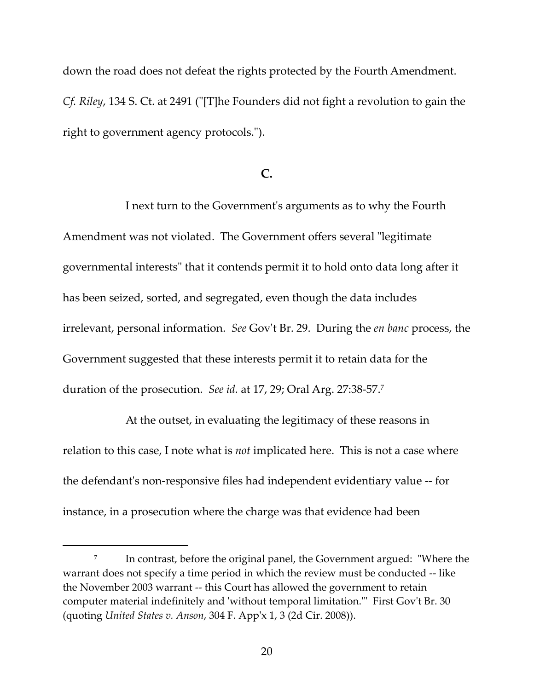down the road does not defeat the rights protected by the Fourth Amendment. *Cf. Riley*, 134 S. Ct. at 2491 (ʺ[T]he Founders did not fight a revolution to gain the right to government agency protocols.").

## **C.**

I next turn to the Governmentʹs arguments as to why the Fourth Amendment was not violated. The Government offers several "legitimate" governmental interests" that it contends permit it to hold onto data long after it has been seized, sorted, and segregated, even though the data includes irrelevant, personal information. *See* Govʹt Br. 29. During the *en banc* process, the Government suggested that these interests permit it to retain data for the duration of the prosecution. *See id.* at 17, 29; Oral Arg. 27:38‐57.7

At the outset, in evaluating the legitimacy of these reasons in relation to this case, I note what is *not* implicated here. This is not a case where the defendantʹs non‐responsive files had independent evidentiary value ‐‐ for instance, in a prosecution where the charge was that evidence had been

 $7$  In contrast, before the original panel, the Government argued: "Where the warrant does not specify a time period in which the review must be conducted ‐‐ like the November 2003 warrant ‐‐ this Court has allowed the government to retain computer material indefinitely and 'without temporal limitation." First Gov't Br. 30 (quoting *United States v. Anson*, 304 F. Appʹx 1, 3 (2d Cir. 2008)).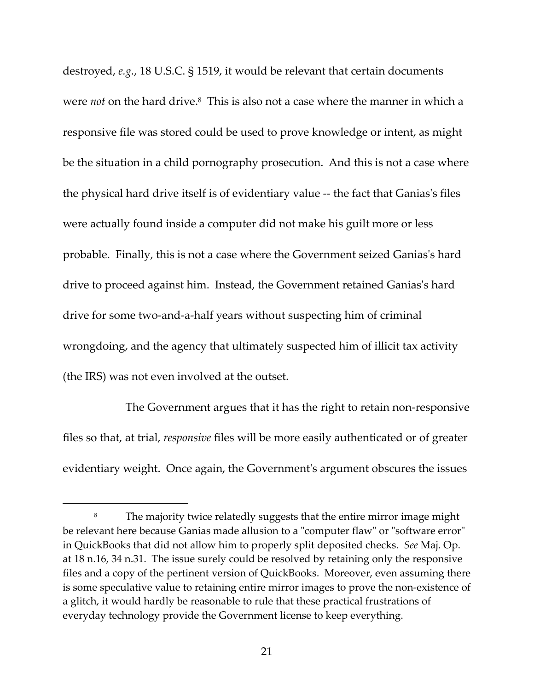destroyed, *e.g.*, 18 U.S.C. § 1519, it would be relevant that certain documents were *not* on the hard drive.<sup>8</sup> This is also not a case where the manner in which a responsive file was stored could be used to prove knowledge or intent, as might be the situation in a child pornography prosecution. And this is not a case where the physical hard drive itself is of evidentiary value ‐‐ the fact that Ganiasʹs files were actually found inside a computer did not make his guilt more or less probable. Finally, this is not a case where the Government seized Ganiasʹs hard drive to proceed against him. Instead, the Government retained Ganiasʹs hard drive for some two-and-a-half years without suspecting him of criminal wrongdoing, and the agency that ultimately suspected him of illicit tax activity (the IRS) was not even involved at the outset.

The Government argues that it has the right to retain non‐responsive files so that, at trial, *responsive* files will be more easily authenticated or of greater evidentiary weight. Once again, the Governmentʹs argument obscures the issues

<u> Alexandria de la construcción de la construcción de la construcción de la construcción de la construcción de</u>

<sup>&</sup>lt;sup>8</sup> The majority twice relatedly suggests that the entire mirror image might be relevant here because Ganias made allusion to a "computer flaw" or "software error" in QuickBooks that did not allow him to properly split deposited checks. *See* Maj. Op. at 18 n.16, 34 n.31. The issue surely could be resolved by retaining only the responsive files and a copy of the pertinent version of QuickBooks. Moreover, even assuming there is some speculative value to retaining entire mirror images to prove the non‐existence of a glitch, it would hardly be reasonable to rule that these practical frustrations of everyday technology provide the Government license to keep everything.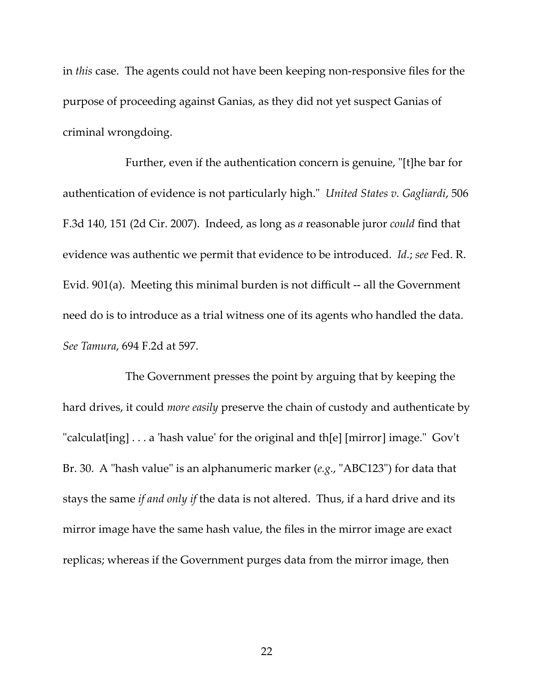in *this* case. The agents could not have been keeping non‐responsive files for the purpose of proceeding against Ganias, as they did not yet suspect Ganias of criminal wrongdoing.

Further, even if the authentication concern is genuine, "[t]he bar for authentication of evidence is not particularly high.ʺ *United States v. Gagliardi*, 506 F.3d 140, 151 (2d Cir. 2007). Indeed, as long as *a* reasonable juror *could* find that evidence was authentic we permit that evidence to be introduced. *Id.*; *see* Fed. R. Evid. 901(a). Meeting this minimal burden is not difficult ‐‐ all the Government need do is to introduce as a trial witness one of its agents who handled the data. *See Tamura*, 694 F.2d at 597.

The Government presses the point by arguing that by keeping the hard drives, it could *more easily* preserve the chain of custody and authenticate by "calculat[ing]  $\ldots$  a 'hash value' for the original and th[e] [mirror] image." Gov't Br. 30. A "hash value" is an alphanumeric marker (*e.g.*, "ABC123") for data that stays the same *if and only if* the data is not altered. Thus, if a hard drive and its mirror image have the same hash value, the files in the mirror image are exact replicas; whereas if the Government purges data from the mirror image, then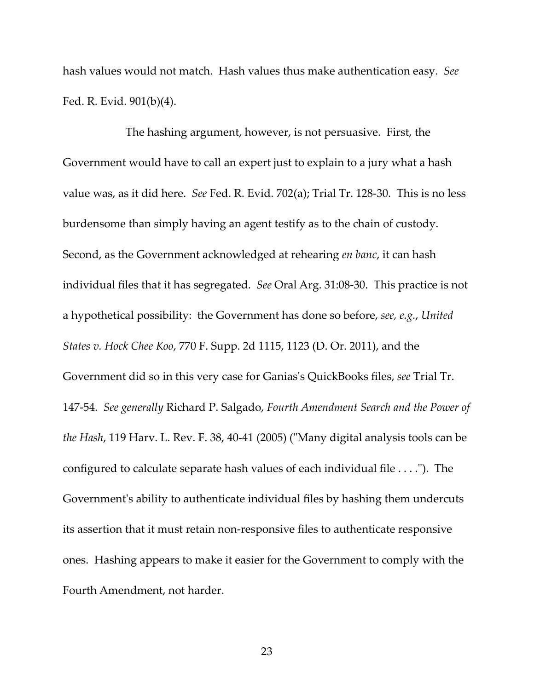hash values would not match. Hash values thus make authentication easy. *See* Fed. R. Evid. 901(b)(4).

The hashing argument, however, is not persuasive. First, the Government would have to call an expert just to explain to a jury what a hash value was, as it did here. *See* Fed. R. Evid. 702(a); Trial Tr. 128‐30. This is no less burdensome than simply having an agent testify as to the chain of custody. Second, as the Government acknowledged at rehearing *en banc*, it can hash individual files that it has segregated. *See* Oral Arg. 31:08‐30. This practice is not a hypothetical possibility: the Government has done so before, *see, e.g.*, *United States v. Hock Chee Koo*, 770 F. Supp. 2d 1115, 1123 (D. Or. 2011), and the Government did so in this very case for Ganiasʹs QuickBooks files, *see* Trial Tr. 147‐54. *See generally* Richard P. Salgado, *Fourth Amendment Search and the Power of the Hash*, 119 Harv. L. Rev. F. 38, 40-41 (2005) ("Many digital analysis tools can be configured to calculate separate hash values of each individual file  $\dots$ ."). The Government's ability to authenticate individual files by hashing them undercuts its assertion that it must retain non‐responsive files to authenticate responsive ones. Hashing appears to make it easier for the Government to comply with the Fourth Amendment, not harder.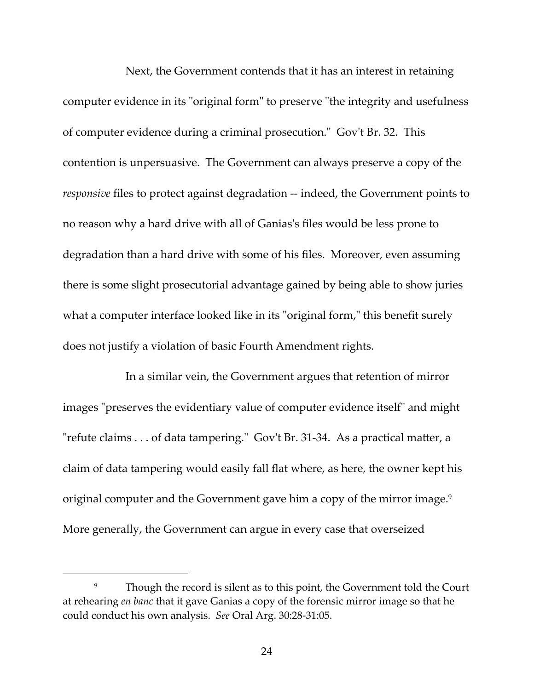Next, the Government contends that it has an interest in retaining computer evidence in its "original form" to preserve "the integrity and usefulness of computer evidence during a criminal prosecution." Gov't Br. 32. This contention is unpersuasive. The Government can always preserve a copy of the *responsive* files to protect against degradation -- indeed, the Government points to no reason why a hard drive with all of Ganiasʹs files would be less prone to degradation than a hard drive with some of his files. Moreover, even assuming there is some slight prosecutorial advantage gained by being able to show juries what a computer interface looked like in its "original form," this benefit surely does not justify a violation of basic Fourth Amendment rights.

In a similar vein, the Government argues that retention of mirror images "preserves the evidentiary value of computer evidence itself" and might "refute claims . . . of data tampering." Gov't Br. 31-34. As a practical matter, a claim of data tampering would easily fall flat where, as here, the owner kept his original computer and the Government gave him a copy of the mirror image.<sup>9</sup> More generally, the Government can argue in every case that overseized

<sup>&</sup>lt;sup>9</sup> Though the record is silent as to this point, the Government told the Court at rehearing *en banc* that it gave Ganias a copy of the forensic mirror image so that he could conduct his own analysis. *See* Oral Arg. 30:28‐31:05.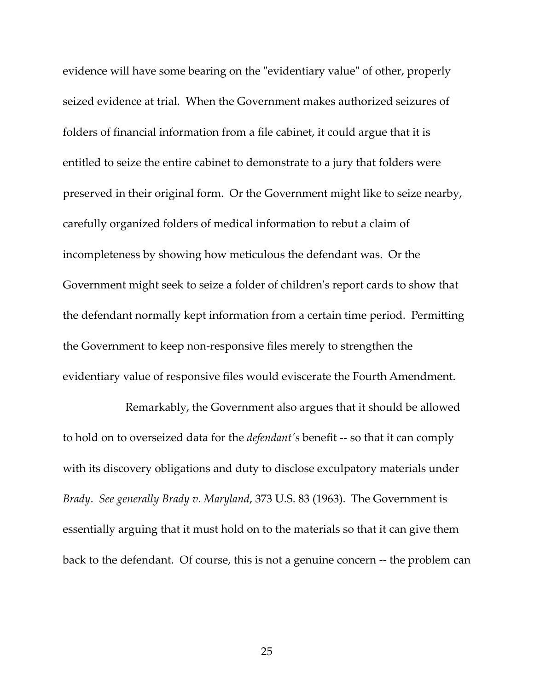evidence will have some bearing on the "evidentiary value" of other, properly seized evidence at trial. When the Government makes authorized seizures of folders of financial information from a file cabinet, it could argue that it is entitled to seize the entire cabinet to demonstrate to a jury that folders were preserved in their original form. Or the Government might like to seize nearby, carefully organized folders of medical information to rebut a claim of incompleteness by showing how meticulous the defendant was. Or the Government might seek to seize a folder of childrenʹs report cards to show that the defendant normally kept information from a certain time period. Permitting the Government to keep non‐responsive files merely to strengthen the evidentiary value of responsive files would eviscerate the Fourth Amendment.

Remarkably, the Government also argues that it should be allowed to hold on to overseized data for the *defendantʹs* benefit ‐‐ so that it can comply with its discovery obligations and duty to disclose exculpatory materials under *Brady*. *See generally Brady v. Maryland*, 373 U.S. 83 (1963). The Government is essentially arguing that it must hold on to the materials so that it can give them back to the defendant. Of course, this is not a genuine concern ‐‐ the problem can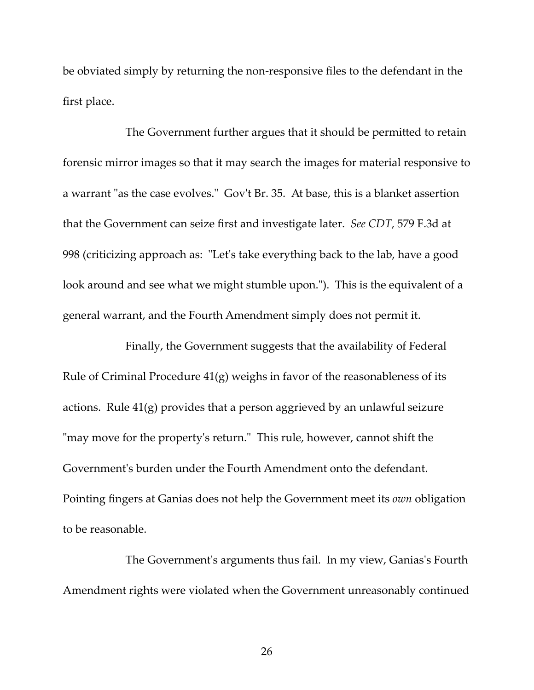be obviated simply by returning the non‐responsive files to the defendant in the first place.

The Government further argues that it should be permitted to retain forensic mirror images so that it may search the images for material responsive to a warrant "as the case evolves." Gov't Br. 35. At base, this is a blanket assertion that the Government can seize first and investigate later. *See CDT*, 579 F.3d at 998 (criticizing approach as: "Let's take everything back to the lab, have a good look around and see what we might stumble upon."). This is the equivalent of a general warrant, and the Fourth Amendment simply does not permit it.

Finally, the Government suggests that the availability of Federal Rule of Criminal Procedure 41(g) weighs in favor of the reasonableness of its actions. Rule 41(g) provides that a person aggrieved by an unlawful seizure "may move for the property's return." This rule, however, cannot shift the Governmentʹs burden under the Fourth Amendment onto the defendant. Pointing fingers at Ganias does not help the Government meet its *own* obligation to be reasonable.

The Government's arguments thus fail. In my view, Ganias's Fourth Amendment rights were violated when the Government unreasonably continued

26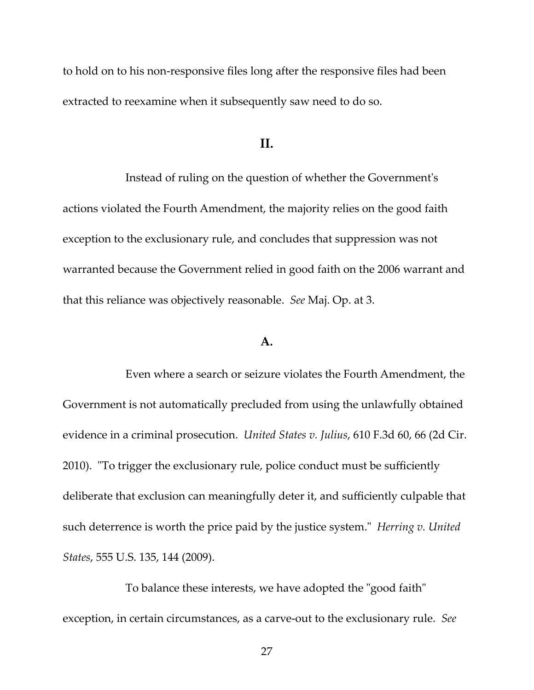to hold on to his non‐responsive files long after the responsive files had been extracted to reexamine when it subsequently saw need to do so.

#### **II.**

Instead of ruling on the question of whether the Governmentʹs actions violated the Fourth Amendment, the majority relies on the good faith exception to the exclusionary rule, and concludes that suppression was not warranted because the Government relied in good faith on the 2006 warrant and that this reliance was objectively reasonable. *See* Maj. Op. at 3.

### **A.**

Even where a search or seizure violates the Fourth Amendment, the Government is not automatically precluded from using the unlawfully obtained evidence in a criminal prosecution. *United States v. Julius*, 610 F.3d 60, 66 (2d Cir. 2010). "To trigger the exclusionary rule, police conduct must be sufficiently deliberate that exclusion can meaningfully deter it, and sufficiently culpable that such deterrence is worth the price paid by the justice system.ʺ *Herring v. United States*, 555 U.S. 135, 144 (2009).

To balance these interests, we have adopted the "good faith" exception, in certain circumstances, as a carve‐out to the exclusionary rule. *See*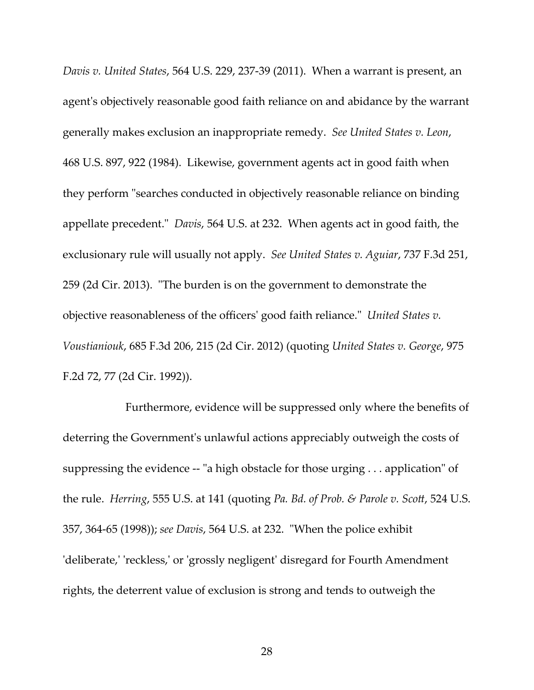*Davis v. United States*, 564 U.S. 229, 237‐39 (2011). When a warrant is present, an agent's objectively reasonable good faith reliance on and abidance by the warrant generally makes exclusion an inappropriate remedy. *See United States v. Leon*, 468 U.S. 897, 922 (1984). Likewise, government agents act in good faith when they perform "searches conducted in objectively reasonable reliance on binding appellate precedent." *Davis*, 564 U.S. at 232. When agents act in good faith, the exclusionary rule will usually not apply. *See United States v. Aguiar*, 737 F.3d 251, 259 (2d Cir. 2013). "The burden is on the government to demonstrate the objective reasonableness of the officersʹ good faith reliance.ʺ *United States v. Voustianiouk*, 685 F.3d 206, 215 (2d Cir. 2012) (quoting *United States v. George*, 975 F.2d 72, 77 (2d Cir. 1992)).

Furthermore, evidence will be suppressed only where the benefits of deterring the Governmentʹs unlawful actions appreciably outweigh the costs of suppressing the evidence  $-$  "a high obstacle for those urging  $\ldots$  application" of the rule. *Herring*, 555 U.S. at 141 (quoting *Pa. Bd. of Prob. & Parole v. Scott*, 524 U.S. 357, 364‐65 (1998)); *see Davis*, 564 U.S. at 232. ʺWhen the police exhibit 'deliberate,' 'reckless,' or 'grossly negligent' disregard for Fourth Amendment rights, the deterrent value of exclusion is strong and tends to outweigh the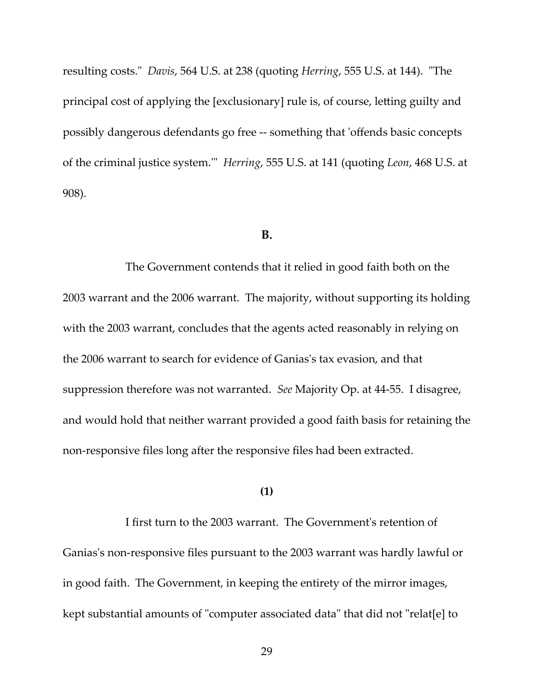resulting costs." *Davis*, 564 U.S. at 238 (quoting *Herring*, 555 U.S. at 144). "The principal cost of applying the [exclusionary] rule is, of course, letting guilty and possibly dangerous defendants go free ‐‐ something that ʹoffends basic concepts of the criminal justice system.ʹʺ *Herring*, 555 U.S. at 141 (quoting *Leon*, 468 U.S. at 908).

#### **B.**

The Government contends that it relied in good faith both on the 2003 warrant and the 2006 warrant. The majority, without supporting its holding with the 2003 warrant, concludes that the agents acted reasonably in relying on the 2006 warrant to search for evidence of Ganiasʹs tax evasion, and that suppression therefore was not warranted. *See* Majority Op. at 44‐55. I disagree, and would hold that neither warrant provided a good faith basis for retaining the non‐responsive files long after the responsive files had been extracted.

#### **(1)**

I first turn to the 2003 warrant. The Governmentʹs retention of Ganias's non-responsive files pursuant to the 2003 warrant was hardly lawful or in good faith. The Government, in keeping the entirety of the mirror images, kept substantial amounts of "computer associated data" that did not "relat[e] to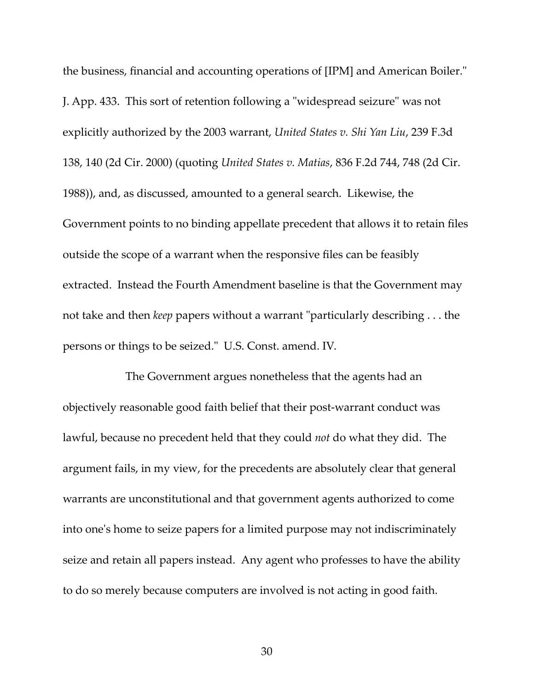the business, financial and accounting operations of [IPM] and American Boiler." J. App. 433. This sort of retention following a "widespread seizure" was not explicitly authorized by the 2003 warrant, *United States v. Shi Yan Liu*, 239 F.3d 138, 140 (2d Cir. 2000) (quoting *United States v. Matias*, 836 F.2d 744, 748 (2d Cir. 1988)), and, as discussed, amounted to a general search. Likewise, the Government points to no binding appellate precedent that allows it to retain files outside the scope of a warrant when the responsive files can be feasibly extracted. Instead the Fourth Amendment baseline is that the Government may not take and then *keep* papers without a warrant "particularly describing . . . the persons or things to be seized." U.S. Const. amend. IV.

The Government argues nonetheless that the agents had an objectively reasonable good faith belief that their post‐warrant conduct was lawful, because no precedent held that they could *not* do what they did. The argument fails, in my view, for the precedents are absolutely clear that general warrants are unconstitutional and that government agents authorized to come into oneʹs home to seize papers for a limited purpose may not indiscriminately seize and retain all papers instead. Any agent who professes to have the ability to do so merely because computers are involved is not acting in good faith.

30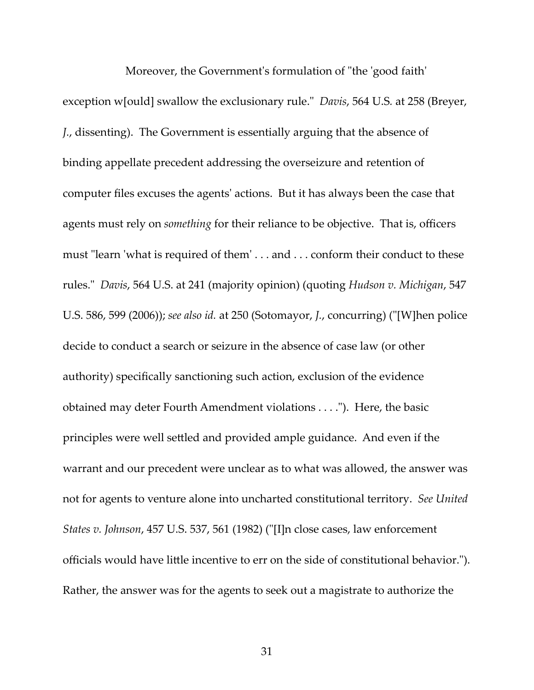Moreover, the Government's formulation of "the 'good faith' exception w[ould] swallow the exclusionary rule.<sup>"</sup> *Davis*, 564 U.S. at 258 (Breyer, *J.*, dissenting). The Government is essentially arguing that the absence of binding appellate precedent addressing the overseizure and retention of computer files excuses the agentsʹ actions. But it has always been the case that agents must rely on *something* for their reliance to be objective. That is, officers must "learn 'what is required of them'...and ...conform their conduct to these rules.ʺ *Davis*, 564 U.S. at 241 (majority opinion) (quoting *Hudson v. Michigan*, 547 U.S. 586, 599 (2006)); *see also id.* at 250 (Sotomayor, *J.*, concurring) (ʺ[W]hen police decide to conduct a search or seizure in the absence of case law (or other authority) specifically sanctioning such action, exclusion of the evidence obtained may deter Fourth Amendment violations . . . .ʺ). Here, the basic principles were well settled and provided ample guidance. And even if the warrant and our precedent were unclear as to what was allowed, the answer was not for agents to venture alone into uncharted constitutional territory. *See United States v. Johnson*, 457 U.S. 537, 561 (1982) (ʺ[I]n close cases, law enforcement officials would have little incentive to err on the side of constitutional behavior."). Rather, the answer was for the agents to seek out a magistrate to authorize the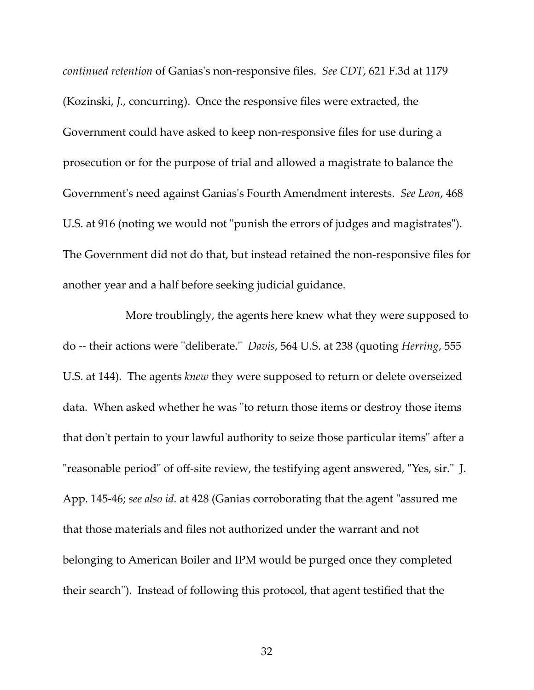*continued retention* of Ganiasʹs non‐responsive files. *See CDT*, 621 F.3d at 1179 (Kozinski, *J.*, concurring). Once the responsive files were extracted, the Government could have asked to keep non‐responsive files for use during a prosecution or for the purpose of trial and allowed a magistrate to balance the Governmentʹs need against Ganiasʹs Fourth Amendment interests. *See Leon*, 468 U.S. at 916 (noting we would not "punish the errors of judges and magistrates"). The Government did not do that, but instead retained the non‐responsive files for another year and a half before seeking judicial guidance.

More troublingly, the agents here knew what they were supposed to do -- their actions were "deliberate." *Davis*, 564 U.S. at 238 (quoting *Herring*, 555 U.S. at 144). The agents *knew* they were supposed to return or delete overseized data. When asked whether he was "to return those items or destroy those items that don't pertain to your lawful authority to seize those particular items" after a "reasonable period" of off-site review, the testifying agent answered, "Yes, sir." J. App. 145-46; *see also id.* at 428 (Ganias corroborating that the agent "assured me that those materials and files not authorized under the warrant and not belonging to American Boiler and IPM would be purged once they completed their searchʺ). Instead of following this protocol, that agent testified that the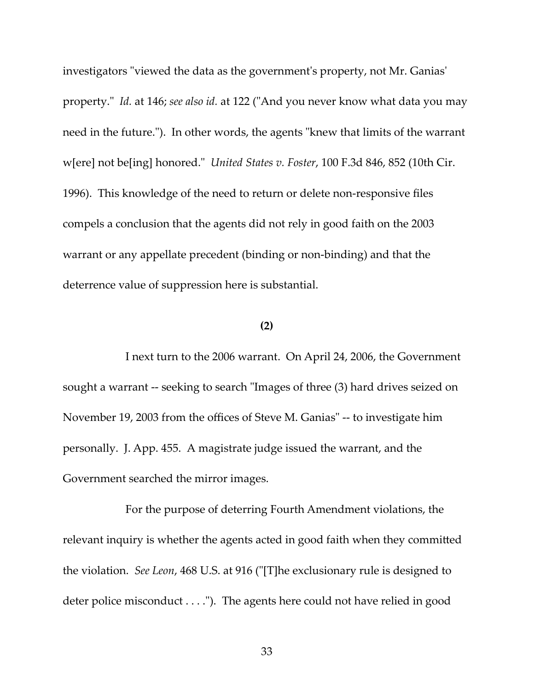investigators "viewed the data as the government's property, not Mr. Ganias' property." *Id.* at 146; *see also id.* at 122 ("And you never know what data you may need in the future."). In other words, the agents "knew that limits of the warrant w[ere] not be[ing] honored.ʺ *United States v. Foster*, 100 F.3d 846, 852 (10th Cir. 1996). This knowledge of the need to return or delete non‐responsive files compels a conclusion that the agents did not rely in good faith on the 2003 warrant or any appellate precedent (binding or non‐binding) and that the deterrence value of suppression here is substantial.

#### **(2)**

I next turn to the 2006 warrant. On April 24, 2006, the Government sought a warrant -- seeking to search "Images of three (3) hard drives seized on November 19, 2003 from the offices of Steve M. Ganias" -- to investigate him personally. J. App. 455. A magistrate judge issued the warrant, and the Government searched the mirror images.

For the purpose of deterring Fourth Amendment violations, the relevant inquiry is whether the agents acted in good faith when they committed the violation. *See Leon*, 468 U.S. at 916 (ʺ[T]he exclusionary rule is designed to deter police misconduct  $\dots$ ."). The agents here could not have relied in good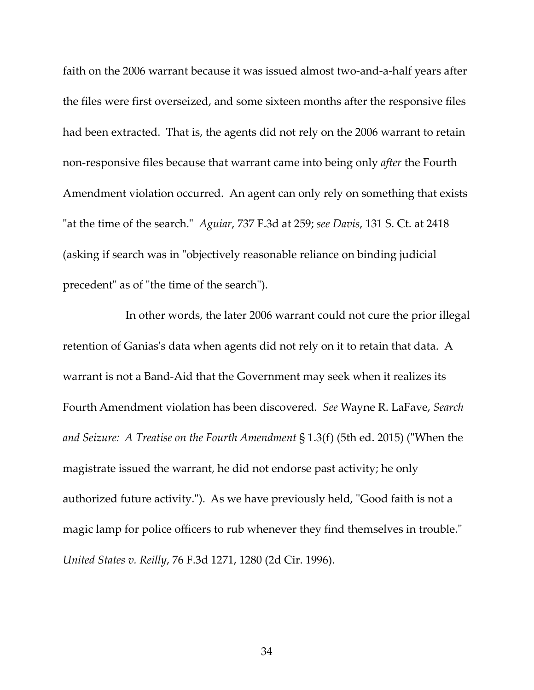faith on the 2006 warrant because it was issued almost two-and-a-half years after the files were first overseized, and some sixteen months after the responsive files had been extracted. That is, the agents did not rely on the 2006 warrant to retain non‐responsive files because that warrant came into being only *after* the Fourth Amendment violation occurred. An agent can only rely on something that exists "at the time of the search." *Aguiar*, 737 F.3d at 259; see Davis, 131 S. Ct. at 2418 (asking if search was in "objectively reasonable reliance on binding judicial precedent" as of "the time of the search").

In other words, the later 2006 warrant could not cure the prior illegal retention of Ganias's data when agents did not rely on it to retain that data. A warrant is not a Band‐Aid that the Government may seek when it realizes its Fourth Amendment violation has been discovered. *See* Wayne R. LaFave, *Search and Seizure: A Treatise on the Fourth Amendment* § 1.3(f) (5th ed. 2015) (ʺWhen the magistrate issued the warrant, he did not endorse past activity; he only authorized future activity."). As we have previously held, "Good faith is not a magic lamp for police officers to rub whenever they find themselves in trouble." *United States v. Reilly*, 76 F.3d 1271, 1280 (2d Cir. 1996).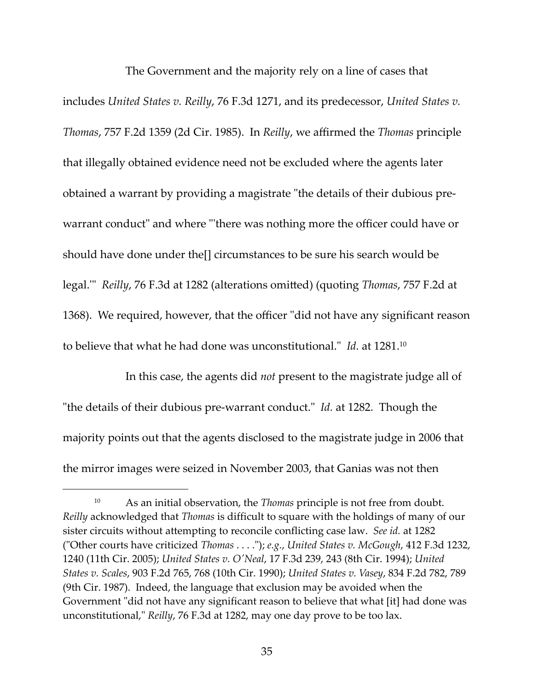The Government and the majority rely on a line of cases that includes *United States v. Reilly*, 76 F.3d 1271, and its predecessor, *United States v. Thomas*, 757 F.2d 1359 (2d Cir. 1985). In *Reilly*, we affirmed the *Thomas* principle that illegally obtained evidence need not be excluded where the agents later obtained a warrant by providing a magistrate "the details of their dubious prewarrant conduct" and where "there was nothing more the officer could have or should have done under the[] circumstances to be sure his search would be legal.ʹʺ *Reilly*, 76 F.3d at 1282 (alterations omitted) (quoting *Thomas*, 757 F.2d at 1368). We required, however, that the officer "did not have any significant reason to believe that what he had done was unconstitutional." *Id.* at 1281.<sup>10</sup>

In this case, the agents did *not* present to the magistrate judge all of "the details of their dubious pre-warrant conduct." *Id.* at 1282. Though the majority points out that the agents disclosed to the magistrate judge in 2006 that the mirror images were seized in November 2003, that Ganias was not then

<sup>10</sup> As an initial observation, the *Thomas* principle is not free from doubt. *Reilly* acknowledged that *Thomas* is difficult to square with the holdings of many of our sister circuits without attempting to reconcile conflicting case law. *See id.* at 1282 (ʺOther courts have criticized *Thomas* . . . .ʺ); *e.g.*, *United States v. McGough*, 412 F.3d 1232, 1240 (11th Cir. 2005); *United States v. OʹNeal*, 17 F.3d 239, 243 (8th Cir. 1994); *United States v. Scales*, 903 F.2d 765, 768 (10th Cir. 1990); *United States v. Vasey*, 834 F.2d 782, 789 (9th Cir. 1987). Indeed, the language that exclusion may be avoided when the Government "did not have any significant reason to believe that what [it] had done was unconstitutional," *Reilly*, 76 F.3d at 1282, may one day prove to be too lax.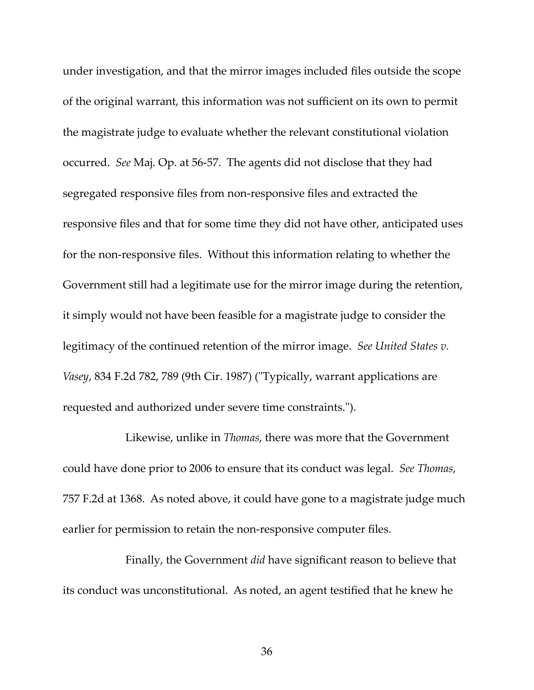under investigation, and that the mirror images included files outside the scope of the original warrant, this information was not sufficient on its own to permit the magistrate judge to evaluate whether the relevant constitutional violation occurred. *See* Maj. Op. at 56‐57. The agents did not disclose that they had segregated responsive files from non‐responsive files and extracted the responsive files and that for some time they did not have other, anticipated uses for the non-responsive files. Without this information relating to whether the Government still had a legitimate use for the mirror image during the retention, it simply would not have been feasible for a magistrate judge to consider the legitimacy of the continued retention of the mirror image. *See United States v. Vasey*, 834 F.2d 782, 789 (9th Cir. 1987) ("Typically, warrant applications are requested and authorized under severe time constraints.").

Likewise, unlike in *Thomas*, there was more that the Government could have done prior to 2006 to ensure that its conduct was legal. *See Thomas*, 757 F.2d at 1368. As noted above, it could have gone to a magistrate judge much earlier for permission to retain the non-responsive computer files.

Finally, the Government *did* have significant reason to believe that its conduct was unconstitutional. As noted, an agent testified that he knew he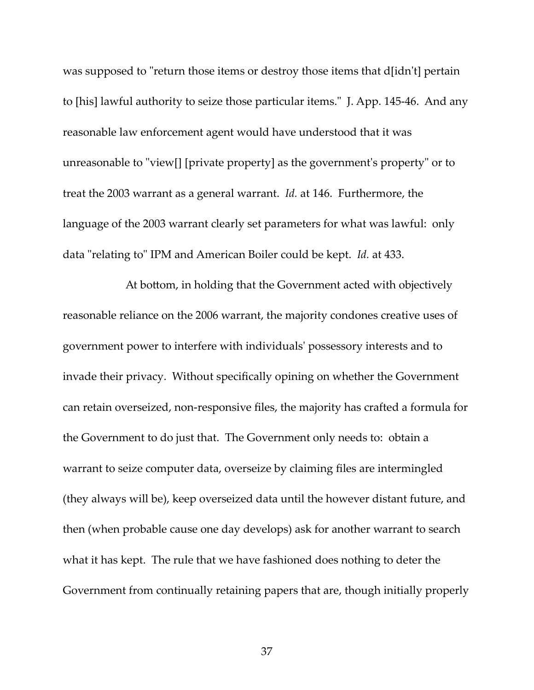was supposed to "return those items or destroy those items that d[idn't] pertain to [his] lawful authority to seize those particular items.<sup>"</sup> J. App. 145-46. And any reasonable law enforcement agent would have understood that it was unreasonable to "view[] [private property] as the government's property" or to treat the 2003 warrant as a general warrant. *Id.* at 146. Furthermore, the language of the 2003 warrant clearly set parameters for what was lawful: only data "relating to" IPM and American Boiler could be kept. *Id.* at 433.

At bottom, in holding that the Government acted with objectively reasonable reliance on the 2006 warrant, the majority condones creative uses of government power to interfere with individualsʹ possessory interests and to invade their privacy. Without specifically opining on whether the Government can retain overseized, non‐responsive files, the majority has crafted a formula for the Government to do just that. The Government only needs to: obtain a warrant to seize computer data, overseize by claiming files are intermingled (they always will be), keep overseized data until the however distant future, and then (when probable cause one day develops) ask for another warrant to search what it has kept. The rule that we have fashioned does nothing to deter the Government from continually retaining papers that are, though initially properly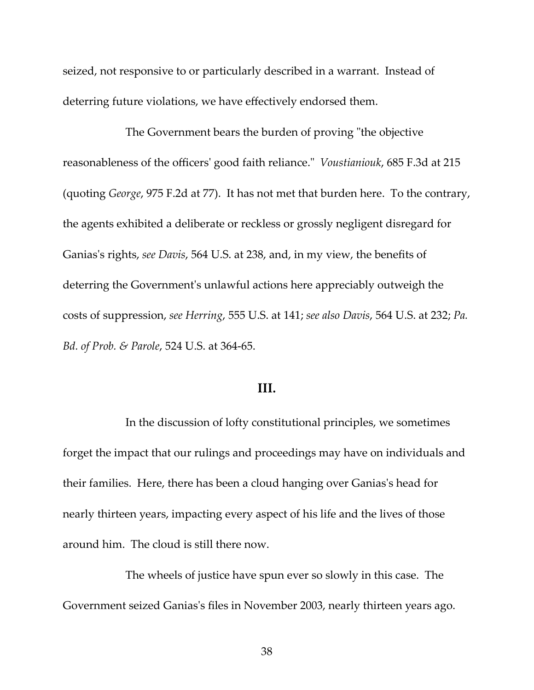seized, not responsive to or particularly described in a warrant. Instead of deterring future violations, we have effectively endorsed them.

The Government bears the burden of proving "the objective reasonableness of the officersʹ good faith reliance.ʺ *Voustianiouk*, 685 F.3d at 215 (quoting *George*, 975 F.2d at 77). It has not met that burden here. To the contrary, the agents exhibited a deliberate or reckless or grossly negligent disregard for Ganiasʹs rights, *see Davis*, 564 U.S. at 238, and, in my view, the benefits of deterring the Governmentʹs unlawful actions here appreciably outweigh the costs of suppression, *see Herring*, 555 U.S. at 141; *see also Davis*, 564 U.S. at 232; *Pa. Bd. of Prob. & Parole*, 524 U.S. at 364‐65.

### **III.**

In the discussion of lofty constitutional principles, we sometimes forget the impact that our rulings and proceedings may have on individuals and their families. Here, there has been a cloud hanging over Ganiasʹs head for nearly thirteen years, impacting every aspect of his life and the lives of those around him. The cloud is still there now.

The wheels of justice have spun ever so slowly in this case. The Government seized Ganiasʹs files in November 2003, nearly thirteen years ago.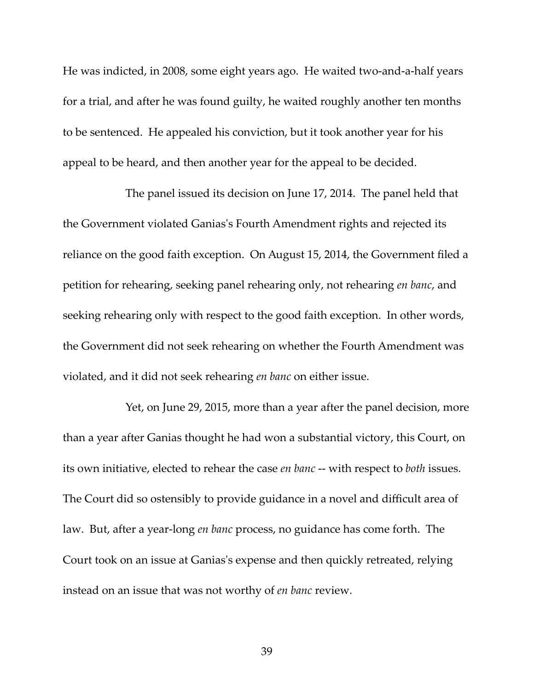He was indicted, in 2008, some eight years ago. He waited two-and-a-half years for a trial, and after he was found guilty, he waited roughly another ten months to be sentenced. He appealed his conviction, but it took another year for his appeal to be heard, and then another year for the appeal to be decided.

The panel issued its decision on June 17, 2014. The panel held that the Government violated Ganiasʹs Fourth Amendment rights and rejected its reliance on the good faith exception. On August 15, 2014, the Government filed a petition for rehearing, seeking panel rehearing only, not rehearing *en banc*, and seeking rehearing only with respect to the good faith exception. In other words, the Government did not seek rehearing on whether the Fourth Amendment was violated, and it did not seek rehearing *en banc* on either issue.

Yet, on June 29, 2015, more than a year after the panel decision, more than a year after Ganias thought he had won a substantial victory, this Court, on its own initiative, elected to rehear the case *en banc* ‐‐ with respect to *both* issues. The Court did so ostensibly to provide guidance in a novel and difficult area of law. But, after a year‐long *en banc* process, no guidance has come forth. The Court took on an issue at Ganiasʹs expense and then quickly retreated, relying instead on an issue that was not worthy of *en banc* review.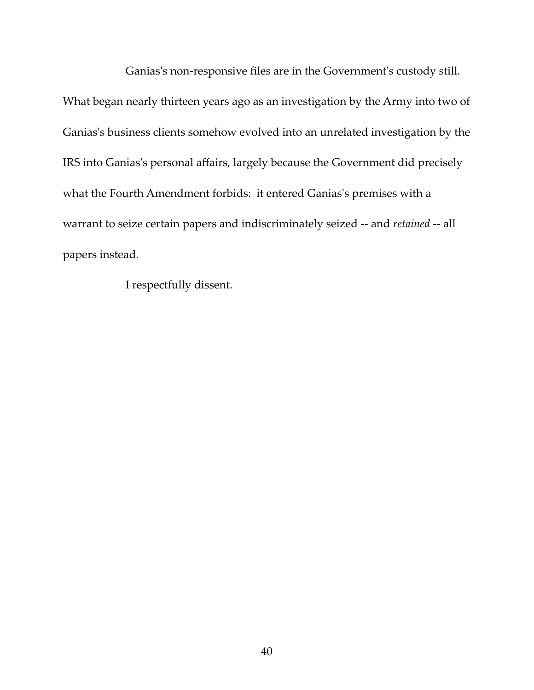Ganias's non-responsive files are in the Government's custody still.

What began nearly thirteen years ago as an investigation by the Army into two of Ganias's business clients somehow evolved into an unrelated investigation by the IRS into Ganias's personal affairs, largely because the Government did precisely what the Fourth Amendment forbids: it entered Ganias's premises with a warrant to seize certain papers and indiscriminately seized ‐‐ and *retained* ‐‐ all papers instead.

I respectfully dissent.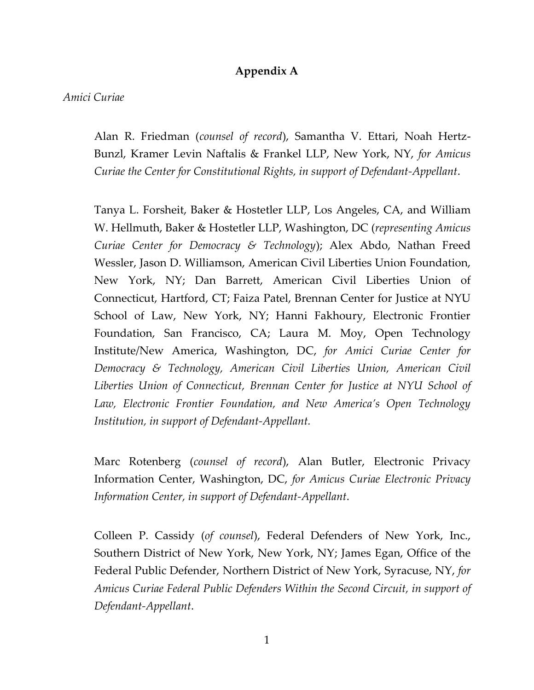# **Appendix A**

### *Amici Curiae*

Alan R. Friedman (*counsel of record*), Samantha V. Ettari, Noah Hertz-Bunzl, Kramer Levin Naftalis & Frankel LLP, New York, NY, *for Amicus Curiae the Center for Constitutional Rights, in support of Defendant-Appellant*.

Tanya L. Forsheit, Baker & Hostetler LLP, Los Angeles, CA, and William W. Hellmuth, Baker & Hostetler LLP, Washington, DC (*representing Amicus Curiae Center for Democracy & Technology*); Alex Abdo, Nathan Freed Wessler, Jason D. Williamson, American Civil Liberties Union Foundation, New York, NY; Dan Barrett, American Civil Liberties Union of Connecticut, Hartford, CT; Faiza Patel, Brennan Center for Justice at NYU School of Law, New York, NY; Hanni Fakhoury, Electronic Frontier Foundation, San Francisco, CA; Laura M. Moy, Open Technology Institute/New America, Washington, DC, *for Amici Curiae Center for Democracy & Technology, American Civil Liberties Union, American Civil Liberties Union of Connecticut, Brennan Center for Justice at NYU School of Law, Electronic Frontier Foundation, and New America's Open Technology Institution, in support of Defendant-Appellant.*

Marc Rotenberg (*counsel of record*), Alan Butler, Electronic Privacy Information Center, Washington, DC, *for Amicus Curiae Electronic Privacy Information Center, in support of Defendant-Appellant*.

Colleen P. Cassidy (*of counsel*), Federal Defenders of New York, Inc., Southern District of New York, New York, NY; James Egan, Office of the Federal Public Defender, Northern District of New York, Syracuse, NY, *for Amicus Curiae Federal Public Defenders Within the Second Circuit, in support of Defendant-Appellant*.